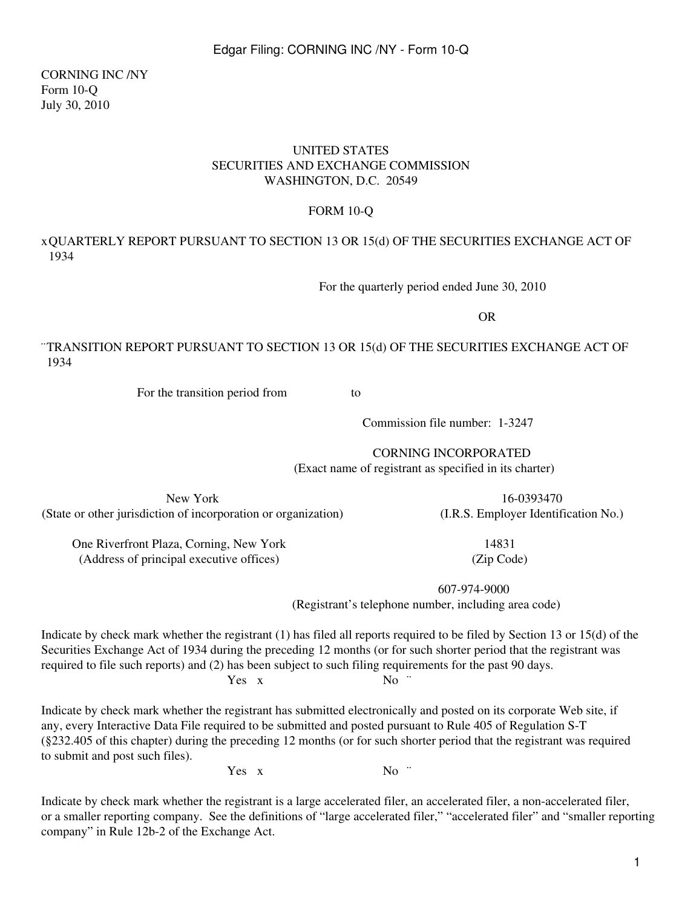CORNING INC /NY Form 10-Q July 30, 2010

#### UNITED STATES SECURITIES AND EXCHANGE COMMISSION WASHINGTON, D.C. 20549

#### FORM 10-Q

## xQUARTERLY REPORT PURSUANT TO SECTION 13 OR 15(d) OF THE SECURITIES EXCHANGE ACT OF 1934

For the quarterly period ended June 30, 2010

OR

# ¨TRANSITION REPORT PURSUANT TO SECTION 13 OR 15(d) OF THE SECURITIES EXCHANGE ACT OF 1934

For the transition period from to

Commission file number: 1-3247

CORNING INCORPORATED (Exact name of registrant as specified in its charter)

New York 16-0393470 (State or other jurisdiction of incorporation or organization) (I.R.S. Employer Identification No.)

One Riverfront Plaza, Corning, New York 14831 (Address of principal executive offices) (Zip Code)

> 607-974-9000 (Registrant's telephone number, including area code)

Indicate by check mark whether the registrant (1) has filed all reports required to be filed by Section 13 or 15(d) of the Securities Exchange Act of 1934 during the preceding 12 months (or for such shorter period that the registrant was required to file such reports) and (2) has been subject to such filing requirements for the past 90 days. Yes x No  $\degree$ 

Indicate by check mark whether the registrant has submitted electronically and posted on its corporate Web site, if any, every Interactive Data File required to be submitted and posted pursuant to Rule 405 of Regulation S-T (§232.405 of this chapter) during the preceding 12 months (or for such shorter period that the registrant was required to submit and post such files).

Yes x No  $\degree$ 

Indicate by check mark whether the registrant is a large accelerated filer, an accelerated filer, a non-accelerated filer, or a smaller reporting company. See the definitions of "large accelerated filer," "accelerated filer" and "smaller reporting company" in Rule 12b-2 of the Exchange Act.

1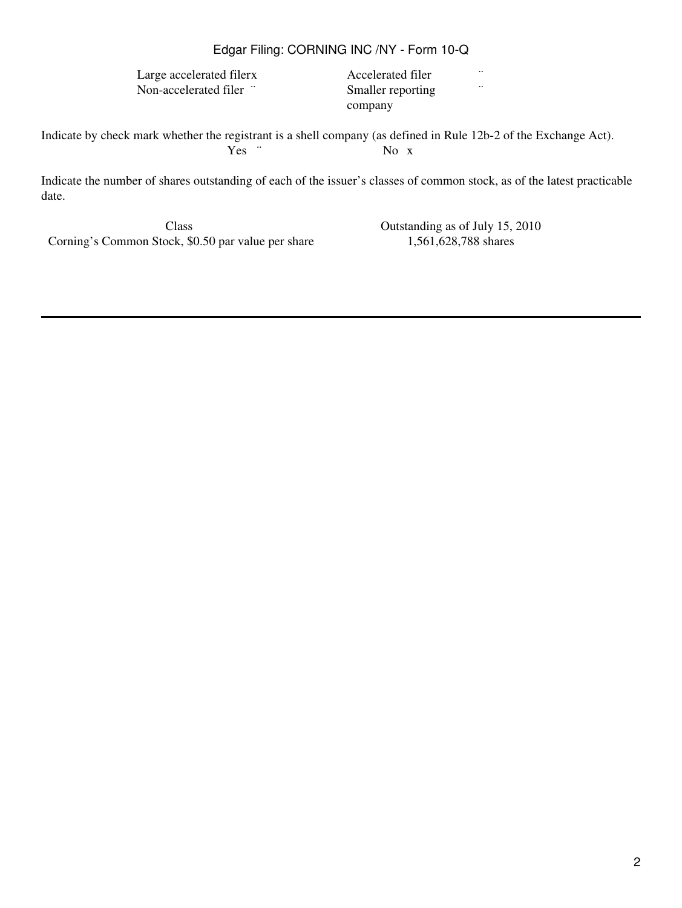Large accelerated filerx **Accelerated filer**  $\ddot{\text{}}$  <sup>"</sup> Non-accelerated filer ¨ Smaller reporting

company ¨

Indicate by check mark whether the registrant is a shell company (as defined in Rule 12b-2 of the Exchange Act). Yes " No x

Indicate the number of shares outstanding of each of the issuer's classes of common stock, as of the latest practicable date.

Corning's Common Stock, \$0.50 par value per share 1,561,628,788 shares

Class Outstanding as of July 15, 2010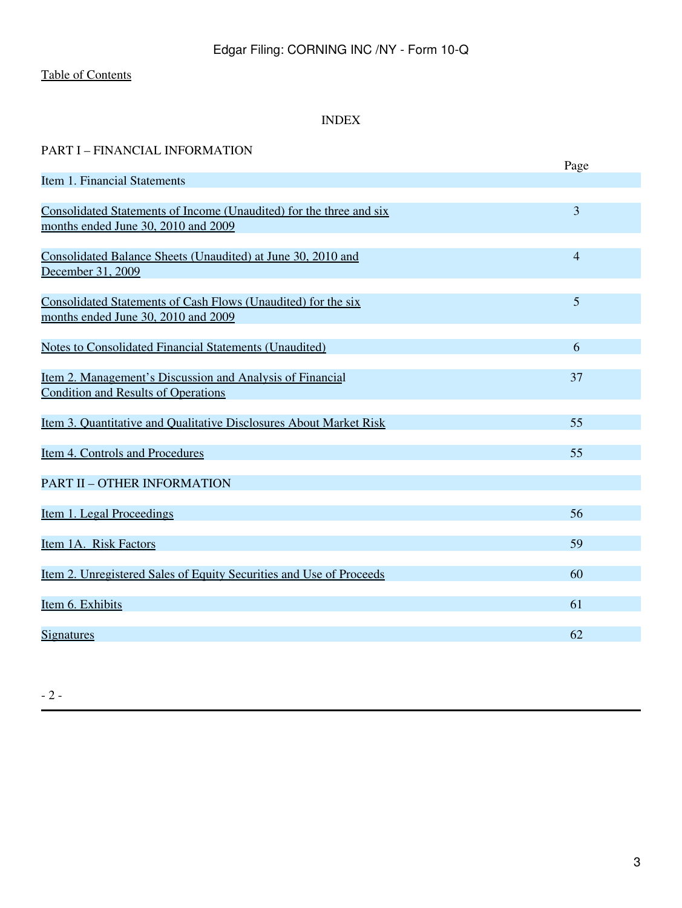# INDEX

<span id="page-2-0"></span>

| <b>PART I – FINANCIAL INFORMATION</b>                                                                      | Page           |
|------------------------------------------------------------------------------------------------------------|----------------|
| Item 1. Financial Statements                                                                               |                |
| Consolidated Statements of Income (Unaudited) for the three and six<br>months ended June 30, 2010 and 2009 | 3              |
| Consolidated Balance Sheets (Unaudited) at June 30, 2010 and<br>December 31, 2009                          | $\overline{4}$ |
| Consolidated Statements of Cash Flows (Unaudited) for the six<br>months ended June 30, 2010 and 2009       | 5              |
| <b>Notes to Consolidated Financial Statements (Unaudited)</b>                                              | 6              |
| Item 2. Management's Discussion and Analysis of Financial<br><b>Condition and Results of Operations</b>    | 37             |
| Item 3. Quantitative and Qualitative Disclosures About Market Risk                                         | 55             |
| Item 4. Controls and Procedures                                                                            | 55             |
| <b>PART II - OTHER INFORMATION</b>                                                                         |                |
| Item 1. Legal Proceedings                                                                                  | 56             |
| Item 1A. Risk Factors                                                                                      | 59             |
| <u>Item 2. Unregistered Sales of Equity Securities and Use of Proceeds</u>                                 | 60             |
| Item 6. Exhibits                                                                                           | 61             |
| <u>Signatures</u>                                                                                          | 62             |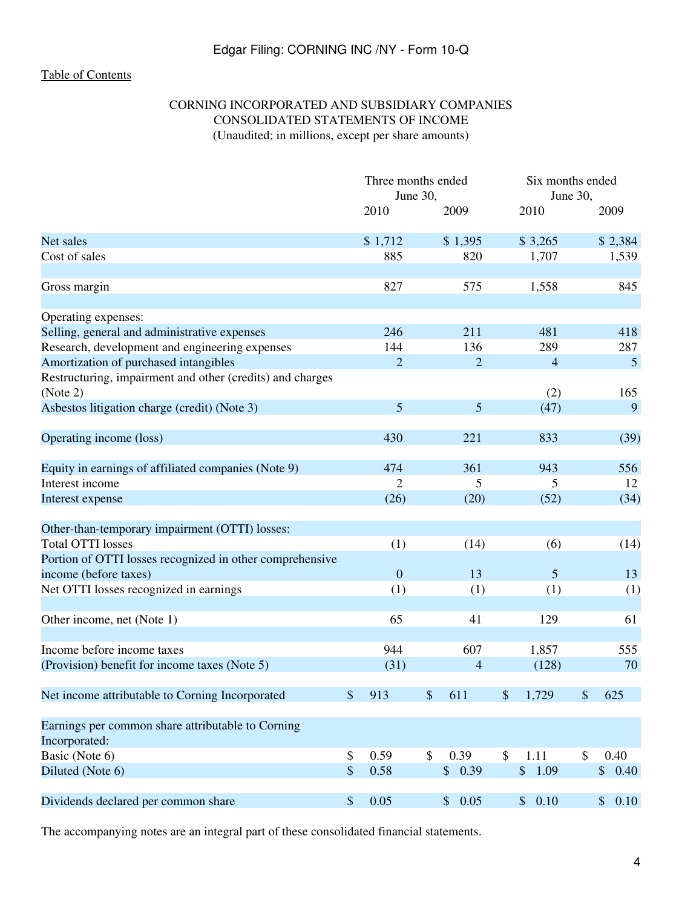# CORNING INCORPORATED AND SUBSIDIARY COMPANIES CONSOLIDATED STATEMENTS OF INCOME (Unaudited; in millions, except per share amounts)

<span id="page-3-0"></span>

|                                                                    |                            | Three months ended<br>June 30, |    |                       | Six months ended<br>June 30, |    |                 |  |
|--------------------------------------------------------------------|----------------------------|--------------------------------|----|-----------------------|------------------------------|----|-----------------|--|
|                                                                    |                            | 2010                           |    | 2009                  | 2010                         |    | 2009            |  |
| Net sales                                                          |                            | \$1,712                        |    | \$1,395               | \$3,265                      |    | \$2,384         |  |
| Cost of sales                                                      |                            | 885                            |    | 820                   | 1,707                        |    | 1,539           |  |
| Gross margin                                                       |                            | 827                            |    | 575                   | 1,558                        |    | 845             |  |
| Operating expenses:                                                |                            |                                |    |                       |                              |    |                 |  |
| Selling, general and administrative expenses                       |                            | 246                            |    | 211                   | 481                          |    | 418             |  |
| Research, development and engineering expenses                     |                            | 144                            |    | 136                   | 289                          |    | 287             |  |
| Amortization of purchased intangibles                              |                            | $\overline{2}$                 |    | $\overline{2}$        | $\overline{4}$               |    | $5\overline{)}$ |  |
| Restructuring, impairment and other (credits) and charges          |                            |                                |    |                       |                              |    |                 |  |
| (Note 2)                                                           |                            |                                |    |                       | (2)                          |    | 165             |  |
| Asbestos litigation charge (credit) (Note 3)                       |                            | 5                              |    | 5                     | (47)                         |    | 9               |  |
| Operating income (loss)                                            |                            | 430                            |    | 221                   | 833                          |    | (39)            |  |
| Equity in earnings of affiliated companies (Note 9)                |                            | 474                            |    | 361                   | 943                          |    | 556             |  |
| Interest income                                                    |                            | 2                              |    | 5                     | 5                            |    | 12              |  |
| Interest expense                                                   |                            | (26)                           |    | (20)                  | (52)                         |    | (34)            |  |
| Other-than-temporary impairment (OTTI) losses:                     |                            |                                |    |                       |                              |    |                 |  |
| <b>Total OTTI losses</b>                                           |                            | (1)                            |    | (14)                  | (6)                          |    | (14)            |  |
| Portion of OTTI losses recognized in other comprehensive           |                            |                                |    |                       |                              |    |                 |  |
| income (before taxes)                                              |                            | $\overline{0}$                 |    | 13                    | 5                            |    | 13              |  |
| Net OTTI losses recognized in earnings                             |                            | (1)                            |    | (1)                   | (1)                          |    | (1)             |  |
| Other income, net (Note 1)                                         |                            | 65                             |    | 41                    | 129                          |    | 61              |  |
| Income before income taxes                                         |                            | 944                            |    | 607                   | 1,857                        |    | 555             |  |
| (Provision) benefit for income taxes (Note 5)                      |                            | (31)                           |    | $\overline{4}$        | (128)                        |    | 70              |  |
|                                                                    |                            |                                |    |                       |                              |    |                 |  |
| Net income attributable to Corning Incorporated                    | \$                         | 913                            | \$ | 611                   | \$<br>1,729                  | \$ | 625             |  |
| Earnings per common share attributable to Corning<br>Incorporated: |                            |                                |    |                       |                              |    |                 |  |
| Basic (Note 6)                                                     | \$                         | 0.59                           | \$ | 0.39                  | \$<br>1.11                   | \$ | 0.40            |  |
| Diluted (Note 6)                                                   | $\boldsymbol{\mathsf{S}}$  | 0.58                           |    | \$0.39                | \$1.09                       |    | \$0.40          |  |
| Dividends declared per common share                                | $\boldsymbol{\mathsf{\$}}$ | 0.05                           |    | 0.05<br>$\mathsf{\$}$ | 0.10<br>$\mathsf{S}$         |    | \$<br>0.10      |  |

The accompanying notes are an integral part of these consolidated financial statements.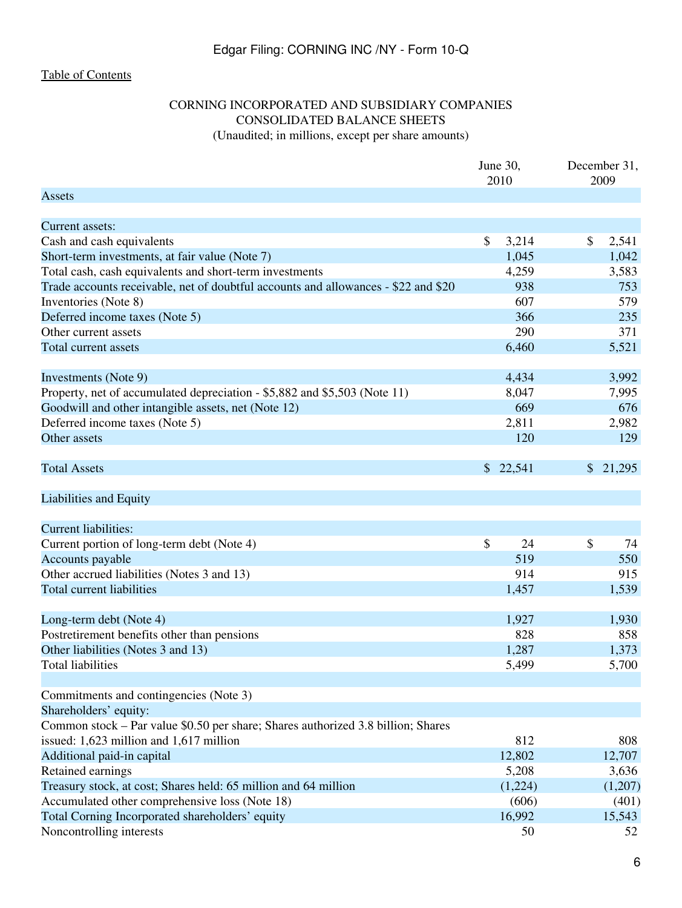# CORNING INCORPORATED AND SUBSIDIARY COMPANIES CONSOLIDATED BALANCE SHEETS (Unaudited; in millions, except per share amounts)

<span id="page-5-0"></span>

|                                                                                    | June 30,<br>2010        | December 31,<br>2009    |
|------------------------------------------------------------------------------------|-------------------------|-------------------------|
| <b>Assets</b>                                                                      |                         |                         |
| <b>Current assets:</b>                                                             |                         |                         |
| Cash and cash equivalents                                                          | \$                      | \$<br>3,214<br>2,541    |
| Short-term investments, at fair value (Note 7)                                     |                         | 1,042<br>1,045          |
| Total cash, cash equivalents and short-term investments                            |                         | 4,259<br>3,583          |
| Trade accounts receivable, net of doubtful accounts and allowances - \$22 and \$20 |                         | 753<br>938              |
| Inventories (Note 8)                                                               |                         | 607<br>579              |
| Deferred income taxes (Note 5)                                                     |                         | 366<br>235              |
| Other current assets                                                               |                         | 290<br>371              |
| Total current assets                                                               |                         | 6,460<br>5,521          |
| Investments (Note 9)                                                               |                         | 4,434<br>3,992          |
| Property, net of accumulated depreciation - \$5,882 and \$5,503 (Note 11)          |                         | 8,047<br>7,995          |
| Goodwill and other intangible assets, net (Note 12)                                |                         | 669<br>676              |
| Deferred income taxes (Note 5)                                                     |                         | 2,811<br>2,982          |
| Other assets                                                                       |                         | 120<br>129              |
| <b>Total Assets</b>                                                                | 22,541<br>$\mathcal{S}$ | 21,295<br>$\mathcal{S}$ |
| Liabilities and Equity                                                             |                         |                         |
| <b>Current liabilities:</b>                                                        |                         |                         |
| Current portion of long-term debt (Note 4)                                         | \$                      | \$<br>24<br>74          |
| Accounts payable                                                                   |                         | 519<br>550              |
| Other accrued liabilities (Notes 3 and 13)                                         |                         | 914<br>915              |
| <b>Total current liabilities</b>                                                   |                         | 1,457<br>1,539          |
| Long-term debt (Note 4)                                                            |                         | 1,927<br>1,930          |
| Postretirement benefits other than pensions                                        |                         | 828<br>858              |
| Other liabilities (Notes 3 and 13)                                                 |                         | 1,287<br>1,373          |
| <b>Total liabilities</b>                                                           |                         | 5,499<br>5,700          |
| Commitments and contingencies (Note 3)                                             |                         |                         |
| Shareholders' equity:                                                              |                         |                         |
| Common stock – Par value \$0.50 per share; Shares authorized 3.8 billion; Shares   |                         |                         |
| issued: 1,623 million and 1,617 million                                            |                         | 812<br>808              |
| Additional paid-in capital                                                         | 12,802                  | 12,707                  |
| Retained earnings                                                                  |                         | 5,208<br>3,636          |
| Treasury stock, at cost; Shares held: 65 million and 64 million                    | (1,224)                 | (1,207)                 |
| Accumulated other comprehensive loss (Note 18)                                     |                         | (606)<br>(401)          |
| Total Corning Incorporated shareholders' equity                                    | 16,992                  | 15,543                  |
| Noncontrolling interests                                                           |                         | 50<br>52                |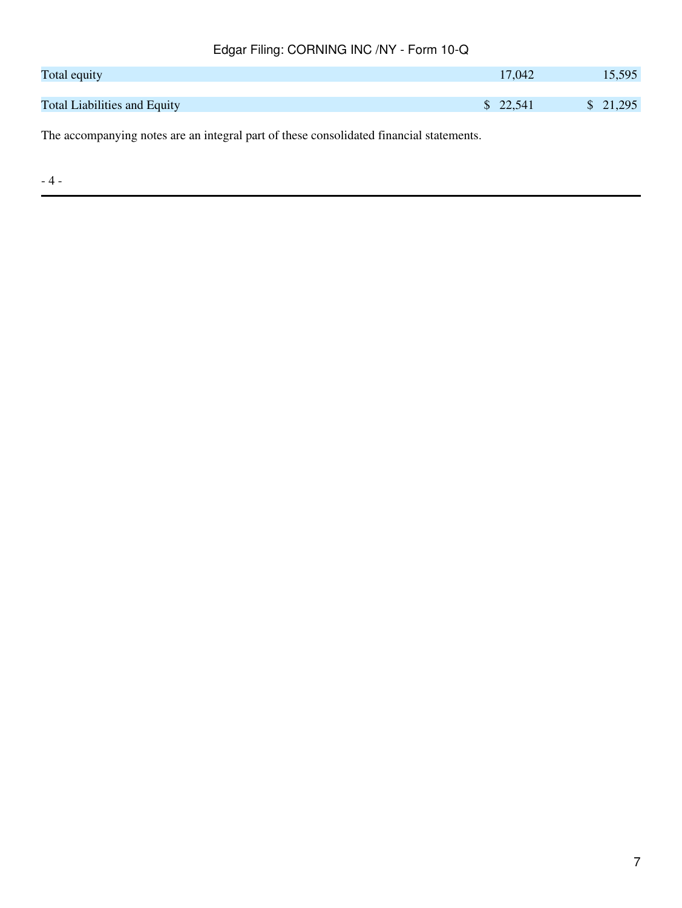| Total equity                        | 17.042   | 15,595   |
|-------------------------------------|----------|----------|
|                                     |          |          |
| <b>Total Liabilities and Equity</b> | \$22,541 | \$21,295 |

The accompanying notes are an integral part of these consolidated financial statements.

- 4 -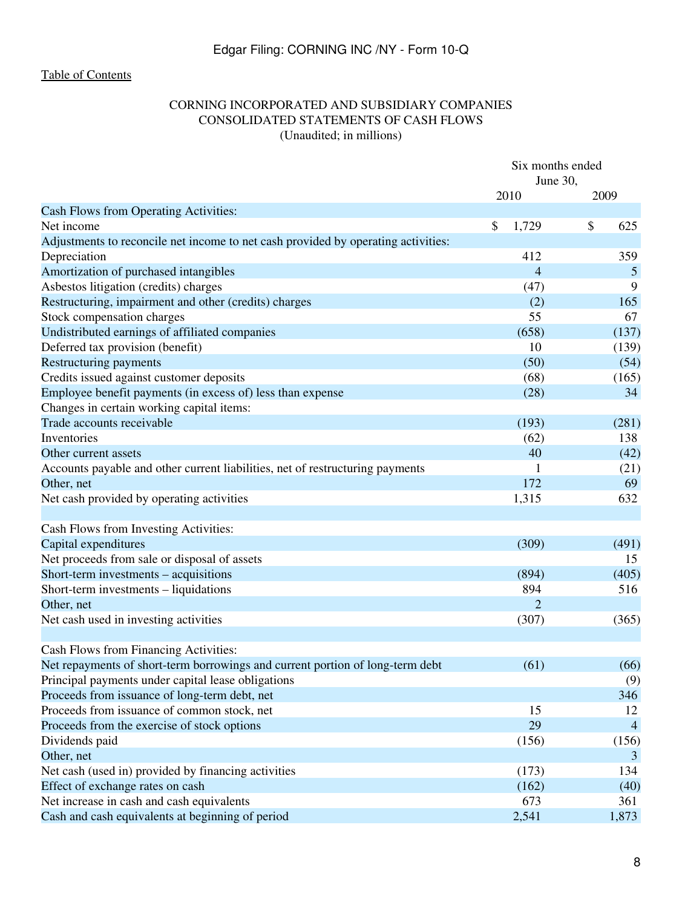## CORNING INCORPORATED AND SUBSIDIARY COMPANIES CONSOLIDATED STATEMENTS OF CASH FLOWS (Unaudited; in millions)

<span id="page-7-0"></span>

|                                                                                   | Six months ended<br>June 30, |                       |                |  |
|-----------------------------------------------------------------------------------|------------------------------|-----------------------|----------------|--|
|                                                                                   |                              | 2010                  | 2009           |  |
| Cash Flows from Operating Activities:                                             |                              |                       |                |  |
| Net income                                                                        | \$                           | 1,729                 | \$<br>625      |  |
| Adjustments to reconcile net income to net cash provided by operating activities: |                              |                       |                |  |
| Depreciation                                                                      |                              | 412                   | 359            |  |
| Amortization of purchased intangibles                                             |                              | $\overline{4}$        | 5              |  |
| Asbestos litigation (credits) charges                                             |                              | (47)                  | 9              |  |
| Restructuring, impairment and other (credits) charges                             |                              | (2)                   | 165            |  |
| Stock compensation charges                                                        |                              | 55                    | 67             |  |
| Undistributed earnings of affiliated companies                                    |                              | (658)                 | (137)          |  |
| Deferred tax provision (benefit)                                                  |                              | 10                    | (139)          |  |
| <b>Restructuring payments</b>                                                     |                              | (50)                  | (54)           |  |
| Credits issued against customer deposits                                          |                              | (68)                  | (165)          |  |
| Employee benefit payments (in excess of) less than expense                        |                              | (28)                  | 34             |  |
| Changes in certain working capital items:                                         |                              |                       |                |  |
| Trade accounts receivable                                                         |                              | (193)                 | (281)          |  |
| Inventories                                                                       |                              | (62)                  | 138            |  |
| Other current assets                                                              |                              | 40                    | (42)           |  |
| Accounts payable and other current liabilities, net of restructuring payments     |                              | 1                     | (21)           |  |
| Other, net                                                                        |                              | 172                   | 69             |  |
| Net cash provided by operating activities                                         |                              | 1,315                 | 632            |  |
|                                                                                   |                              |                       |                |  |
| Cash Flows from Investing Activities:                                             |                              |                       |                |  |
| Capital expenditures                                                              |                              | (309)                 | (491)          |  |
| Net proceeds from sale or disposal of assets                                      |                              |                       | 15             |  |
| Short-term investments – acquisitions                                             |                              | (894)                 | (405)          |  |
| Short-term investments – liquidations                                             |                              | 894                   | 516            |  |
| Other, net                                                                        |                              | $\mathcal{D}_{\cdot}$ |                |  |
| Net cash used in investing activities                                             |                              | (307)                 | (365)          |  |
|                                                                                   |                              |                       |                |  |
| Cash Flows from Financing Activities:                                             |                              |                       |                |  |
| Net repayments of short-term borrowings and current portion of long-term debt     |                              | (61)                  | (66)           |  |
| Principal payments under capital lease obligations                                |                              |                       | (9)            |  |
| Proceeds from issuance of long-term debt, net                                     |                              |                       | 346            |  |
| Proceeds from issuance of common stock, net                                       |                              | 15                    | 12             |  |
| Proceeds from the exercise of stock options                                       |                              | 29                    | $\overline{4}$ |  |
| Dividends paid                                                                    |                              | (156)                 | (156)          |  |
| Other, net                                                                        |                              |                       | 3              |  |
| Net cash (used in) provided by financing activities                               |                              | (173)                 | 134            |  |
| Effect of exchange rates on cash                                                  |                              | (162)                 | (40)           |  |
| Net increase in cash and cash equivalents                                         |                              | 673                   | 361            |  |
| Cash and cash equivalents at beginning of period                                  |                              | 2,541                 | 1,873          |  |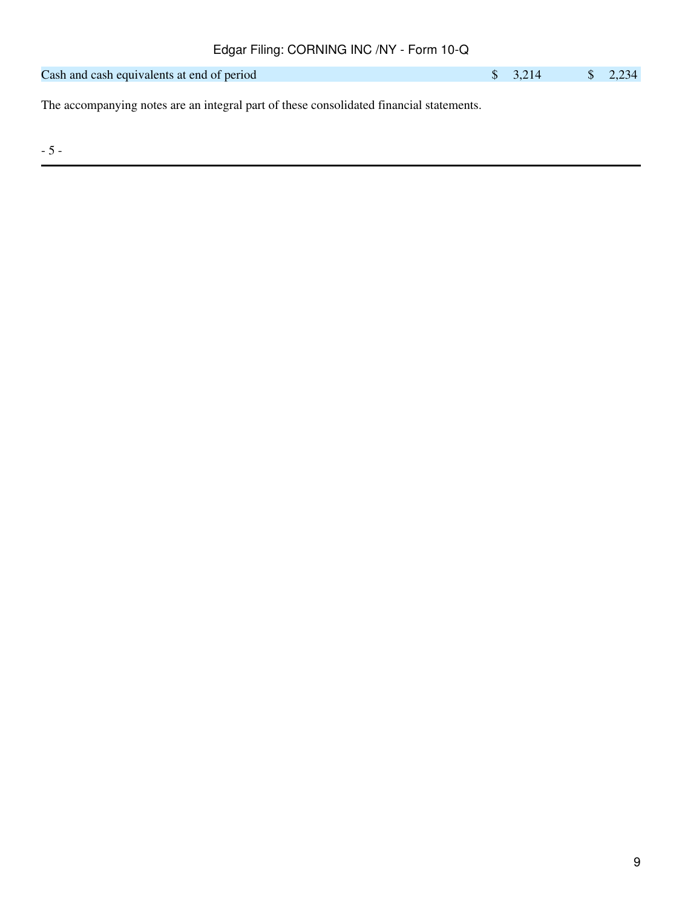| Cash and cash equivalents at end of period                                              | \$ 3.214 | $\frac{\$}{2.234}$ |
|-----------------------------------------------------------------------------------------|----------|--------------------|
|                                                                                         |          |                    |
| The accompanying notes are an integral part of these consolidated financial statements. |          |                    |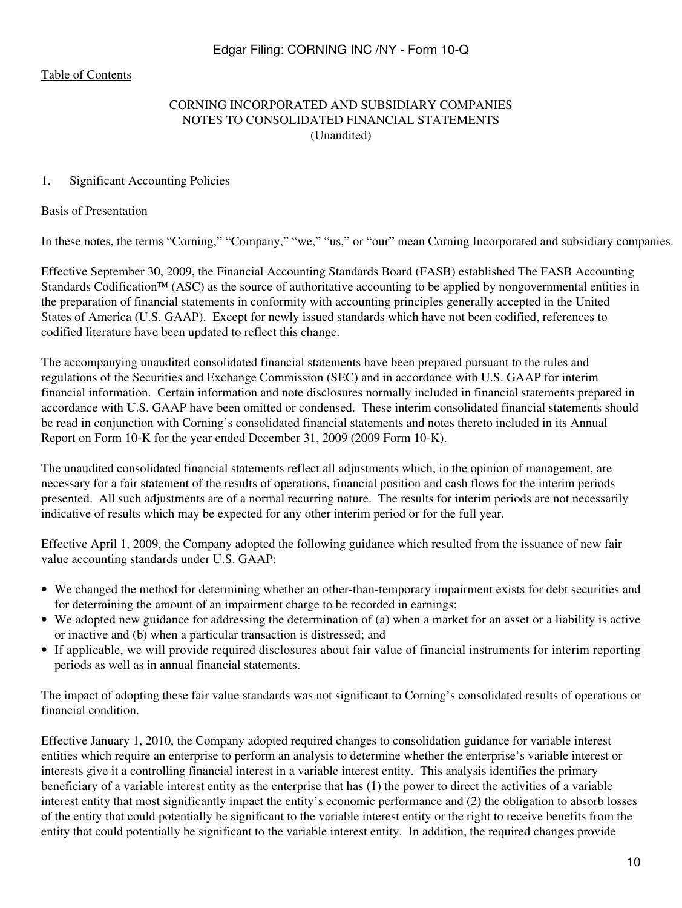#### CORNING INCORPORATED AND SUBSIDIARY COMPANIES NOTES TO CONSOLIDATED FINANCIAL STATEMENTS (Unaudited)

#### <span id="page-9-0"></span>1. Significant Accounting Policies

#### Basis of Presentation

In these notes, the terms "Corning," "Company," "we," "us," or "our" mean Corning Incorporated and subsidiary companies.

Effective September 30, 2009, the Financial Accounting Standards Board (FASB) established The FASB Accounting Standards Codification<sup> $TM$ </sup> (ASC) as the source of authoritative accounting to be applied by nongovernmental entities in the preparation of financial statements in conformity with accounting principles generally accepted in the United States of America (U.S. GAAP). Except for newly issued standards which have not been codified, references to codified literature have been updated to reflect this change.

The accompanying unaudited consolidated financial statements have been prepared pursuant to the rules and regulations of the Securities and Exchange Commission (SEC) and in accordance with U.S. GAAP for interim financial information. Certain information and note disclosures normally included in financial statements prepared in accordance with U.S. GAAP have been omitted or condensed. These interim consolidated financial statements should be read in conjunction with Corning's consolidated financial statements and notes thereto included in its Annual Report on Form 10-K for the year ended December 31, 2009 (2009 Form 10-K).

The unaudited consolidated financial statements reflect all adjustments which, in the opinion of management, are necessary for a fair statement of the results of operations, financial position and cash flows for the interim periods presented. All such adjustments are of a normal recurring nature. The results for interim periods are not necessarily indicative of results which may be expected for any other interim period or for the full year.

Effective April 1, 2009, the Company adopted the following guidance which resulted from the issuance of new fair value accounting standards under U.S. GAAP:

- We changed the method for determining whether an other-than-temporary impairment exists for debt securities and for determining the amount of an impairment charge to be recorded in earnings;
- We adopted new guidance for addressing the determination of (a) when a market for an asset or a liability is active or inactive and (b) when a particular transaction is distressed; and
- If applicable, we will provide required disclosures about fair value of financial instruments for interim reporting periods as well as in annual financial statements.

The impact of adopting these fair value standards was not significant to Corning's consolidated results of operations or financial condition.

Effective January 1, 2010, the Company adopted required changes to consolidation guidance for variable interest entities which require an enterprise to perform an analysis to determine whether the enterprise's variable interest or interests give it a controlling financial interest in a variable interest entity. This analysis identifies the primary beneficiary of a variable interest entity as the enterprise that has (1) the power to direct the activities of a variable interest entity that most significantly impact the entity's economic performance and (2) the obligation to absorb losses of the entity that could potentially be significant to the variable interest entity or the right to receive benefits from the entity that could potentially be significant to the variable interest entity. In addition, the required changes provide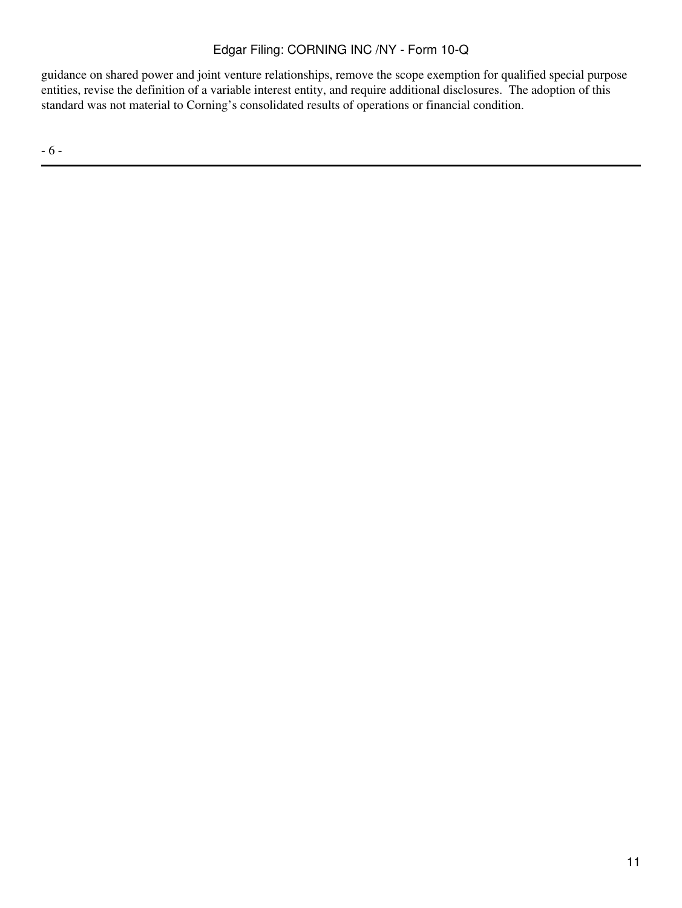guidance on shared power and joint venture relationships, remove the scope exemption for qualified special purpose entities, revise the definition of a variable interest entity, and require additional disclosures. The adoption of this standard was not material to Corning's consolidated results of operations or financial condition.

- 6 -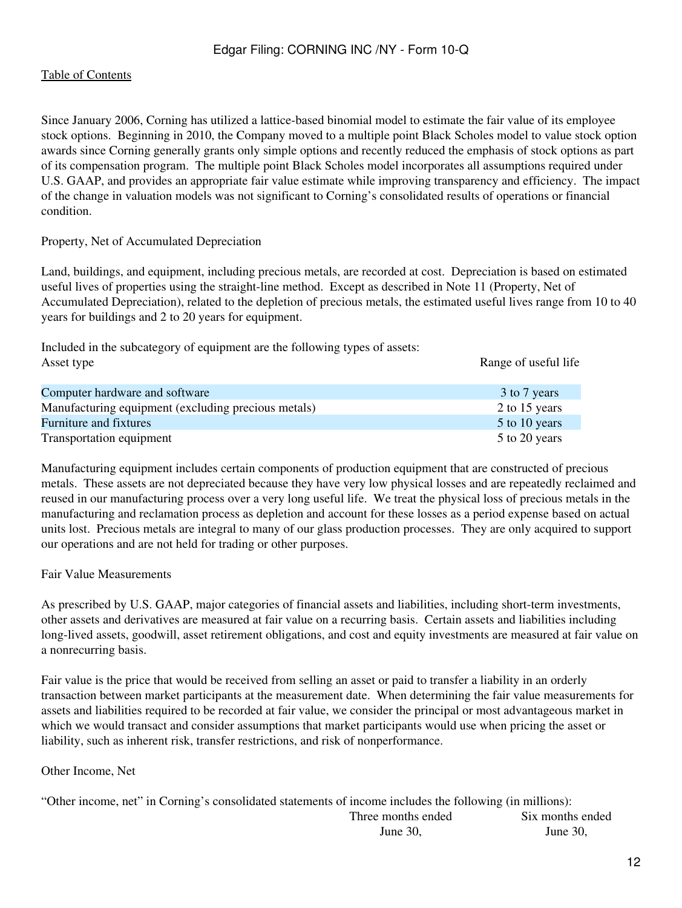Since January 2006, Corning has utilized a lattice-based binomial model to estimate the fair value of its employee stock options. Beginning in 2010, the Company moved to a multiple point Black Scholes model to value stock option awards since Corning generally grants only simple options and recently reduced the emphasis of stock options as part of its compensation program. The multiple point Black Scholes model incorporates all assumptions required under U.S. GAAP, and provides an appropriate fair value estimate while improving transparency and efficiency. The impact of the change in valuation models was not significant to Corning's consolidated results of operations or financial condition.

#### Property, Net of Accumulated Depreciation

Land, buildings, and equipment, including precious metals, are recorded at cost. Depreciation is based on estimated useful lives of properties using the straight-line method. Except as described in Note 11 (Property, Net of Accumulated Depreciation), related to the depletion of precious metals, the estimated useful lives range from 10 to 40 years for buildings and 2 to 20 years for equipment.

Included in the subcategory of equipment are the following types of assets: Asset type Range of useful life Computer hardware and software  $\frac{3}{2}$  to  $\frac{7}{2}$  years

| compater naturale and solemno                       | $U = V$       |
|-----------------------------------------------------|---------------|
| Manufacturing equipment (excluding precious metals) | 2 to 15 years |
| Furniture and fixtures                              | 5 to 10 years |
| Transportation equipment                            | 5 to 20 years |

Manufacturing equipment includes certain components of production equipment that are constructed of precious metals. These assets are not depreciated because they have very low physical losses and are repeatedly reclaimed and reused in our manufacturing process over a very long useful life. We treat the physical loss of precious metals in the manufacturing and reclamation process as depletion and account for these losses as a period expense based on actual units lost. Precious metals are integral to many of our glass production processes. They are only acquired to support our operations and are not held for trading or other purposes.

Fair Value Measurements

As prescribed by U.S. GAAP, major categories of financial assets and liabilities, including short-term investments, other assets and derivatives are measured at fair value on a recurring basis. Certain assets and liabilities including long-lived assets, goodwill, asset retirement obligations, and cost and equity investments are measured at fair value on a nonrecurring basis.

Fair value is the price that would be received from selling an asset or paid to transfer a liability in an orderly transaction between market participants at the measurement date. When determining the fair value measurements for assets and liabilities required to be recorded at fair value, we consider the principal or most advantageous market in which we would transact and consider assumptions that market participants would use when pricing the asset or liability, such as inherent risk, transfer restrictions, and risk of nonperformance.

Other Income, Net

"Other income, net" in Corning's consolidated statements of income includes the following (in millions): Three months ended June 30, Six months ended June 30,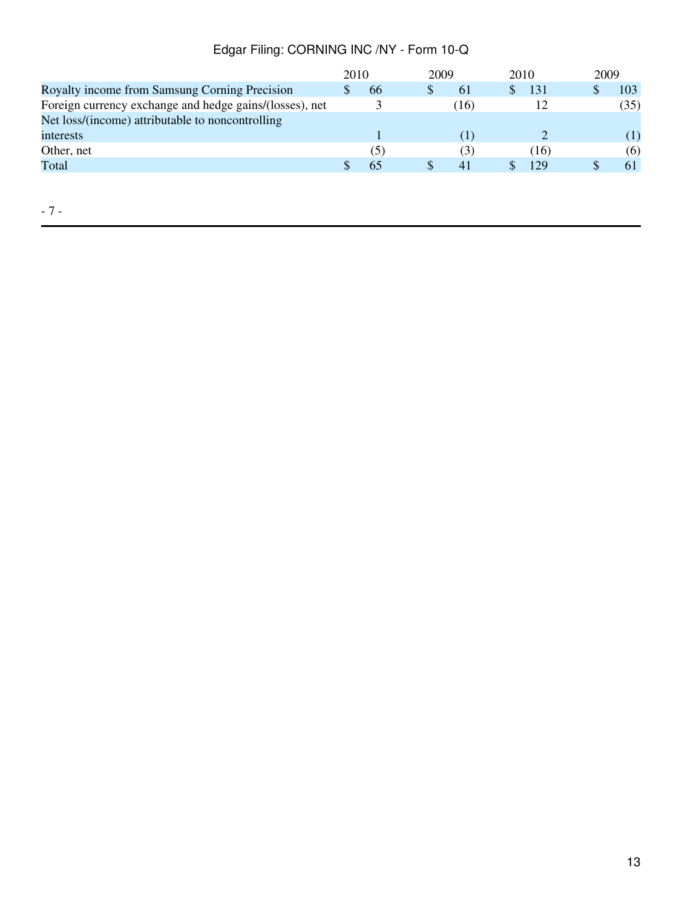| Edgar Filing: CORNING INC /NY - Form 10-Q |  |
|-------------------------------------------|--|
|-------------------------------------------|--|

|                                                         | 2010 |     |   | 2009 | 2010 |      | 2009 |
|---------------------------------------------------------|------|-----|---|------|------|------|------|
| Royalty income from Samsung Corning Precision           |      | 66  | S | 61   |      | 131  | 103  |
| Foreign currency exchange and hedge gains/(losses), net |      |     |   | (16) |      | 12   | (35) |
| Net loss/(income) attributable to noncontrolling        |      |     |   |      |      |      |      |
| interests                                               |      |     |   |      |      |      | (1)  |
| Other, net                                              |      | (5) |   |      |      | (16) | (6)  |
| Total                                                   |      | 65  |   | 41   |      | 129  | 61   |
|                                                         |      |     |   |      |      |      |      |

- 7 -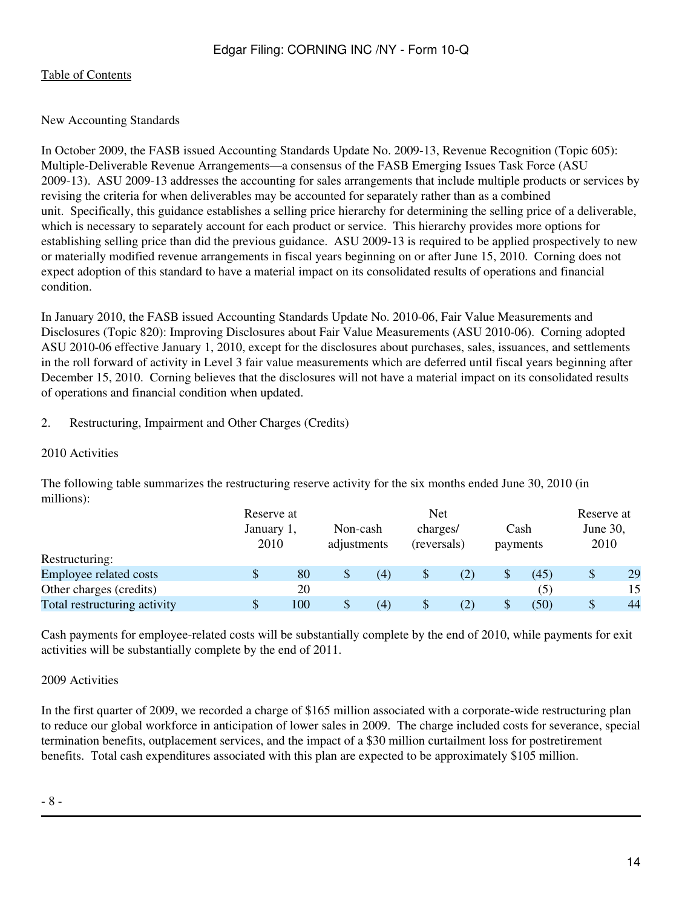# New Accounting Standards

In October 2009, the FASB issued Accounting Standards Update No. 2009-13, Revenue Recognition (Topic 605): Multiple-Deliverable Revenue Arrangements—a consensus of the FASB Emerging Issues Task Force (ASU 2009-13). ASU 2009-13 addresses the accounting for sales arrangements that include multiple products or services by revising the criteria for when deliverables may be accounted for separately rather than as a combined unit. Specifically, this guidance establishes a selling price hierarchy for determining the selling price of a deliverable, which is necessary to separately account for each product or service. This hierarchy provides more options for establishing selling price than did the previous guidance. ASU 2009-13 is required to be applied prospectively to new or materially modified revenue arrangements in fiscal years beginning on or after June 15, 2010. Corning does not expect adoption of this standard to have a material impact on its consolidated results of operations and financial condition.

In January 2010, the FASB issued Accounting Standards Update No. 2010-06, Fair Value Measurements and Disclosures (Topic 820): Improving Disclosures about Fair Value Measurements (ASU 2010-06). Corning adopted ASU 2010-06 effective January 1, 2010, except for the disclosures about purchases, sales, issuances, and settlements in the roll forward of activity in Level 3 fair value measurements which are deferred until fiscal years beginning after December 15, 2010. Corning believes that the disclosures will not have a material impact on its consolidated results of operations and financial condition when updated.

# 2. Restructuring, Impairment and Other Charges (Credits)

#### 2010 Activities

The following table summarizes the restructuring reserve activity for the six months ended June 30, 2010 (in millions):

|                               | Reserve at                |     |                         | Net |                         |     |                  |      |                  |    |  |
|-------------------------------|---------------------------|-----|-------------------------|-----|-------------------------|-----|------------------|------|------------------|----|--|
|                               | January 1,<br>2010        |     | Non-cash<br>adjustments |     | charges/<br>(reversals) |     | Cash<br>payments |      | June 30,<br>2010 |    |  |
| Restructuring:                |                           |     |                         |     |                         |     |                  |      |                  |    |  |
| <b>Employee related costs</b> | S                         | 80  | \$                      | (4) | \$                      | (2) | \$               | (45) | D                | 29 |  |
| Other charges (credits)       |                           | 20  |                         |     |                         |     |                  | (5)  |                  | 15 |  |
| Total restructuring activity  | $\boldsymbol{\mathsf{S}}$ | 100 | \$                      | (4) | \$                      | (2) | \$               | (50) | S                | 44 |  |

Cash payments for employee-related costs will be substantially complete by the end of 2010, while payments for exit activities will be substantially complete by the end of 2011.

# 2009 Activities

In the first quarter of 2009, we recorded a charge of \$165 million associated with a corporate-wide restructuring plan to reduce our global workforce in anticipation of lower sales in 2009. The charge included costs for severance, special termination benefits, outplacement services, and the impact of a \$30 million curtailment loss for postretirement benefits. Total cash expenditures associated with this plan are expected to be approximately \$105 million.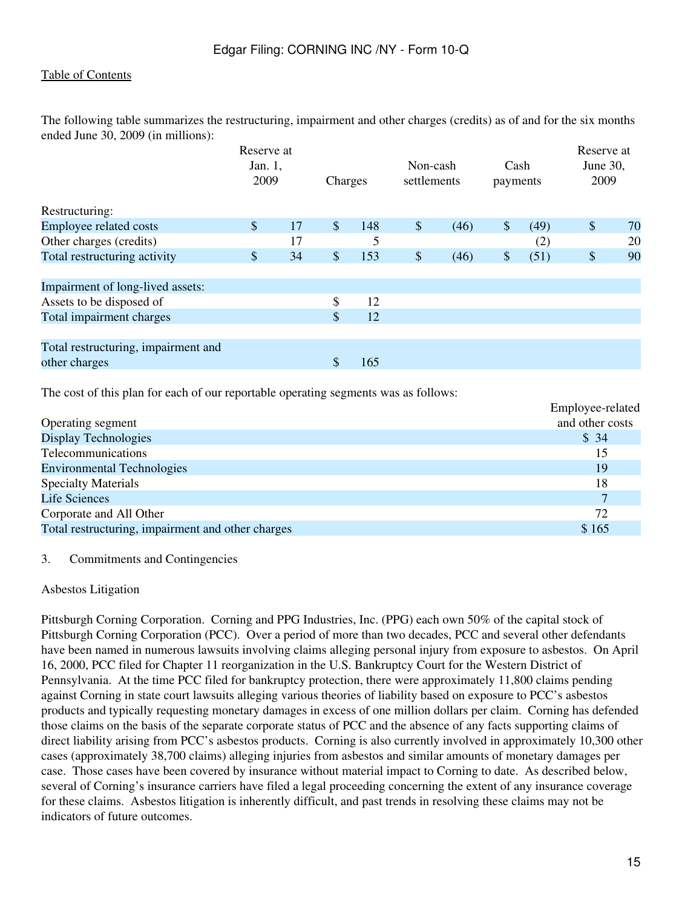The following table summarizes the restructuring, impairment and other charges (credits) as of and for the six months ended June 30, 2009 (in millions):

|                                     | Reserve at<br>Jan. 1,     |    |                           |     | Non-cash    |      | Cash     |      | Reserve at<br>June 30, |    |
|-------------------------------------|---------------------------|----|---------------------------|-----|-------------|------|----------|------|------------------------|----|
|                                     | 2009                      |    | Charges                   |     | settlements |      | payments |      | 2009                   |    |
| Restructuring:                      |                           |    |                           |     |             |      |          |      |                        |    |
| Employee related costs              | $\sqrt[6]{}$              | 17 | $\mathbb{S}$              | 148 | \$          | (46) | \$       | (49) | \$                     | 70 |
| Other charges (credits)             |                           | 17 |                           |     |             |      |          | (2)  |                        | 20 |
| Total restructuring activity        | $\boldsymbol{\mathsf{S}}$ | 34 | \$                        | 153 | \$          | (46) | \$       | (51) | \$                     | 90 |
| Impairment of long-lived assets:    |                           |    |                           |     |             |      |          |      |                        |    |
| Assets to be disposed of            |                           |    | \$                        | 12  |             |      |          |      |                        |    |
| Total impairment charges            |                           |    | $\boldsymbol{\mathsf{S}}$ | 12  |             |      |          |      |                        |    |
| Total restructuring, impairment and |                           |    |                           |     |             |      |          |      |                        |    |
| other charges                       |                           |    | \$                        | 165 |             |      |          |      |                        |    |

The cost of this plan for each of our reportable operating segments was as follows:

|                                                   | Employee-related |
|---------------------------------------------------|------------------|
| Operating segment                                 | and other costs  |
| Display Technologies                              | \$34             |
| Telecommunications                                | 15               |
| <b>Environmental Technologies</b>                 | 19               |
| <b>Specialty Materials</b>                        | 18               |
| <b>Life Sciences</b>                              |                  |
| Corporate and All Other                           | 72               |
| Total restructuring, impairment and other charges | \$165            |

#### 3. Commitments and Contingencies

#### Asbestos Litigation

Pittsburgh Corning Corporation. Corning and PPG Industries, Inc. (PPG) each own 50% of the capital stock of Pittsburgh Corning Corporation (PCC). Over a period of more than two decades, PCC and several other defendants have been named in numerous lawsuits involving claims alleging personal injury from exposure to asbestos. On April 16, 2000, PCC filed for Chapter 11 reorganization in the U.S. Bankruptcy Court for the Western District of Pennsylvania. At the time PCC filed for bankruptcy protection, there were approximately 11,800 claims pending against Corning in state court lawsuits alleging various theories of liability based on exposure to PCC's asbestos products and typically requesting monetary damages in excess of one million dollars per claim. Corning has defended those claims on the basis of the separate corporate status of PCC and the absence of any facts supporting claims of direct liability arising from PCC's asbestos products. Corning is also currently involved in approximately 10,300 other cases (approximately 38,700 claims) alleging injuries from asbestos and similar amounts of monetary damages per case. Those cases have been covered by insurance without material impact to Corning to date. As described below, several of Corning's insurance carriers have filed a legal proceeding concerning the extent of any insurance coverage for these claims. Asbestos litigation is inherently difficult, and past trends in resolving these claims may not be indicators of future outcomes.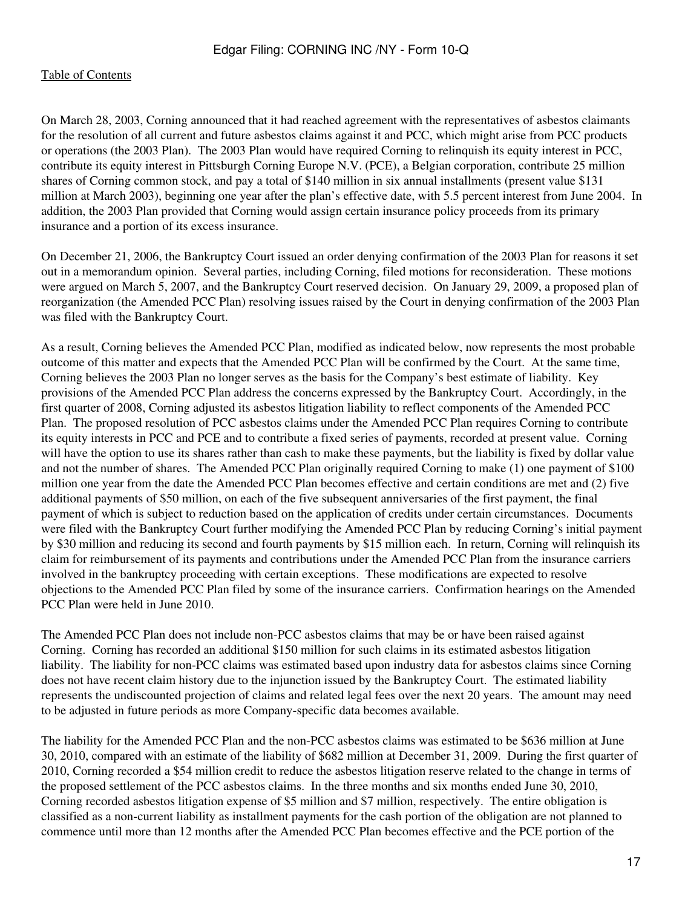On March 28, 2003, Corning announced that it had reached agreement with the representatives of asbestos claimants for the resolution of all current and future asbestos claims against it and PCC, which might arise from PCC products or operations (the 2003 Plan). The 2003 Plan would have required Corning to relinquish its equity interest in PCC, contribute its equity interest in Pittsburgh Corning Europe N.V. (PCE), a Belgian corporation, contribute 25 million shares of Corning common stock, and pay a total of \$140 million in six annual installments (present value \$131 million at March 2003), beginning one year after the plan's effective date, with 5.5 percent interest from June 2004. In addition, the 2003 Plan provided that Corning would assign certain insurance policy proceeds from its primary insurance and a portion of its excess insurance.

On December 21, 2006, the Bankruptcy Court issued an order denying confirmation of the 2003 Plan for reasons it set out in a memorandum opinion. Several parties, including Corning, filed motions for reconsideration. These motions were argued on March 5, 2007, and the Bankruptcy Court reserved decision. On January 29, 2009, a proposed plan of reorganization (the Amended PCC Plan) resolving issues raised by the Court in denying confirmation of the 2003 Plan was filed with the Bankruptcy Court.

As a result, Corning believes the Amended PCC Plan, modified as indicated below, now represents the most probable outcome of this matter and expects that the Amended PCC Plan will be confirmed by the Court. At the same time, Corning believes the 2003 Plan no longer serves as the basis for the Company's best estimate of liability. Key provisions of the Amended PCC Plan address the concerns expressed by the Bankruptcy Court. Accordingly, in the first quarter of 2008, Corning adjusted its asbestos litigation liability to reflect components of the Amended PCC Plan. The proposed resolution of PCC asbestos claims under the Amended PCC Plan requires Corning to contribute its equity interests in PCC and PCE and to contribute a fixed series of payments, recorded at present value. Corning will have the option to use its shares rather than cash to make these payments, but the liability is fixed by dollar value and not the number of shares. The Amended PCC Plan originally required Corning to make (1) one payment of \$100 million one year from the date the Amended PCC Plan becomes effective and certain conditions are met and (2) five additional payments of \$50 million, on each of the five subsequent anniversaries of the first payment, the final payment of which is subject to reduction based on the application of credits under certain circumstances. Documents were filed with the Bankruptcy Court further modifying the Amended PCC Plan by reducing Corning's initial payment by \$30 million and reducing its second and fourth payments by \$15 million each. In return, Corning will relinquish its claim for reimbursement of its payments and contributions under the Amended PCC Plan from the insurance carriers involved in the bankruptcy proceeding with certain exceptions. These modifications are expected to resolve objections to the Amended PCC Plan filed by some of the insurance carriers. Confirmation hearings on the Amended PCC Plan were held in June 2010.

The Amended PCC Plan does not include non-PCC asbestos claims that may be or have been raised against Corning. Corning has recorded an additional \$150 million for such claims in its estimated asbestos litigation liability. The liability for non-PCC claims was estimated based upon industry data for asbestos claims since Corning does not have recent claim history due to the injunction issued by the Bankruptcy Court. The estimated liability represents the undiscounted projection of claims and related legal fees over the next 20 years. The amount may need to be adjusted in future periods as more Company-specific data becomes available.

The liability for the Amended PCC Plan and the non-PCC asbestos claims was estimated to be \$636 million at June 30, 2010, compared with an estimate of the liability of \$682 million at December 31, 2009. During the first quarter of 2010, Corning recorded a \$54 million credit to reduce the asbestos litigation reserve related to the change in terms of the proposed settlement of the PCC asbestos claims. In the three months and six months ended June 30, 2010, Corning recorded asbestos litigation expense of \$5 million and \$7 million, respectively. The entire obligation is classified as a non-current liability as installment payments for the cash portion of the obligation are not planned to commence until more than 12 months after the Amended PCC Plan becomes effective and the PCE portion of the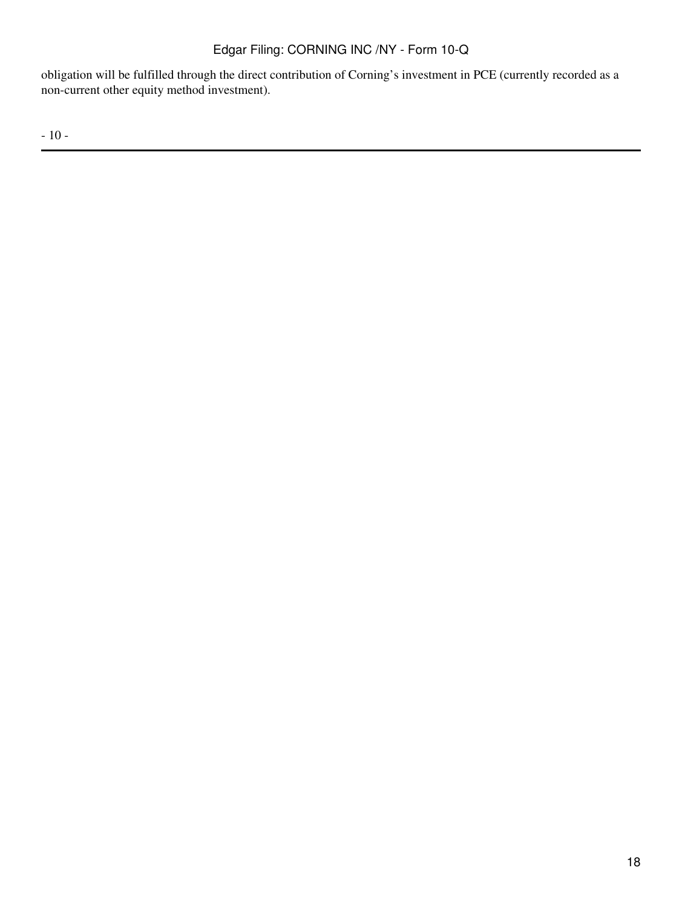obligation will be fulfilled through the direct contribution of Corning's investment in PCE (currently recorded as a non-current other equity method investment).

- 10 -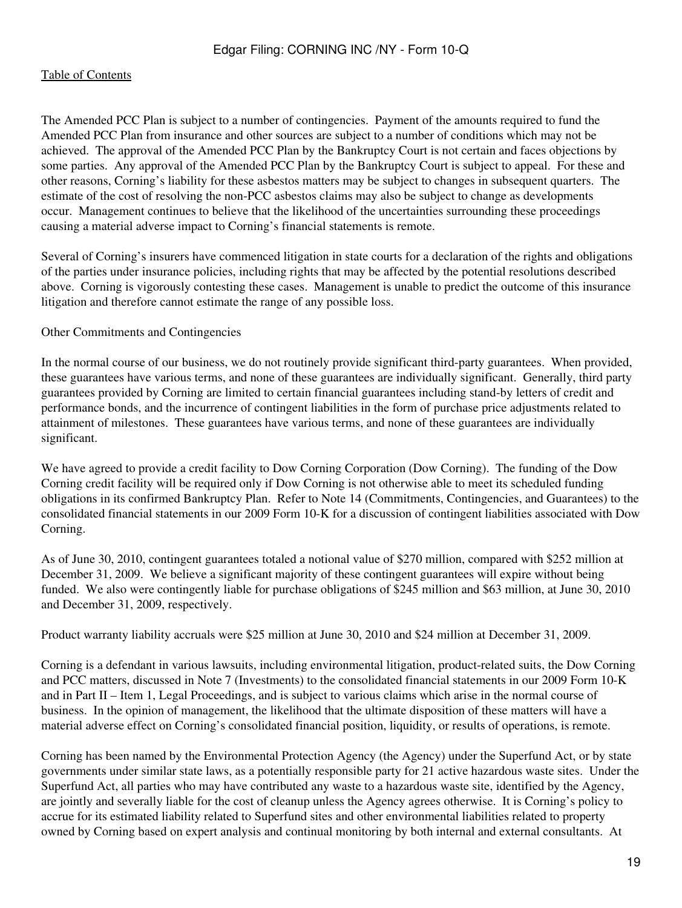The Amended PCC Plan is subject to a number of contingencies. Payment of the amounts required to fund the Amended PCC Plan from insurance and other sources are subject to a number of conditions which may not be achieved. The approval of the Amended PCC Plan by the Bankruptcy Court is not certain and faces objections by some parties. Any approval of the Amended PCC Plan by the Bankruptcy Court is subject to appeal. For these and other reasons, Corning's liability for these asbestos matters may be subject to changes in subsequent quarters. The estimate of the cost of resolving the non-PCC asbestos claims may also be subject to change as developments occur. Management continues to believe that the likelihood of the uncertainties surrounding these proceedings causing a material adverse impact to Corning's financial statements is remote.

Several of Corning's insurers have commenced litigation in state courts for a declaration of the rights and obligations of the parties under insurance policies, including rights that may be affected by the potential resolutions described above. Corning is vigorously contesting these cases. Management is unable to predict the outcome of this insurance litigation and therefore cannot estimate the range of any possible loss.

#### Other Commitments and Contingencies

In the normal course of our business, we do not routinely provide significant third-party guarantees. When provided, these guarantees have various terms, and none of these guarantees are individually significant. Generally, third party guarantees provided by Corning are limited to certain financial guarantees including stand-by letters of credit and performance bonds, and the incurrence of contingent liabilities in the form of purchase price adjustments related to attainment of milestones. These guarantees have various terms, and none of these guarantees are individually significant.

We have agreed to provide a credit facility to Dow Corning Corporation (Dow Corning). The funding of the Dow Corning credit facility will be required only if Dow Corning is not otherwise able to meet its scheduled funding obligations in its confirmed Bankruptcy Plan. Refer to Note 14 (Commitments, Contingencies, and Guarantees) to the consolidated financial statements in our 2009 Form 10-K for a discussion of contingent liabilities associated with Dow Corning.

As of June 30, 2010, contingent guarantees totaled a notional value of \$270 million, compared with \$252 million at December 31, 2009. We believe a significant majority of these contingent guarantees will expire without being funded. We also were contingently liable for purchase obligations of \$245 million and \$63 million, at June 30, 2010 and December 31, 2009, respectively.

Product warranty liability accruals were \$25 million at June 30, 2010 and \$24 million at December 31, 2009.

Corning is a defendant in various lawsuits, including environmental litigation, product-related suits, the Dow Corning and PCC matters, discussed in Note 7 (Investments) to the consolidated financial statements in our 2009 Form 10-K and in Part II – Item 1, Legal Proceedings, and is subject to various claims which arise in the normal course of business. In the opinion of management, the likelihood that the ultimate disposition of these matters will have a material adverse effect on Corning's consolidated financial position, liquidity, or results of operations, is remote.

Corning has been named by the Environmental Protection Agency (the Agency) under the Superfund Act, or by state governments under similar state laws, as a potentially responsible party for 21 active hazardous waste sites. Under the Superfund Act, all parties who may have contributed any waste to a hazardous waste site, identified by the Agency, are jointly and severally liable for the cost of cleanup unless the Agency agrees otherwise. It is Corning's policy to accrue for its estimated liability related to Superfund sites and other environmental liabilities related to property owned by Corning based on expert analysis and continual monitoring by both internal and external consultants. At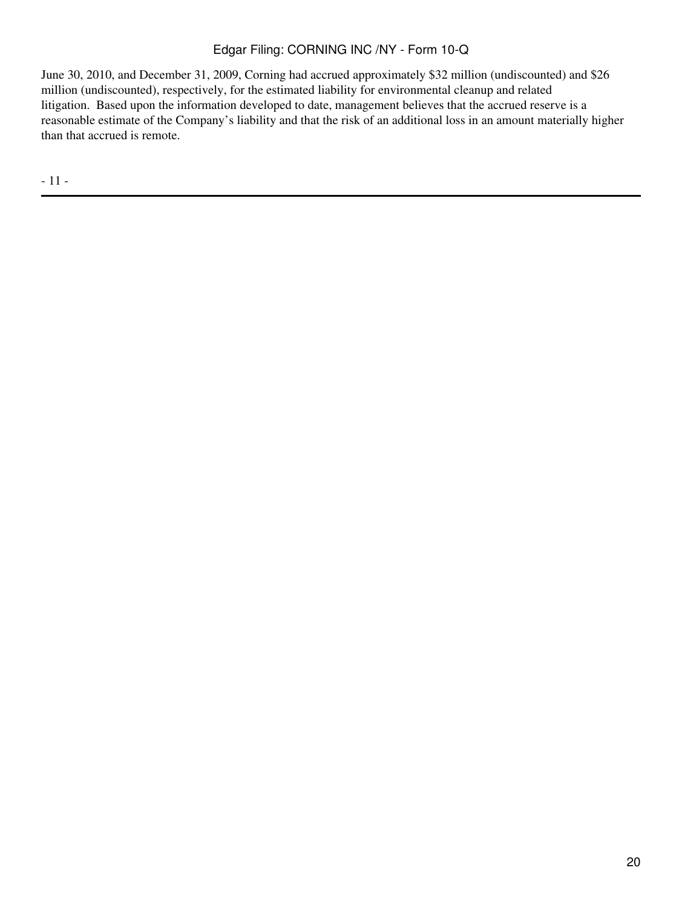June 30, 2010, and December 31, 2009, Corning had accrued approximately \$32 million (undiscounted) and \$26 million (undiscounted), respectively, for the estimated liability for environmental cleanup and related litigation. Based upon the information developed to date, management believes that the accrued reserve is a reasonable estimate of the Company's liability and that the risk of an additional loss in an amount materially higher than that accrued is remote.

- 11 -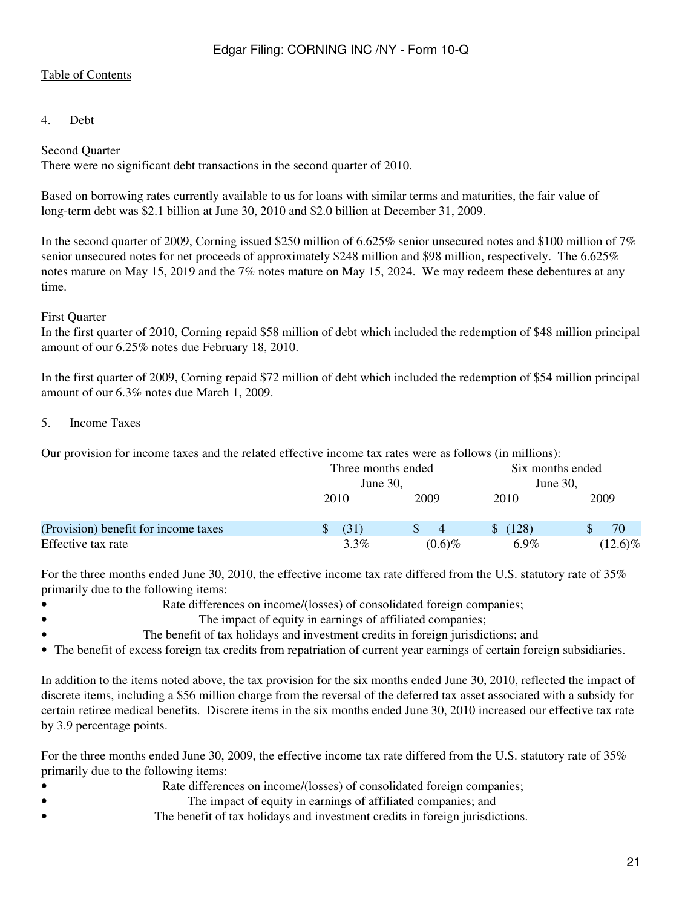#### 4. Debt

#### Second Quarter

There were no significant debt transactions in the second quarter of 2010.

Based on borrowing rates currently available to us for loans with similar terms and maturities, the fair value of long-term debt was \$2.1 billion at June 30, 2010 and \$2.0 billion at December 31, 2009.

In the second quarter of 2009, Corning issued \$250 million of 6.625% senior unsecured notes and \$100 million of 7% senior unsecured notes for net proceeds of approximately \$248 million and \$98 million, respectively. The 6.625% notes mature on May 15, 2019 and the 7% notes mature on May 15, 2024. We may redeem these debentures at any time.

#### First Quarter

In the first quarter of 2010, Corning repaid \$58 million of debt which included the redemption of \$48 million principal amount of our 6.25% notes due February 18, 2010.

In the first quarter of 2009, Corning repaid \$72 million of debt which included the redemption of \$54 million principal amount of our 6.3% notes due March 1, 2009.

# 5. Income Taxes

Our provision for income taxes and the related effective income tax rates were as follows (in millions):

|                                      | Three months ended |                | Six months ended |            |  |
|--------------------------------------|--------------------|----------------|------------------|------------|--|
|                                      | June 30,           |                | June 30,         |            |  |
|                                      | 2010               | 2009           | 2010             | 2009       |  |
| (Provision) benefit for income taxes | (31)               | $\overline{4}$ | (128)            | 70         |  |
| Effective tax rate                   | $3.3\%$            | $(0.6)\%$      | $6.9\%$          | $(12.6)\%$ |  |

For the three months ended June 30, 2010, the effective income tax rate differed from the U.S. statutory rate of 35% primarily due to the following items:

- Rate differences on income/(losses) of consolidated foreign companies;
	- The impact of equity in earnings of affiliated companies;
	- The benefit of tax holidays and investment credits in foreign jurisdictions; and
- The benefit of excess foreign tax credits from repatriation of current year earnings of certain foreign subsidiaries.

In addition to the items noted above, the tax provision for the six months ended June 30, 2010, reflected the impact of discrete items, including a \$56 million charge from the reversal of the deferred tax asset associated with a subsidy for certain retiree medical benefits. Discrete items in the six months ended June 30, 2010 increased our effective tax rate by 3.9 percentage points.

For the three months ended June 30, 2009, the effective income tax rate differed from the U.S. statutory rate of 35% primarily due to the following items:

- Rate differences on income/(losses) of consolidated foreign companies;
	- The impact of equity in earnings of affiliated companies; and
	- The benefit of tax holidays and investment credits in foreign jurisdictions.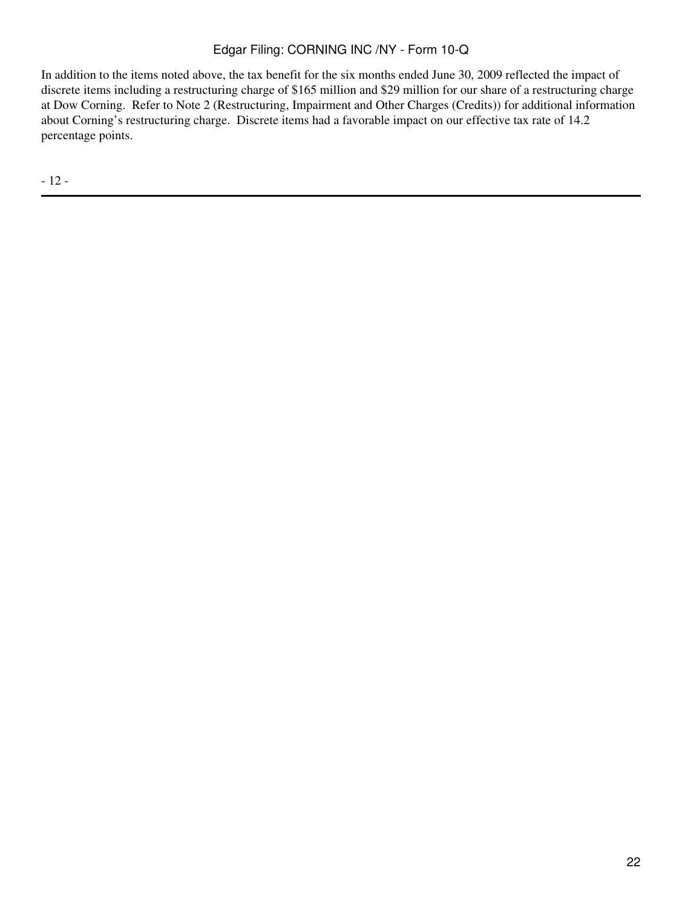In addition to the items noted above, the tax benefit for the six months ended June 30, 2009 reflected the impact of discrete items including a restructuring charge of \$165 million and \$29 million for our share of a restructuring charge at Dow Corning. Refer to Note 2 (Restructuring, Impairment and Other Charges (Credits)) for additional information about Corning's restructuring charge. Discrete items had a favorable impact on our effective tax rate of 14.2 percentage points.

- 12 -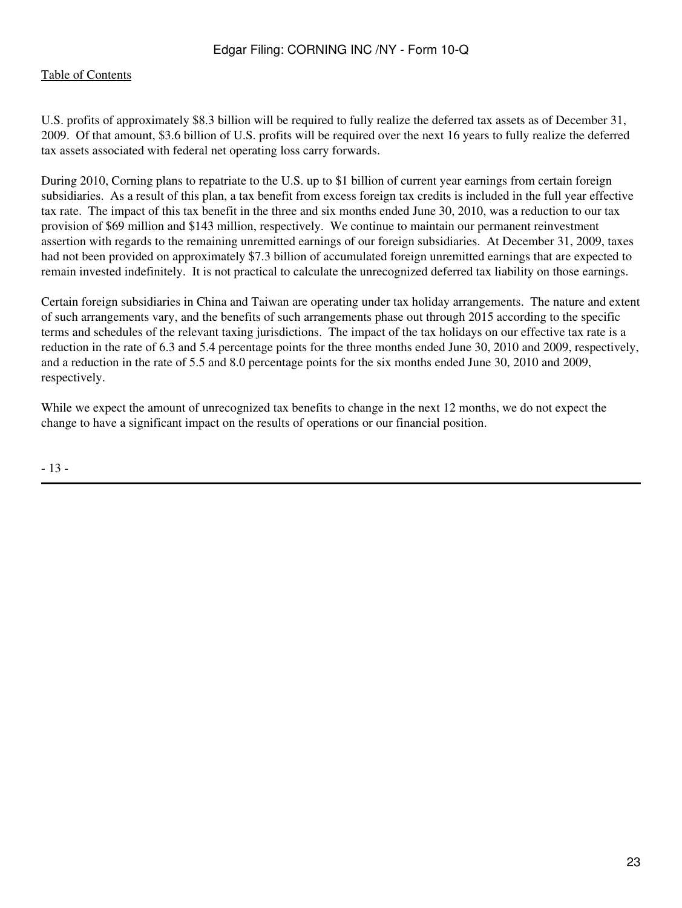U.S. profits of approximately \$8.3 billion will be required to fully realize the deferred tax assets as of December 31, 2009. Of that amount, \$3.6 billion of U.S. profits will be required over the next 16 years to fully realize the deferred tax assets associated with federal net operating loss carry forwards.

During 2010, Corning plans to repatriate to the U.S. up to \$1 billion of current year earnings from certain foreign subsidiaries. As a result of this plan, a tax benefit from excess foreign tax credits is included in the full year effective tax rate. The impact of this tax benefit in the three and six months ended June 30, 2010, was a reduction to our tax provision of \$69 million and \$143 million, respectively. We continue to maintain our permanent reinvestment assertion with regards to the remaining unremitted earnings of our foreign subsidiaries. At December 31, 2009, taxes had not been provided on approximately \$7.3 billion of accumulated foreign unremitted earnings that are expected to remain invested indefinitely. It is not practical to calculate the unrecognized deferred tax liability on those earnings.

Certain foreign subsidiaries in China and Taiwan are operating under tax holiday arrangements. The nature and extent of such arrangements vary, and the benefits of such arrangements phase out through 2015 according to the specific terms and schedules of the relevant taxing jurisdictions. The impact of the tax holidays on our effective tax rate is a reduction in the rate of 6.3 and 5.4 percentage points for the three months ended June 30, 2010 and 2009, respectively, and a reduction in the rate of 5.5 and 8.0 percentage points for the six months ended June 30, 2010 and 2009, respectively.

While we expect the amount of unrecognized tax benefits to change in the next 12 months, we do not expect the change to have a significant impact on the results of operations or our financial position.

- 13 -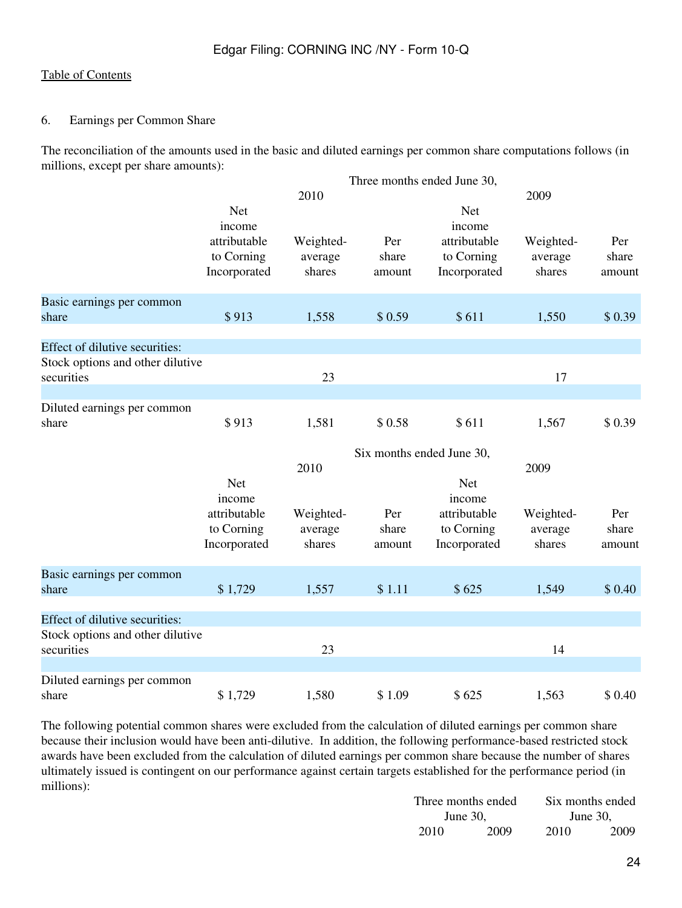#### 6. Earnings per Common Share

The reconciliation of the amounts used in the basic and diluted earnings per common share computations follows (in millions, except per share amounts): Three months ended June 30,

|                                                |                                            |                                |                        | I nree months ended June 30,               |                                |                        |
|------------------------------------------------|--------------------------------------------|--------------------------------|------------------------|--------------------------------------------|--------------------------------|------------------------|
|                                                |                                            | 2010                           |                        |                                            | 2009                           |                        |
|                                                | <b>Net</b><br>income                       |                                |                        | <b>Net</b><br>income                       |                                |                        |
|                                                | attributable<br>to Corning<br>Incorporated | Weighted-<br>average<br>shares | Per<br>share<br>amount | attributable<br>to Corning<br>Incorporated | Weighted-<br>average<br>shares | Per<br>share<br>amount |
| Basic earnings per common<br>share             | \$913                                      | 1,558                          | \$0.59                 | \$611                                      | 1,550                          | \$0.39                 |
| Effect of dilutive securities:                 |                                            |                                |                        |                                            |                                |                        |
| Stock options and other dilutive<br>securities |                                            | 23                             |                        |                                            | 17                             |                        |
|                                                |                                            |                                |                        |                                            |                                |                        |
| Diluted earnings per common<br>share           | \$913                                      | 1,581                          | \$0.58                 | \$611                                      | 1,567                          | \$0.39                 |
|                                                |                                            | 2009                           |                        |                                            |                                |                        |
|                                                | <b>Net</b><br>income                       | 2010                           |                        | <b>Net</b><br>income                       |                                |                        |
|                                                | attributable<br>to Corning<br>Incorporated | Weighted-<br>average<br>shares | Per<br>share<br>amount | attributable<br>to Corning<br>Incorporated | Weighted-<br>average<br>shares | Per<br>share<br>amount |
| Basic earnings per common                      |                                            |                                |                        |                                            |                                |                        |
| share                                          | \$1,729                                    | 1,557                          | \$1.11                 | \$625                                      | 1,549                          | \$0.40                 |
| Effect of dilutive securities:                 |                                            |                                |                        |                                            |                                |                        |
| Stock options and other dilutive<br>securities |                                            | 23                             |                        |                                            | 14                             |                        |
|                                                |                                            |                                |                        |                                            |                                |                        |
| Diluted earnings per common<br>share           | \$1,729                                    | 1,580                          | \$1.09                 | \$625                                      | 1,563                          | \$0.40                 |

The following potential common shares were excluded from the calculation of diluted earnings per common share because their inclusion would have been anti-dilutive. In addition, the following performance-based restricted stock awards have been excluded from the calculation of diluted earnings per common share because the number of shares ultimately issued is contingent on our performance against certain targets established for the performance period (in millions):

| Three months ended |      | Six months ended |      |
|--------------------|------|------------------|------|
| June 30.           |      | June 30.         |      |
| 2010               | 2009 | 2010             | 2009 |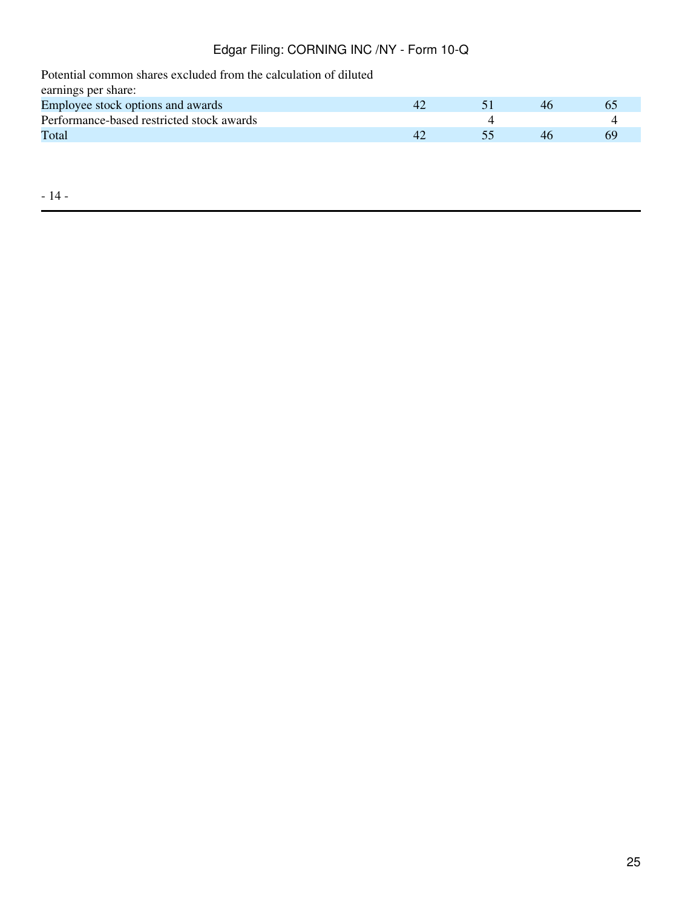Potential common shares excluded from the calculation of diluted

| earnings per share:                       |  |    |
|-------------------------------------------|--|----|
| Employee stock options and awards         |  |    |
| Performance-based restricted stock awards |  |    |
| Total                                     |  | 69 |
|                                           |  |    |

- 14 -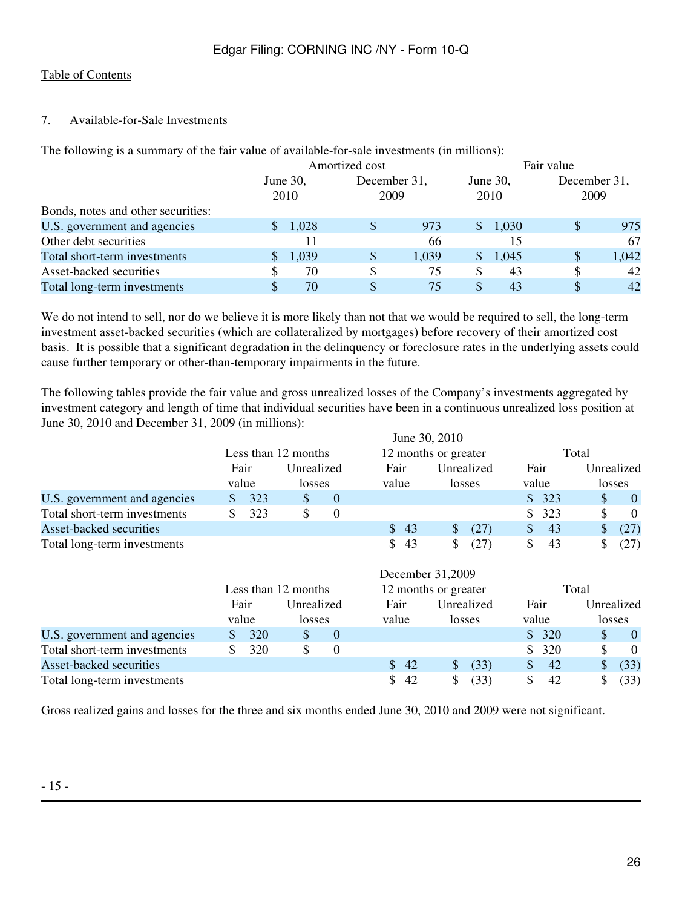## 7. Available-for-Sale Investments

The following is a summary of the fair value of available-for-sale investments (in millions):

|                                    | Amortized cost              |       |               |       |                  | Fair value |      |              |  |
|------------------------------------|-----------------------------|-------|---------------|-------|------------------|------------|------|--------------|--|
|                                    | June $30$ ,<br>2010<br>2009 |       | December 31,  |       | June 30,<br>2010 |            |      | December 31, |  |
|                                    |                             |       |               |       |                  |            | 2009 |              |  |
| Bonds, notes and other securities: |                             |       |               |       |                  |            |      |              |  |
| U.S. government and agencies       |                             | 1,028 | <sup>S</sup>  | 973   | S                | 1,030      | \$   | 975          |  |
| Other debt securities              |                             |       |               | 66    |                  | 15         |      | 67           |  |
| Total short-term investments       |                             | 1,039 | S             | 1,039 | \$.              | 1.045      | \$   | 1,042        |  |
| Asset-backed securities            |                             | 70    | S             | 75    | \$               | 43         | S    | 42           |  |
| Total long-term investments        |                             | 70    | <sup>\$</sup> | 75    | S                | 43         |      | 42           |  |

We do not intend to sell, nor do we believe it is more likely than not that we would be required to sell, the long-term investment asset-backed securities (which are collateralized by mortgages) before recovery of their amortized cost basis. It is possible that a significant degradation in the delinquency or foreclosure rates in the underlying assets could cause further temporary or other-than-temporary impairments in the future.

The following tables provide the fair value and gross unrealized losses of the Company's investments aggregated by investment category and length of time that individual securities have been in a continuous unrealized loss position at June 30, 2010 and December 31, 2009 (in millions):

|                              |                     |       |            |          |                      |                    | June 30, 2010 |       |       |            |          |
|------------------------------|---------------------|-------|------------|----------|----------------------|--------------------|---------------|-------|-------|------------|----------|
|                              | Less than 12 months |       |            |          | 12 months or greater |                    |               | Total |       |            |          |
|                              | Fair                |       | Unrealized |          |                      | Unrealized<br>Fair |               | Fair  |       | Unrealized |          |
|                              |                     | value | losses     |          | value                |                    | losses        |       | value |            | losses   |
| U.S. government and agencies |                     | 323   |            | $\Omega$ |                      |                    |               |       | \$323 |            | $\theta$ |
| Total short-term investments |                     | 323   |            | $\theta$ |                      |                    |               |       | \$323 |            | $\Omega$ |
| Asset-backed securities      |                     |       |            |          |                      | \$43               | (27)          |       | 43    |            | (27)     |
| Total long-term investments  |                     |       |            |          |                      | -43                | (27)          |       | 43    |            | (27)     |

|                              |                     |       |            |          |                      |      | December 31,2009 |            |       |       |            |                |
|------------------------------|---------------------|-------|------------|----------|----------------------|------|------------------|------------|-------|-------|------------|----------------|
|                              | Less than 12 months |       |            |          | 12 months or greater |      |                  |            | Total |       |            |                |
|                              | Fair                |       | Unrealized |          |                      | Fair |                  | Unrealized |       | Fair  | Unrealized |                |
|                              |                     | value | losses     |          | value                |      |                  | losses     |       | value |            | losses         |
| U.S. government and agencies |                     | 320   |            | $\theta$ |                      |      |                  |            |       | \$320 |            | $\overline{0}$ |
| Total short-term investments |                     | 320   |            | $\Omega$ |                      |      |                  |            |       | \$320 |            | $\Omega$       |
| Asset-backed securities      |                     |       |            |          |                      | \$42 |                  | (33)       | \$    | 42    | \$         | (33)           |
| Total long-term investments  |                     |       |            |          |                      | 42   |                  | (33)       |       | 42    |            | (33)           |

Gross realized gains and losses for the three and six months ended June 30, 2010 and 2009 were not significant.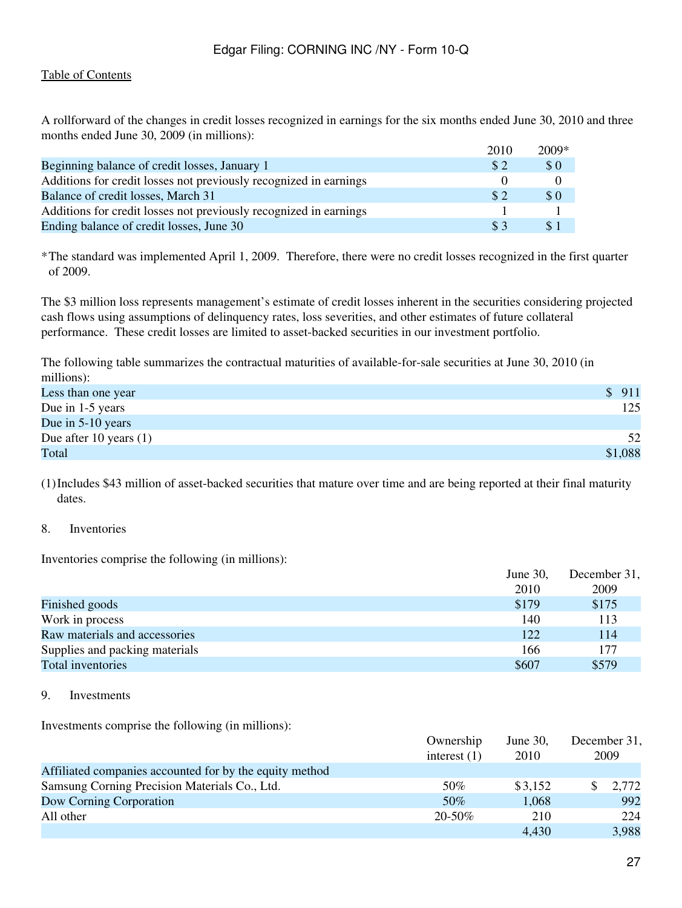#### [Table of Contents](#page-2-0)

A rollforward of the changes in credit losses recognized in earnings for the six months ended June 30, 2010 and three months ended June 30, 2009 (in millions):

|                                                                   | 2010       | $2009*$         |
|-------------------------------------------------------------------|------------|-----------------|
| Beginning balance of credit losses, January 1                     | \$2        | $\sqrt{3}0$     |
| Additions for credit losses not previously recognized in earnings |            |                 |
| Balance of credit losses, March 31                                | $\sqrt{3}$ | $\Omega$        |
| Additions for credit losses not previously recognized in earnings |            |                 |
| Ending balance of credit losses, June 30                          | \$3        | $\mathbf{\$}$ 1 |

\*The standard was implemented April 1, 2009. Therefore, there were no credit losses recognized in the first quarter of 2009.

The \$3 million loss represents management's estimate of credit losses inherent in the securities considering projected cash flows using assumptions of delinquency rates, loss severities, and other estimates of future collateral performance. These credit losses are limited to asset-backed securities in our investment portfolio.

The following table summarizes the contractual maturities of available-for-sale securities at June 30, 2010 (in millions):

| Less than one year       | \$<br>911 |
|--------------------------|-----------|
| Due in 1-5 years         | 125       |
| Due in 5-10 years        |           |
| Due after 10 years $(1)$ | 52        |
| Total                    | \$1,088   |

(1)Includes \$43 million of asset-backed securities that mature over time and are being reported at their final maturity dates.

#### 8. Inventories

Inventories comprise the following (in millions):

|                                | June 30, | December 31, |
|--------------------------------|----------|--------------|
|                                | 2010     | 2009         |
| Finished goods                 | \$179    | \$175        |
| Work in process                | 140      | 113          |
| Raw materials and accessories  | 122      | 114          |
| Supplies and packing materials | 166      | 177          |
| Total inventories              | \$607    | \$579        |

#### 9. Investments

Investments comprise the following (in millions):

|                                                         | Ownership      | June $30$ . | December 31, |
|---------------------------------------------------------|----------------|-------------|--------------|
|                                                         | interest $(1)$ | 2010        | 2009         |
| Affiliated companies accounted for by the equity method |                |             |              |
| Samsung Corning Precision Materials Co., Ltd.           | 50%            | \$3,152     | 2,772        |
| Dow Corning Corporation                                 | 50%            | 1,068       | 992          |
| All other                                               | $20 - 50\%$    | 210         | 224          |
|                                                         |                | 4.430       | 3,988        |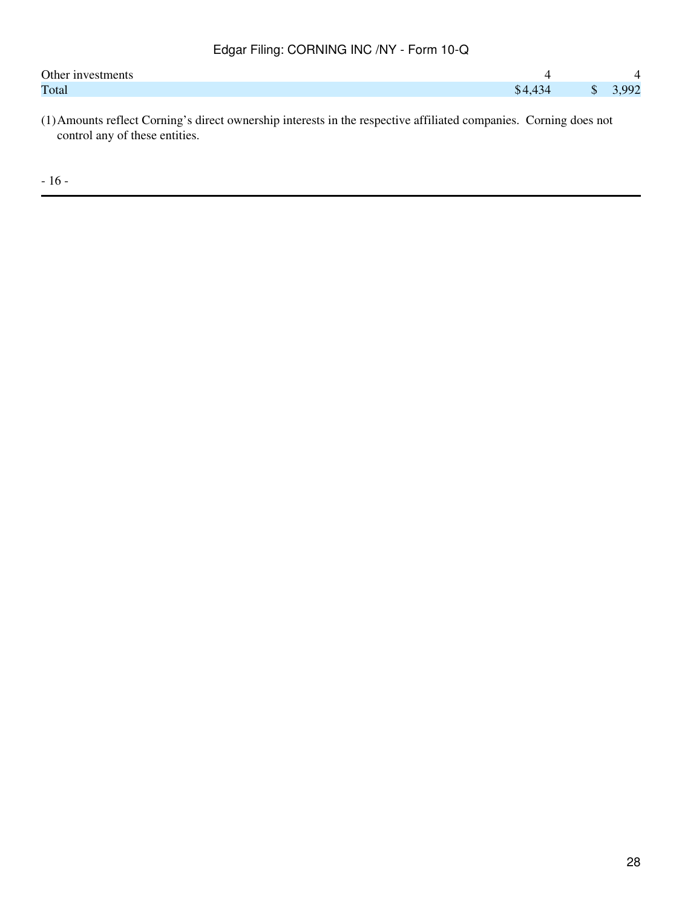| Other investments |   |                  |
|-------------------|---|------------------|
| Total             | Φ | .90 <sup>o</sup> |

(1)Amounts reflect Corning's direct ownership interests in the respective affiliated companies. Corning does not control any of these entities.

- 16 -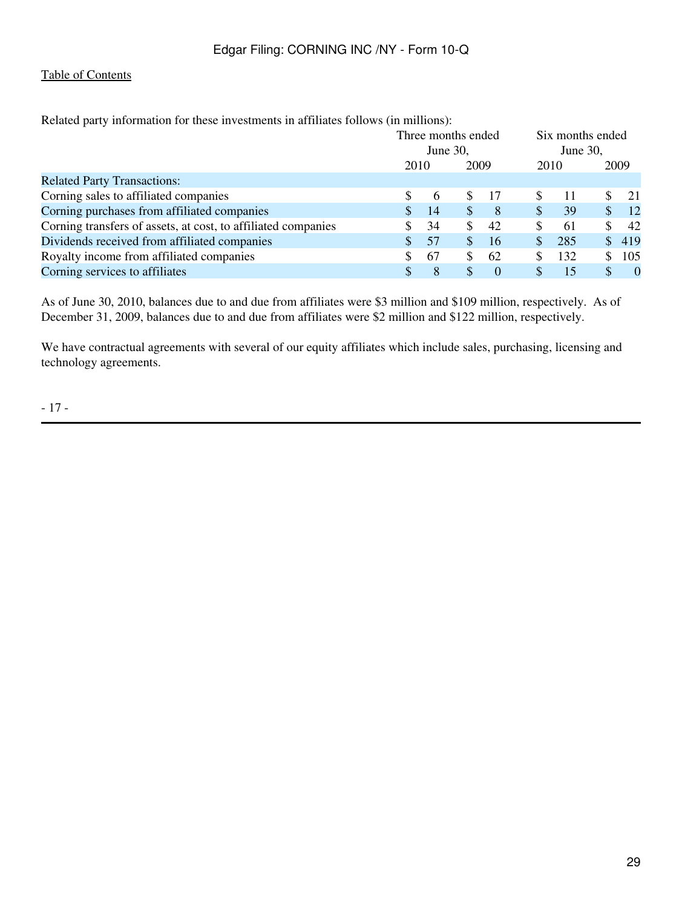| Related party information for these investments in affiliates follows (in millions): |                                   |              |    |                                 |      |     |               |          |
|--------------------------------------------------------------------------------------|-----------------------------------|--------------|----|---------------------------------|------|-----|---------------|----------|
|                                                                                      | Three months ended<br>June $30$ , |              |    | Six months ended<br>June $30$ , |      |     |               |          |
|                                                                                      | 2010<br>2009                      |              |    |                                 | 2010 |     |               | 2009     |
| <b>Related Party Transactions:</b>                                                   |                                   |              |    |                                 |      |     |               |          |
| Corning sales to affiliated companies                                                |                                   | $\mathbf{a}$ | S  | 17                              | S    | 11  | S             | 21       |
| Corning purchases from affiliated companies                                          |                                   | -14          | S  | 8                               | \$   | 39  | <sup>\$</sup> | -12      |
| Corning transfers of assets, at cost, to affiliated companies                        |                                   | 34           | \$ | 42                              | \$   | 61  | S             | 42       |
| Dividends received from affiliated companies                                         | S                                 | 57           | S  | 16                              | S    | 285 | <sup>\$</sup> | 419      |
| Royalty income from affiliated companies                                             |                                   | 67           | S. | 62                              | S    | 132 | S             | 105      |
| Corning services to affiliates                                                       | S                                 | 8            |    | $\Omega$                        | S    | 15  | \$            | $\theta$ |

As of June 30, 2010, balances due to and due from affiliates were \$3 million and \$109 million, respectively. As of December 31, 2009, balances due to and due from affiliates were \$2 million and \$122 million, respectively.

We have contractual agreements with several of our equity affiliates which include sales, purchasing, licensing and technology agreements.

- 17 -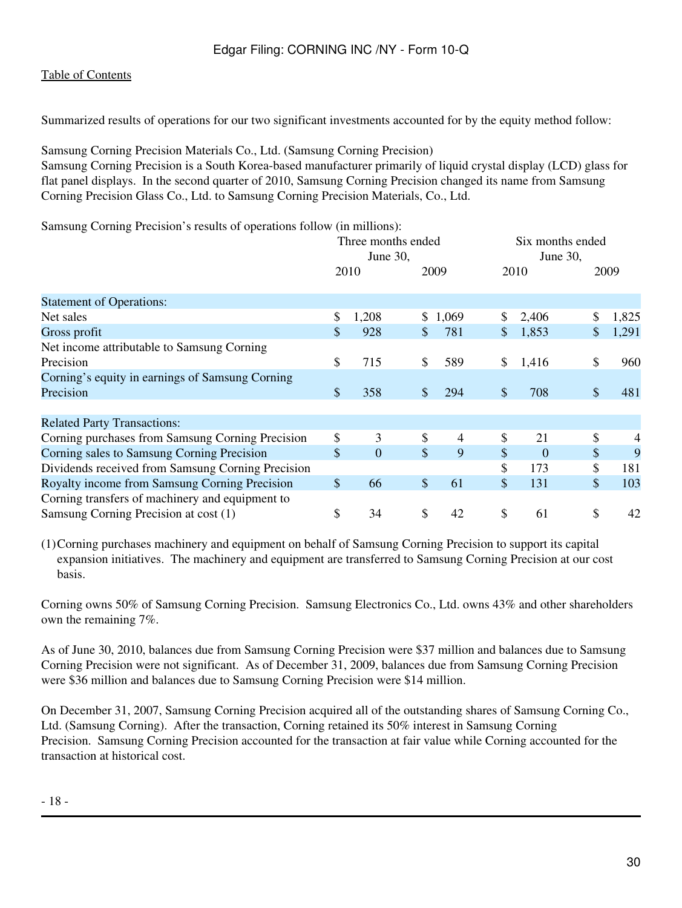#### [Table of Contents](#page-2-0)

Summarized results of operations for our two significant investments accounted for by the equity method follow:

Samsung Corning Precision Materials Co., Ltd. (Samsung Corning Precision)

Samsung Corning Precision is a South Korea-based manufacturer primarily of liquid crystal display (LCD) glass for flat panel displays. In the second quarter of 2010, Samsung Corning Precision changed its name from Samsung Corning Precision Glass Co., Ltd. to Samsung Corning Precision Materials, Co., Ltd.

Samsung Corning Precision's results of operations follow (in millions):

|                                                   | Three months ended<br>June 30, |                |                           |         |              | Six months ended<br>June 30, |                           |       |  |
|---------------------------------------------------|--------------------------------|----------------|---------------------------|---------|--------------|------------------------------|---------------------------|-------|--|
|                                                   |                                | 2010           |                           | 2009    |              | 2010                         |                           | 2009  |  |
| <b>Statement of Operations:</b>                   |                                |                |                           |         |              |                              |                           |       |  |
| Net sales                                         | \$                             | 1,208          |                           | \$1,069 | \$           | 2,406                        |                           | 1,825 |  |
| Gross profit                                      | \$                             | 928            | \$                        | 781     | \$           | 1,853                        |                           | 1,291 |  |
| Net income attributable to Samsung Corning        |                                |                |                           |         |              |                              |                           |       |  |
| Precision                                         | \$                             | 715            | \$                        | 589     | \$           | 1,416                        | \$                        | 960   |  |
| Corning's equity in earnings of Samsung Corning   |                                |                |                           |         |              |                              |                           |       |  |
| Precision                                         | \$                             | 358            | \$                        | 294     | $\mathbb{S}$ | 708                          | \$                        | 481   |  |
|                                                   |                                |                |                           |         |              |                              |                           |       |  |
| <b>Related Party Transactions:</b>                |                                |                |                           |         |              |                              |                           |       |  |
| Corning purchases from Samsung Corning Precision  | \$                             | 3              | \$                        | 4       | \$           | 21                           | \$                        | 4     |  |
| Corning sales to Samsung Corning Precision        | $\mathcal{S}$                  | $\overline{0}$ | \$                        | 9       | \$           | $\theta$                     | \$                        | 9     |  |
| Dividends received from Samsung Corning Precision |                                |                |                           |         | \$           | 173                          |                           | 181   |  |
| Royalty income from Samsung Corning Precision     | \$                             | 66             | $\boldsymbol{\mathsf{S}}$ | 61      | \$           | 131                          | $\boldsymbol{\mathsf{S}}$ | 103   |  |
| Corning transfers of machinery and equipment to   |                                |                |                           |         |              |                              |                           |       |  |
| Samsung Corning Precision at cost (1)             | \$                             | 34             | \$                        | 42      | \$           | 61                           | \$                        | 42    |  |

(1)Corning purchases machinery and equipment on behalf of Samsung Corning Precision to support its capital expansion initiatives. The machinery and equipment are transferred to Samsung Corning Precision at our cost basis.

Corning owns 50% of Samsung Corning Precision. Samsung Electronics Co., Ltd. owns 43% and other shareholders own the remaining 7%.

As of June 30, 2010, balances due from Samsung Corning Precision were \$37 million and balances due to Samsung Corning Precision were not significant. As of December 31, 2009, balances due from Samsung Corning Precision were \$36 million and balances due to Samsung Corning Precision were \$14 million.

On December 31, 2007, Samsung Corning Precision acquired all of the outstanding shares of Samsung Corning Co., Ltd. (Samsung Corning). After the transaction, Corning retained its 50% interest in Samsung Corning Precision. Samsung Corning Precision accounted for the transaction at fair value while Corning accounted for the transaction at historical cost.

- 18 -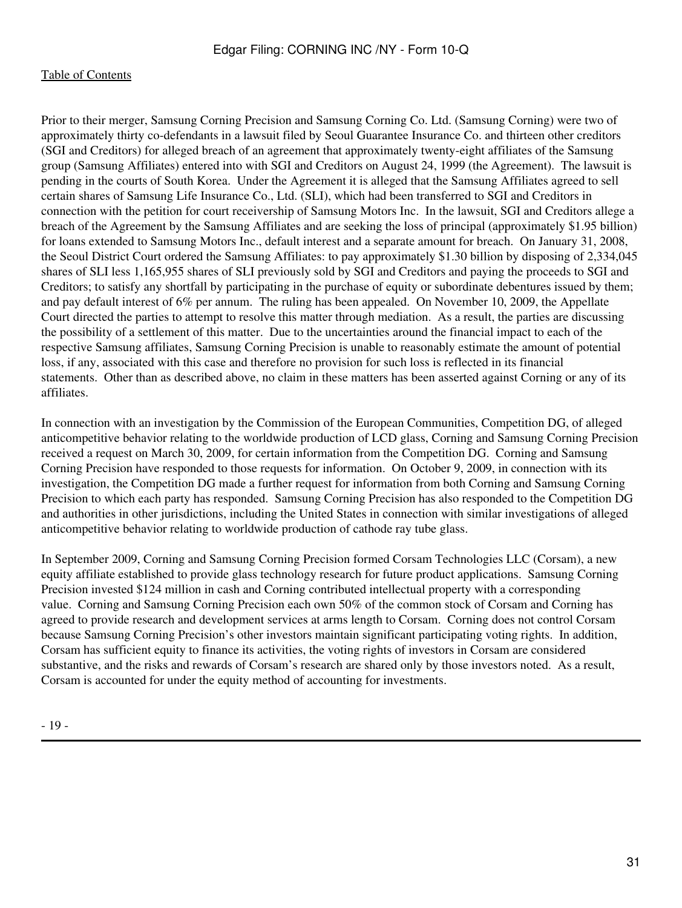Prior to their merger, Samsung Corning Precision and Samsung Corning Co. Ltd. (Samsung Corning) were two of approximately thirty co-defendants in a lawsuit filed by Seoul Guarantee Insurance Co. and thirteen other creditors (SGI and Creditors) for alleged breach of an agreement that approximately twenty-eight affiliates of the Samsung group (Samsung Affiliates) entered into with SGI and Creditors on August 24, 1999 (the Agreement). The lawsuit is pending in the courts of South Korea. Under the Agreement it is alleged that the Samsung Affiliates agreed to sell certain shares of Samsung Life Insurance Co., Ltd. (SLI), which had been transferred to SGI and Creditors in connection with the petition for court receivership of Samsung Motors Inc. In the lawsuit, SGI and Creditors allege a breach of the Agreement by the Samsung Affiliates and are seeking the loss of principal (approximately \$1.95 billion) for loans extended to Samsung Motors Inc., default interest and a separate amount for breach. On January 31, 2008, the Seoul District Court ordered the Samsung Affiliates: to pay approximately \$1.30 billion by disposing of 2,334,045 shares of SLI less 1,165,955 shares of SLI previously sold by SGI and Creditors and paying the proceeds to SGI and Creditors; to satisfy any shortfall by participating in the purchase of equity or subordinate debentures issued by them; and pay default interest of 6% per annum. The ruling has been appealed. On November 10, 2009, the Appellate Court directed the parties to attempt to resolve this matter through mediation. As a result, the parties are discussing the possibility of a settlement of this matter. Due to the uncertainties around the financial impact to each of the respective Samsung affiliates, Samsung Corning Precision is unable to reasonably estimate the amount of potential loss, if any, associated with this case and therefore no provision for such loss is reflected in its financial statements. Other than as described above, no claim in these matters has been asserted against Corning or any of its affiliates.

In connection with an investigation by the Commission of the European Communities, Competition DG, of alleged anticompetitive behavior relating to the worldwide production of LCD glass, Corning and Samsung Corning Precision received a request on March 30, 2009, for certain information from the Competition DG. Corning and Samsung Corning Precision have responded to those requests for information. On October 9, 2009, in connection with its investigation, the Competition DG made a further request for information from both Corning and Samsung Corning Precision to which each party has responded. Samsung Corning Precision has also responded to the Competition DG and authorities in other jurisdictions, including the United States in connection with similar investigations of alleged anticompetitive behavior relating to worldwide production of cathode ray tube glass.

In September 2009, Corning and Samsung Corning Precision formed Corsam Technologies LLC (Corsam), a new equity affiliate established to provide glass technology research for future product applications. Samsung Corning Precision invested \$124 million in cash and Corning contributed intellectual property with a corresponding value. Corning and Samsung Corning Precision each own 50% of the common stock of Corsam and Corning has agreed to provide research and development services at arms length to Corsam. Corning does not control Corsam because Samsung Corning Precision's other investors maintain significant participating voting rights. In addition, Corsam has sufficient equity to finance its activities, the voting rights of investors in Corsam are considered substantive, and the risks and rewards of Corsam's research are shared only by those investors noted. As a result, Corsam is accounted for under the equity method of accounting for investments.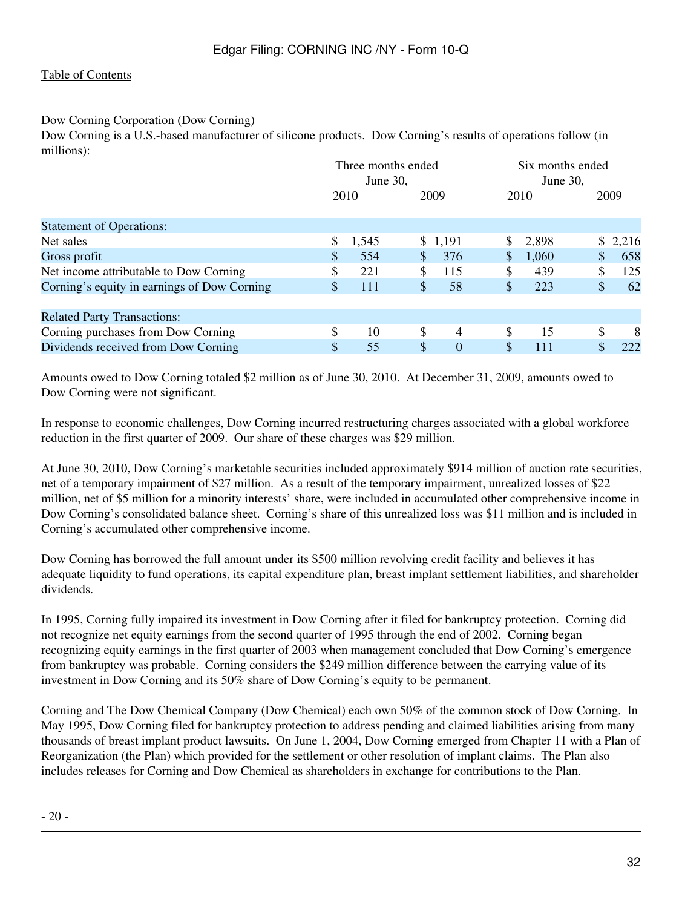Dow Corning Corporation (Dow Corning)

Dow Corning is a U.S.-based manufacturer of silicone products. Dow Corning's results of operations follow (in millions):

|                                             | Three months ended<br>June 30, |    |                |    | Six months ended<br>June 30, |    |         |  |
|---------------------------------------------|--------------------------------|----|----------------|----|------------------------------|----|---------|--|
|                                             | 2010                           |    | 2009           |    | 2010                         |    | 2009    |  |
| <b>Statement of Operations:</b>             |                                |    |                |    |                              |    |         |  |
| Net sales                                   | \$<br>1,545                    |    | \$1,191        | \$ | 2,898                        |    | \$2,216 |  |
| Gross profit                                | \$<br>554                      | \$ | 376            | \$ | 1,060                        | \$ | 658     |  |
| Net income attributable to Dow Corning      | \$<br>221                      | \$ | 115            | \$ | 439                          | \$ | 125     |  |
| Corning's equity in earnings of Dow Corning | \$<br>111                      | S  | 58             | \$ | 223                          | \$ | 62      |  |
| <b>Related Party Transactions:</b>          |                                |    |                |    |                              |    |         |  |
| Corning purchases from Dow Corning          | \$<br>10                       | \$ | $\overline{4}$ | \$ | 15                           | \$ | 8       |  |
| Dividends received from Dow Corning         | \$<br>55                       | \$ | $\theta$       | S  | 111                          |    | 222     |  |

Amounts owed to Dow Corning totaled \$2 million as of June 30, 2010. At December 31, 2009, amounts owed to Dow Corning were not significant.

In response to economic challenges, Dow Corning incurred restructuring charges associated with a global workforce reduction in the first quarter of 2009. Our share of these charges was \$29 million.

At June 30, 2010, Dow Corning's marketable securities included approximately \$914 million of auction rate securities, net of a temporary impairment of \$27 million. As a result of the temporary impairment, unrealized losses of \$22 million, net of \$5 million for a minority interests' share, were included in accumulated other comprehensive income in Dow Corning's consolidated balance sheet. Corning's share of this unrealized loss was \$11 million and is included in Corning's accumulated other comprehensive income.

Dow Corning has borrowed the full amount under its \$500 million revolving credit facility and believes it has adequate liquidity to fund operations, its capital expenditure plan, breast implant settlement liabilities, and shareholder dividends.

In 1995, Corning fully impaired its investment in Dow Corning after it filed for bankruptcy protection. Corning did not recognize net equity earnings from the second quarter of 1995 through the end of 2002. Corning began recognizing equity earnings in the first quarter of 2003 when management concluded that Dow Corning's emergence from bankruptcy was probable. Corning considers the \$249 million difference between the carrying value of its investment in Dow Corning and its 50% share of Dow Corning's equity to be permanent.

Corning and The Dow Chemical Company (Dow Chemical) each own 50% of the common stock of Dow Corning. In May 1995, Dow Corning filed for bankruptcy protection to address pending and claimed liabilities arising from many thousands of breast implant product lawsuits. On June 1, 2004, Dow Corning emerged from Chapter 11 with a Plan of Reorganization (the Plan) which provided for the settlement or other resolution of implant claims. The Plan also includes releases for Corning and Dow Chemical as shareholders in exchange for contributions to the Plan.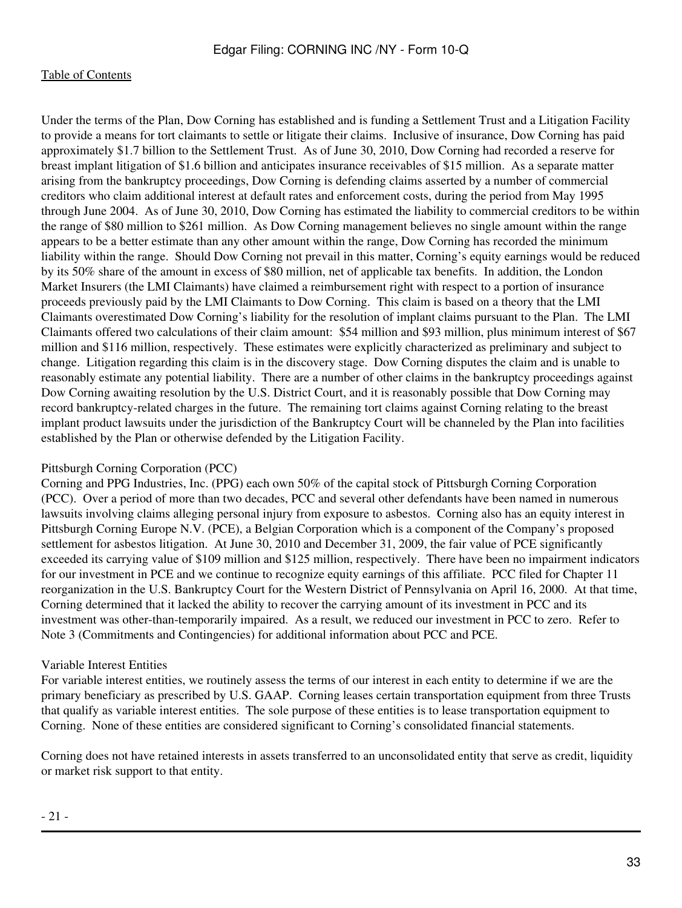Under the terms of the Plan, Dow Corning has established and is funding a Settlement Trust and a Litigation Facility to provide a means for tort claimants to settle or litigate their claims. Inclusive of insurance, Dow Corning has paid approximately \$1.7 billion to the Settlement Trust. As of June 30, 2010, Dow Corning had recorded a reserve for breast implant litigation of \$1.6 billion and anticipates insurance receivables of \$15 million. As a separate matter arising from the bankruptcy proceedings, Dow Corning is defending claims asserted by a number of commercial creditors who claim additional interest at default rates and enforcement costs, during the period from May 1995 through June 2004. As of June 30, 2010, Dow Corning has estimated the liability to commercial creditors to be within the range of \$80 million to \$261 million. As Dow Corning management believes no single amount within the range appears to be a better estimate than any other amount within the range, Dow Corning has recorded the minimum liability within the range. Should Dow Corning not prevail in this matter, Corning's equity earnings would be reduced by its 50% share of the amount in excess of \$80 million, net of applicable tax benefits. In addition, the London Market Insurers (the LMI Claimants) have claimed a reimbursement right with respect to a portion of insurance proceeds previously paid by the LMI Claimants to Dow Corning. This claim is based on a theory that the LMI Claimants overestimated Dow Corning's liability for the resolution of implant claims pursuant to the Plan. The LMI Claimants offered two calculations of their claim amount: \$54 million and \$93 million, plus minimum interest of \$67 million and \$116 million, respectively. These estimates were explicitly characterized as preliminary and subject to change. Litigation regarding this claim is in the discovery stage. Dow Corning disputes the claim and is unable to reasonably estimate any potential liability. There are a number of other claims in the bankruptcy proceedings against Dow Corning awaiting resolution by the U.S. District Court, and it is reasonably possible that Dow Corning may record bankruptcy-related charges in the future. The remaining tort claims against Corning relating to the breast implant product lawsuits under the jurisdiction of the Bankruptcy Court will be channeled by the Plan into facilities established by the Plan or otherwise defended by the Litigation Facility.

# Pittsburgh Corning Corporation (PCC)

Corning and PPG Industries, Inc. (PPG) each own 50% of the capital stock of Pittsburgh Corning Corporation (PCC). Over a period of more than two decades, PCC and several other defendants have been named in numerous lawsuits involving claims alleging personal injury from exposure to asbestos. Corning also has an equity interest in Pittsburgh Corning Europe N.V. (PCE), a Belgian Corporation which is a component of the Company's proposed settlement for asbestos litigation. At June 30, 2010 and December 31, 2009, the fair value of PCE significantly exceeded its carrying value of \$109 million and \$125 million, respectively. There have been no impairment indicators for our investment in PCE and we continue to recognize equity earnings of this affiliate. PCC filed for Chapter 11 reorganization in the U.S. Bankruptcy Court for the Western District of Pennsylvania on April 16, 2000. At that time, Corning determined that it lacked the ability to recover the carrying amount of its investment in PCC and its investment was other-than-temporarily impaired. As a result, we reduced our investment in PCC to zero. Refer to Note 3 (Commitments and Contingencies) for additional information about PCC and PCE.

# Variable Interest Entities

For variable interest entities, we routinely assess the terms of our interest in each entity to determine if we are the primary beneficiary as prescribed by U.S. GAAP. Corning leases certain transportation equipment from three Trusts that qualify as variable interest entities. The sole purpose of these entities is to lease transportation equipment to Corning. None of these entities are considered significant to Corning's consolidated financial statements.

Corning does not have retained interests in assets transferred to an unconsolidated entity that serve as credit, liquidity or market risk support to that entity.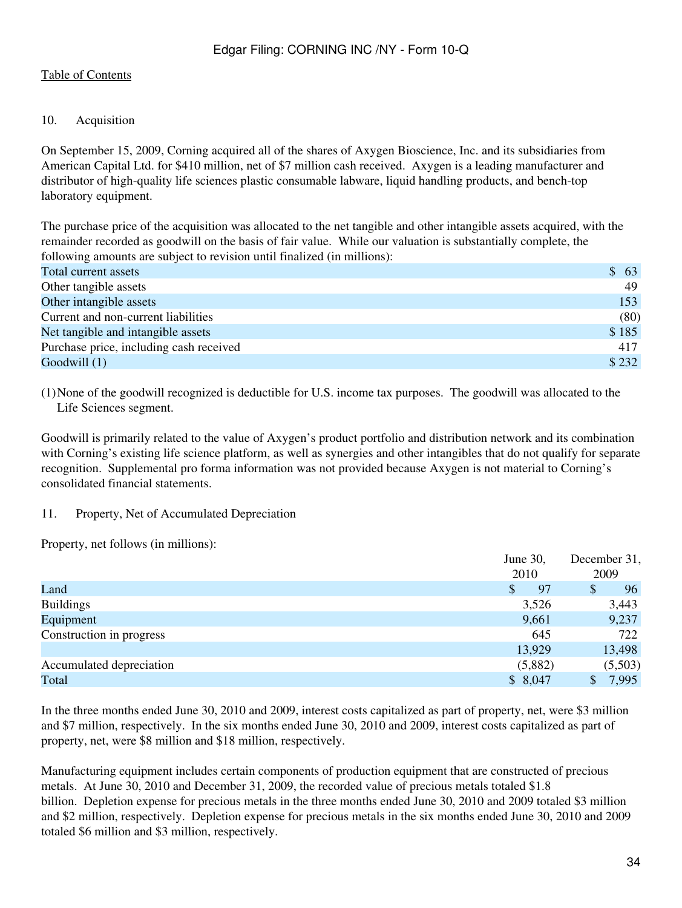# 10. Acquisition

On September 15, 2009, Corning acquired all of the shares of Axygen Bioscience, Inc. and its subsidiaries from American Capital Ltd. for \$410 million, net of \$7 million cash received. Axygen is a leading manufacturer and distributor of high-quality life sciences plastic consumable labware, liquid handling products, and bench-top laboratory equipment.

The purchase price of the acquisition was allocated to the net tangible and other intangible assets acquired, with the remainder recorded as goodwill on the basis of fair value. While our valuation is substantially complete, the following amounts are subject to revision until finalized (in millions):

| Total current assets                    |  |  | \$63  |
|-----------------------------------------|--|--|-------|
| Other tangible assets                   |  |  | 49    |
| Other intangible assets                 |  |  | 153   |
| Current and non-current liabilities     |  |  | (80)  |
| Net tangible and intangible assets      |  |  | \$185 |
| Purchase price, including cash received |  |  | 417   |
| Goodwill $(1)$                          |  |  | \$232 |

(1)None of the goodwill recognized is deductible for U.S. income tax purposes. The goodwill was allocated to the Life Sciences segment.

Goodwill is primarily related to the value of Axygen's product portfolio and distribution network and its combination with Corning's existing life science platform, as well as synergies and other intangibles that do not qualify for separate recognition. Supplemental pro forma information was not provided because Axygen is not material to Corning's consolidated financial statements.

#### 11. Property, Net of Accumulated Depreciation

Property, net follows (in millions):

|                          | June 30, | December 31,           |
|--------------------------|----------|------------------------|
|                          | 2010     | 2009                   |
| Land                     | 97<br>\$ | \$<br>96               |
| <b>Buildings</b>         | 3,526    | 3,443                  |
| Equipment                | 9,661    | 9,237                  |
| Construction in progress | 645      | 722                    |
|                          | 13,929   | 13,498                 |
| Accumulated depreciation | (5,882)  | (5,503)                |
| Total                    | \$8,047  | 7,995<br>$\mathcal{S}$ |
|                          |          |                        |

In the three months ended June 30, 2010 and 2009, interest costs capitalized as part of property, net, were \$3 million and \$7 million, respectively. In the six months ended June 30, 2010 and 2009, interest costs capitalized as part of property, net, were \$8 million and \$18 million, respectively.

Manufacturing equipment includes certain components of production equipment that are constructed of precious metals. At June 30, 2010 and December 31, 2009, the recorded value of precious metals totaled \$1.8 billion. Depletion expense for precious metals in the three months ended June 30, 2010 and 2009 totaled \$3 million and \$2 million, respectively. Depletion expense for precious metals in the six months ended June 30, 2010 and 2009 totaled \$6 million and \$3 million, respectively.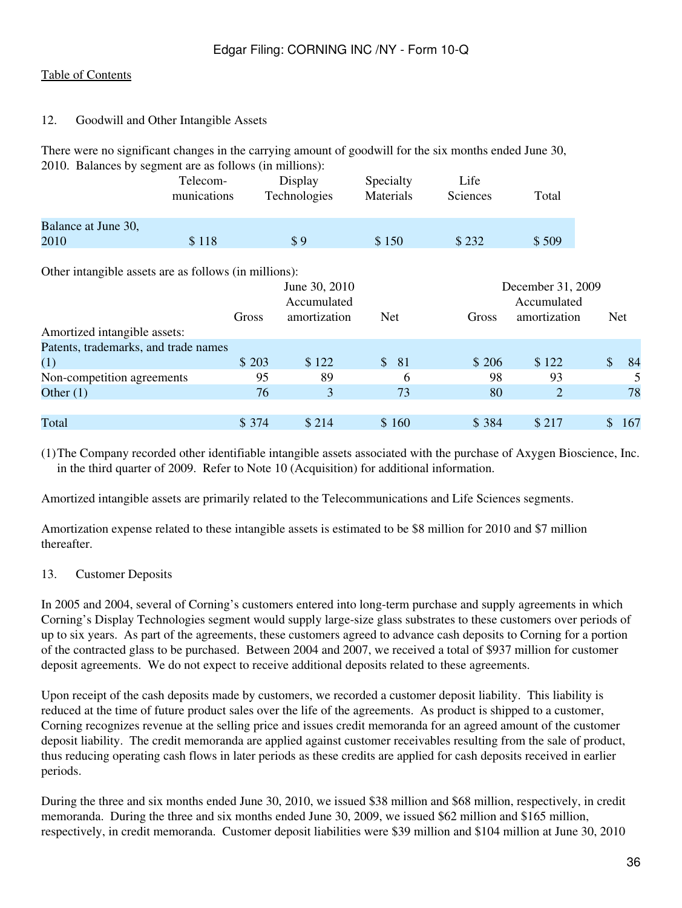#### 12. Goodwill and Other Intangible Assets

There were no significant changes in the carrying amount of goodwill for the six months ended June 30, 2010. Balances by segment are as follows (in millions):

|                             | Telecom-<br>munications | Display<br>Technologies | Specialty<br>Materials | Life<br>Sciences | Total |
|-----------------------------|-------------------------|-------------------------|------------------------|------------------|-------|
| Balance at June 30,<br>2010 | \$118                   | \$9                     | \$150                  | \$232            | \$509 |

Other intangible assets are as follows (in millions):

|                                      | Gross  | June 30, 2010<br>Accumulated<br>amortization | <b>Net</b>         | Gross  | December 31, 2009<br>Accumulated<br>amortization | <b>Net</b> |     |
|--------------------------------------|--------|----------------------------------------------|--------------------|--------|--------------------------------------------------|------------|-----|
| Amortized intangible assets:         |        |                                              |                    |        |                                                  |            |     |
| Patents, trademarks, and trade names |        |                                              |                    |        |                                                  |            |     |
| (1)                                  | \$203  | \$122                                        | 81<br>$\mathbb{S}$ | \$206  | \$122                                            |            | 84  |
| Non-competition agreements           | 95     | 89                                           | 6                  | 98     | 93                                               |            | 5   |
| Other $(1)$                          | 76     | 3                                            | 73                 | 80     | $\overline{2}$                                   |            | 78  |
|                                      |        |                                              |                    |        |                                                  |            |     |
| Total                                | \$ 374 | \$214                                        | \$160              | \$ 384 | \$217                                            |            | 167 |

(1)The Company recorded other identifiable intangible assets associated with the purchase of Axygen Bioscience, Inc. in the third quarter of 2009. Refer to Note 10 (Acquisition) for additional information.

Amortized intangible assets are primarily related to the Telecommunications and Life Sciences segments.

Amortization expense related to these intangible assets is estimated to be \$8 million for 2010 and \$7 million thereafter.

#### 13. Customer Deposits

In 2005 and 2004, several of Corning's customers entered into long-term purchase and supply agreements in which Corning's Display Technologies segment would supply large-size glass substrates to these customers over periods of up to six years. As part of the agreements, these customers agreed to advance cash deposits to Corning for a portion of the contracted glass to be purchased. Between 2004 and 2007, we received a total of \$937 million for customer deposit agreements. We do not expect to receive additional deposits related to these agreements.

Upon receipt of the cash deposits made by customers, we recorded a customer deposit liability. This liability is reduced at the time of future product sales over the life of the agreements. As product is shipped to a customer, Corning recognizes revenue at the selling price and issues credit memoranda for an agreed amount of the customer deposit liability. The credit memoranda are applied against customer receivables resulting from the sale of product, thus reducing operating cash flows in later periods as these credits are applied for cash deposits received in earlier periods.

During the three and six months ended June 30, 2010, we issued \$38 million and \$68 million, respectively, in credit memoranda. During the three and six months ended June 30, 2009, we issued \$62 million and \$165 million, respectively, in credit memoranda. Customer deposit liabilities were \$39 million and \$104 million at June 30, 2010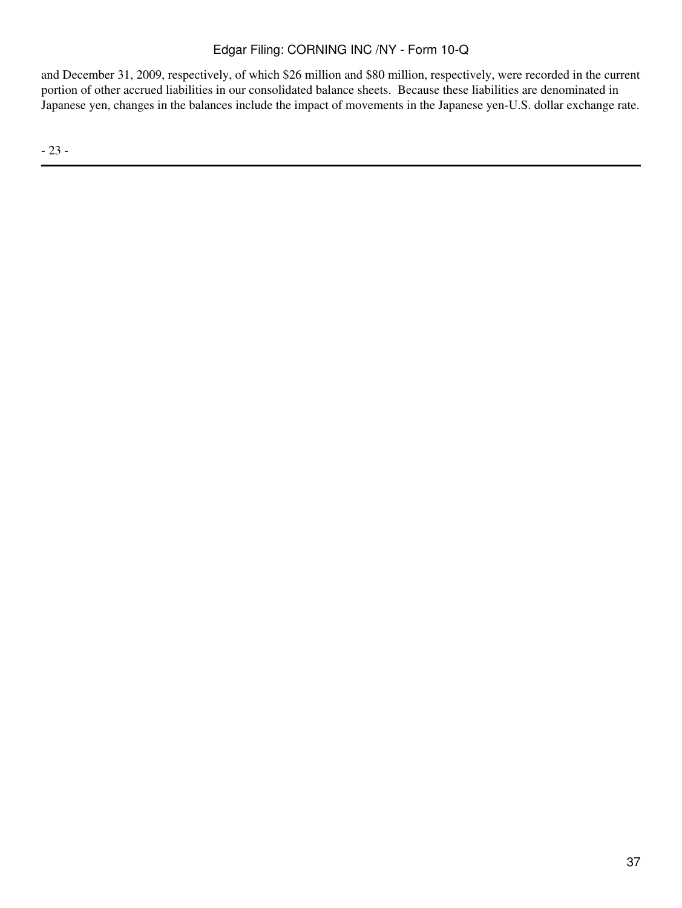and December 31, 2009, respectively, of which \$26 million and \$80 million, respectively, were recorded in the current portion of other accrued liabilities in our consolidated balance sheets. Because these liabilities are denominated in Japanese yen, changes in the balances include the impact of movements in the Japanese yen-U.S. dollar exchange rate.

- 23 -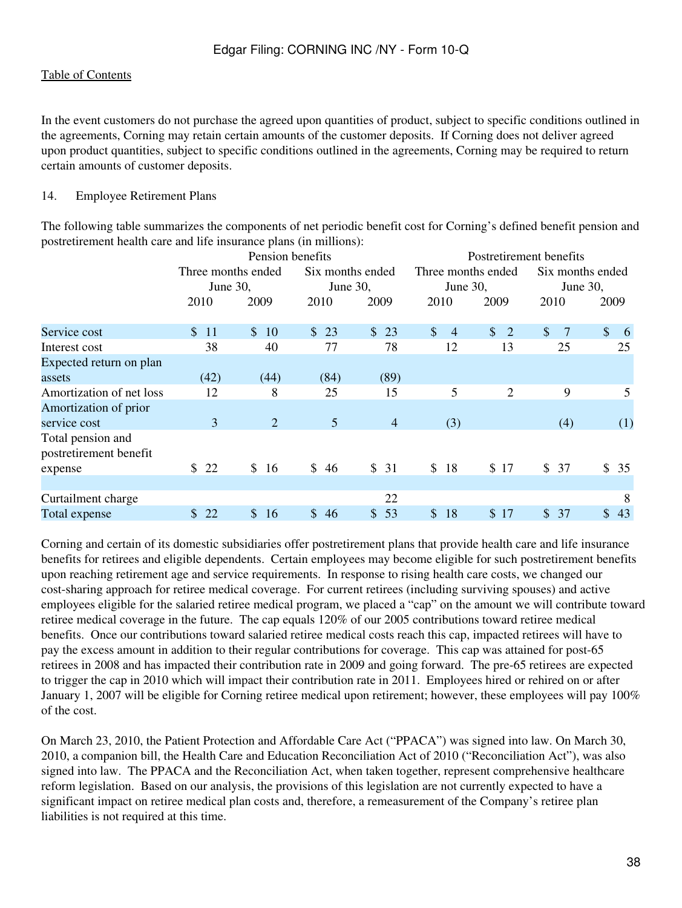In the event customers do not purchase the agreed upon quantities of product, subject to specific conditions outlined in the agreements, Corning may retain certain amounts of the customer deposits. If Corning does not deliver agreed upon product quantities, subject to specific conditions outlined in the agreements, Corning may be required to return certain amounts of customer deposits.

#### 14. Employee Retirement Plans

The following table summarizes the components of net periodic benefit cost for Corning's defined benefit pension and postretirement health care and life insurance plans (in millions):

|                                             |                    | Pension benefits    |                    |                | Postretirement benefits         |                              |                      |                     |  |  |  |  |
|---------------------------------------------|--------------------|---------------------|--------------------|----------------|---------------------------------|------------------------------|----------------------|---------------------|--|--|--|--|
|                                             | Three months ended |                     | Six months ended   |                | Three months ended              |                              | Six months ended     |                     |  |  |  |  |
|                                             | June 30,           |                     | June 30,           |                | June $30$ ,                     |                              | June 30,             |                     |  |  |  |  |
|                                             | 2010               | 2009                | 2010               | 2009           | 2010                            | 2009                         | 2010                 | 2009                |  |  |  |  |
| Service cost                                | $\mathbb{S}$<br>11 | $\mathbb{S}$<br>10  | 23<br>$\mathbb{S}$ | \$23           | $\mathcal{S}$<br>$\overline{4}$ | $\mathbb{S}$<br><sup>2</sup> | $\mathcal{S}$<br>- 7 | \$<br>-6            |  |  |  |  |
| Interest cost                               | 38                 | 40                  | 77                 | 78             | 12                              | 13                           | 25                   | 25                  |  |  |  |  |
| Expected return on plan                     |                    |                     |                    |                |                                 |                              |                      |                     |  |  |  |  |
| assets                                      | (42)               | (44)                | (84)               | (89)           |                                 |                              |                      |                     |  |  |  |  |
| Amortization of net loss                    | 12                 | 8                   | 25                 | 15             | 5                               | $\overline{2}$               | 9                    | 5                   |  |  |  |  |
| Amortization of prior                       |                    |                     |                    |                |                                 |                              |                      |                     |  |  |  |  |
| service cost                                | 3                  | $\overline{2}$      | $5\overline{)}$    | $\overline{4}$ | (3)                             |                              | (4)                  | (1)                 |  |  |  |  |
| Total pension and<br>postretirement benefit |                    |                     |                    |                |                                 |                              |                      |                     |  |  |  |  |
| expense                                     | \$<br>22           | \$<br>16            | \$<br>46           | \$31           | $\mathbb{S}$<br>18              | \$17                         | \$37                 | \$<br>35            |  |  |  |  |
| Curtailment charge                          |                    |                     |                    | 22             |                                 |                              |                      | 8                   |  |  |  |  |
| Total expense                               | $\mathbb{S}$<br>22 | <sup>\$</sup><br>16 | \$46               | \$53           | $\mathcal{S}$<br>18             | \$17                         | 37<br>$\mathcal{S}$  | $\mathcal{S}$<br>43 |  |  |  |  |

Corning and certain of its domestic subsidiaries offer postretirement plans that provide health care and life insurance benefits for retirees and eligible dependents. Certain employees may become eligible for such postretirement benefits upon reaching retirement age and service requirements. In response to rising health care costs, we changed our cost-sharing approach for retiree medical coverage. For current retirees (including surviving spouses) and active employees eligible for the salaried retiree medical program, we placed a "cap" on the amount we will contribute toward retiree medical coverage in the future. The cap equals 120% of our 2005 contributions toward retiree medical benefits. Once our contributions toward salaried retiree medical costs reach this cap, impacted retirees will have to pay the excess amount in addition to their regular contributions for coverage. This cap was attained for post-65 retirees in 2008 and has impacted their contribution rate in 2009 and going forward. The pre-65 retirees are expected to trigger the cap in 2010 which will impact their contribution rate in 2011. Employees hired or rehired on or after January 1, 2007 will be eligible for Corning retiree medical upon retirement; however, these employees will pay 100% of the cost.

On March 23, 2010, the Patient Protection and Affordable Care Act ("PPACA") was signed into law. On March 30, 2010, a companion bill, the Health Care and Education Reconciliation Act of 2010 ("Reconciliation Act"), was also signed into law. The PPACA and the Reconciliation Act, when taken together, represent comprehensive healthcare reform legislation. Based on our analysis, the provisions of this legislation are not currently expected to have a significant impact on retiree medical plan costs and, therefore, a remeasurement of the Company's retiree plan liabilities is not required at this time.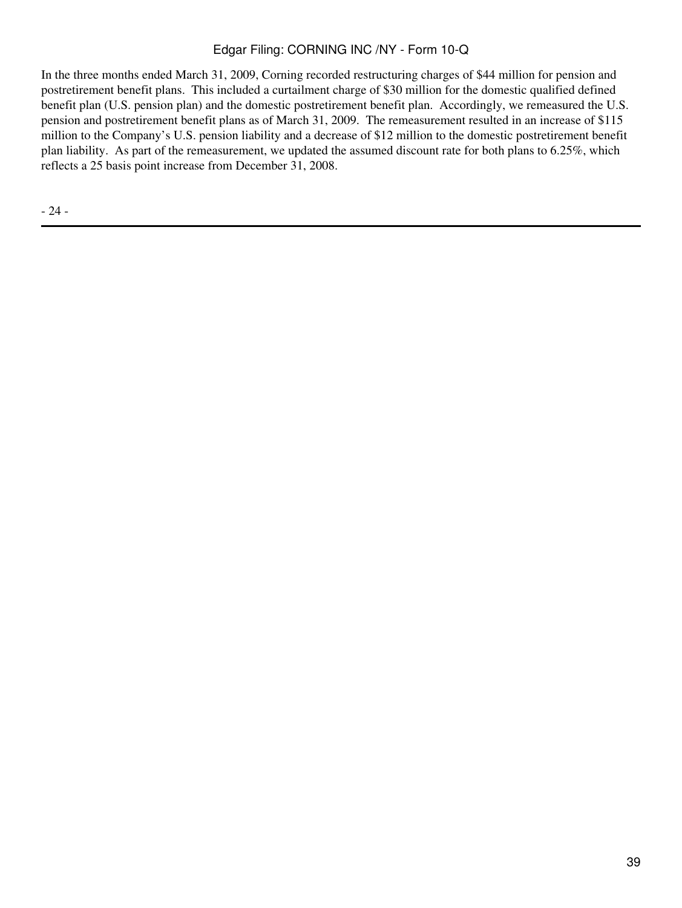In the three months ended March 31, 2009, Corning recorded restructuring charges of \$44 million for pension and postretirement benefit plans. This included a curtailment charge of \$30 million for the domestic qualified defined benefit plan (U.S. pension plan) and the domestic postretirement benefit plan. Accordingly, we remeasured the U.S. pension and postretirement benefit plans as of March 31, 2009. The remeasurement resulted in an increase of \$115 million to the Company's U.S. pension liability and a decrease of \$12 million to the domestic postretirement benefit plan liability. As part of the remeasurement, we updated the assumed discount rate for both plans to 6.25%, which reflects a 25 basis point increase from December 31, 2008.

- 24 -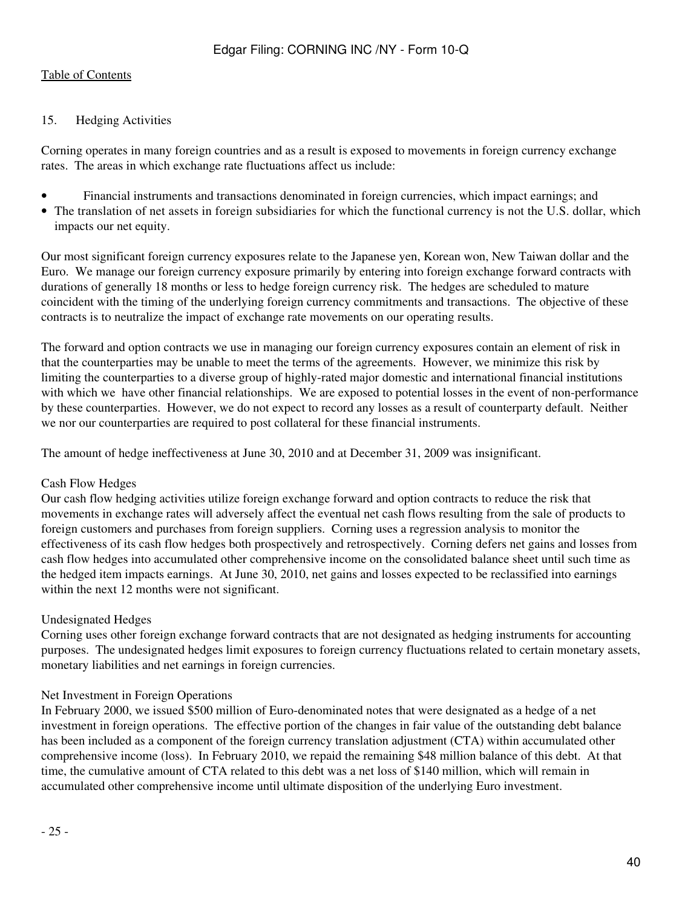### 15. Hedging Activities

Corning operates in many foreign countries and as a result is exposed to movements in foreign currency exchange rates. The areas in which exchange rate fluctuations affect us include:

- Financial instruments and transactions denominated in foreign currencies, which impact earnings; and
- The translation of net assets in foreign subsidiaries for which the functional currency is not the U.S. dollar, which impacts our net equity.

Our most significant foreign currency exposures relate to the Japanese yen, Korean won, New Taiwan dollar and the Euro. We manage our foreign currency exposure primarily by entering into foreign exchange forward contracts with durations of generally 18 months or less to hedge foreign currency risk. The hedges are scheduled to mature coincident with the timing of the underlying foreign currency commitments and transactions. The objective of these contracts is to neutralize the impact of exchange rate movements on our operating results.

The forward and option contracts we use in managing our foreign currency exposures contain an element of risk in that the counterparties may be unable to meet the terms of the agreements. However, we minimize this risk by limiting the counterparties to a diverse group of highly-rated major domestic and international financial institutions with which we have other financial relationships. We are exposed to potential losses in the event of non-performance by these counterparties. However, we do not expect to record any losses as a result of counterparty default. Neither we nor our counterparties are required to post collateral for these financial instruments.

The amount of hedge ineffectiveness at June 30, 2010 and at December 31, 2009 was insignificant.

### Cash Flow Hedges

Our cash flow hedging activities utilize foreign exchange forward and option contracts to reduce the risk that movements in exchange rates will adversely affect the eventual net cash flows resulting from the sale of products to foreign customers and purchases from foreign suppliers. Corning uses a regression analysis to monitor the effectiveness of its cash flow hedges both prospectively and retrospectively. Corning defers net gains and losses from cash flow hedges into accumulated other comprehensive income on the consolidated balance sheet until such time as the hedged item impacts earnings. At June 30, 2010, net gains and losses expected to be reclassified into earnings within the next 12 months were not significant.

### Undesignated Hedges

Corning uses other foreign exchange forward contracts that are not designated as hedging instruments for accounting purposes. The undesignated hedges limit exposures to foreign currency fluctuations related to certain monetary assets, monetary liabilities and net earnings in foreign currencies.

#### Net Investment in Foreign Operations

In February 2000, we issued \$500 million of Euro-denominated notes that were designated as a hedge of a net investment in foreign operations. The effective portion of the changes in fair value of the outstanding debt balance has been included as a component of the foreign currency translation adjustment (CTA) within accumulated other comprehensive income (loss). In February 2010, we repaid the remaining \$48 million balance of this debt. At that time, the cumulative amount of CTA related to this debt was a net loss of \$140 million, which will remain in accumulated other comprehensive income until ultimate disposition of the underlying Euro investment.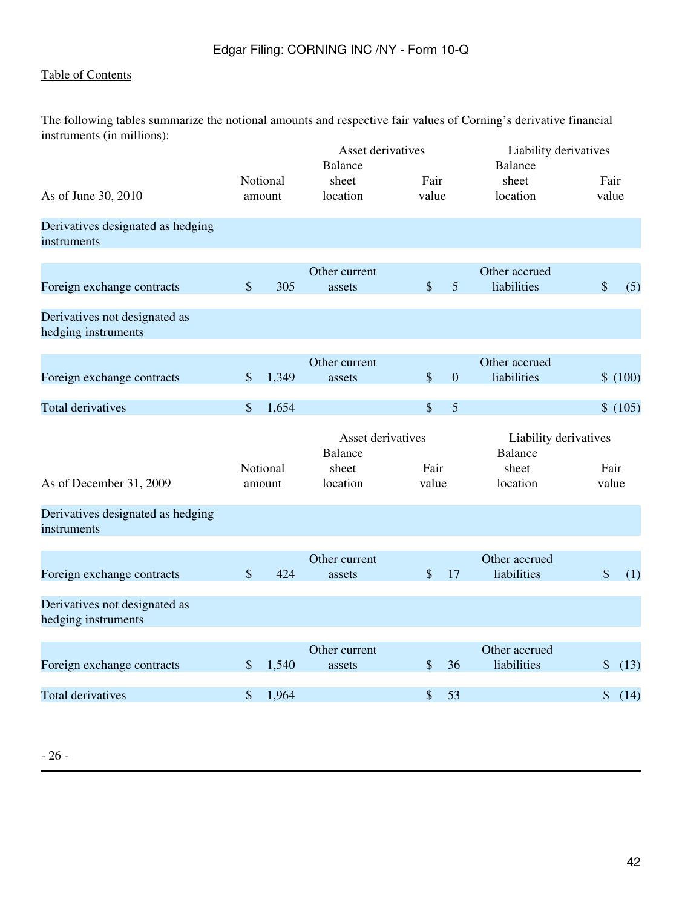The following tables summarize the notional amounts and respective fair values of Corning's derivative financial instruments (in millions):

|                                                      |                           |       | Asset derivatives<br><b>Balance</b>                      |               |                | Liability derivatives<br><b>Balance</b>                      |                          |  |  |  |
|------------------------------------------------------|---------------------------|-------|----------------------------------------------------------|---------------|----------------|--------------------------------------------------------------|--------------------------|--|--|--|
| As of June 30, 2010                                  | Notional<br>amount        |       | sheet<br>location                                        | Fair<br>value |                | sheet<br>location                                            | Fair<br>value            |  |  |  |
| Derivatives designated as hedging<br>instruments     |                           |       |                                                          |               |                |                                                              |                          |  |  |  |
| Foreign exchange contracts                           | $\$\$                     | 305   | Other current<br>assets                                  | \$            | 5              | Other accrued<br>liabilities                                 | $\boldsymbol{\$}$<br>(5) |  |  |  |
| Derivatives not designated as<br>hedging instruments |                           |       |                                                          |               |                |                                                              |                          |  |  |  |
| Foreign exchange contracts                           | \$                        | 1,349 | Other current<br>assets                                  | $\frac{1}{2}$ | $\overline{0}$ | Other accrued<br>liabilities                                 | \$ (100)                 |  |  |  |
| <b>Total derivatives</b>                             | \$                        | 1,654 |                                                          | \$            | 5              |                                                              | \$ (105)                 |  |  |  |
| As of December 31, 2009                              | Notional<br>amount        |       | Asset derivatives<br><b>Balance</b><br>sheet<br>location | Fair<br>value |                | Liability derivatives<br><b>Balance</b><br>sheet<br>location | Fair<br>value            |  |  |  |
| Derivatives designated as hedging<br>instruments     |                           |       |                                                          |               |                |                                                              |                          |  |  |  |
| Foreign exchange contracts                           | $\boldsymbol{\mathsf{S}}$ | 424   | Other current<br>assets                                  | \$            | 17             | Other accrued<br>liabilities                                 | $\frac{1}{2}$<br>(1)     |  |  |  |
| Derivatives not designated as<br>hedging instruments |                           |       |                                                          |               |                |                                                              |                          |  |  |  |
| Foreign exchange contracts                           | \$                        | 1,540 | Other current<br>assets                                  | \$            | 36             | Other accrued<br>liabilities                                 | \$<br>(13)               |  |  |  |
| <b>Total derivatives</b>                             | \$                        | 1,964 |                                                          | \$            | 53             |                                                              | $\mathcal{S}$<br>(14)    |  |  |  |

- 26 -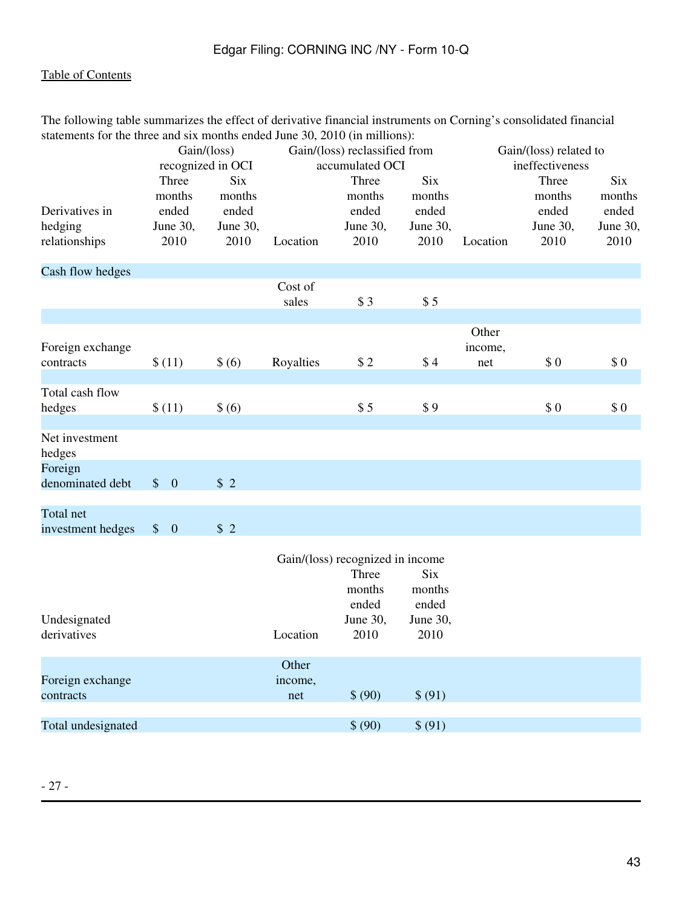The following table summarizes the effect of derivative financial instruments on Corning's consolidated financial statements for the three and six months ended June 30, 2010 (in millions):

|                                            |                                              | Gain/(loss)<br>recognized in OCI           |                         | Gain/(loss) reclassified from<br>accumulated OCI             |                                            | Gain/(loss) related to<br>ineffectiveness |                                              |                                            |  |
|--------------------------------------------|----------------------------------------------|--------------------------------------------|-------------------------|--------------------------------------------------------------|--------------------------------------------|-------------------------------------------|----------------------------------------------|--------------------------------------------|--|
| Derivatives in<br>hedging<br>relationships | Three<br>months<br>ended<br>June 30,<br>2010 | Six<br>months<br>ended<br>June 30,<br>2010 | Location                | Three<br>months<br>ended<br>June 30,<br>2010                 | Six<br>months<br>ended<br>June 30,<br>2010 | Location                                  | Three<br>months<br>ended<br>June 30,<br>2010 | Six<br>months<br>ended<br>June 30,<br>2010 |  |
| Cash flow hedges                           |                                              |                                            |                         |                                                              |                                            |                                           |                                              |                                            |  |
|                                            |                                              |                                            | Cost of<br>sales        | \$3                                                          | \$5                                        |                                           |                                              |                                            |  |
| Foreign exchange<br>contracts              | \$(11)                                       | \$(6)                                      | Royalties               | \$2                                                          | \$4                                        | Other<br>income,<br>net                   | \$0                                          | \$0                                        |  |
| Total cash flow<br>hedges                  | \$(11)                                       | \$(6)                                      |                         | \$5                                                          | \$9                                        |                                           | \$0                                          | \$0                                        |  |
| Net investment<br>hedges                   |                                              |                                            |                         |                                                              |                                            |                                           |                                              |                                            |  |
| Foreign<br>denominated debt                | $\updownarrow$ 0                             | \$2                                        |                         |                                                              |                                            |                                           |                                              |                                            |  |
| Total net<br>investment hedges             | $\frac{1}{2}$<br>$\overline{0}$              | \$2                                        |                         |                                                              |                                            |                                           |                                              |                                            |  |
|                                            |                                              |                                            |                         | Gain/(loss) recognized in income<br>Three<br>months<br>ended | <b>Six</b><br>months<br>ended              |                                           |                                              |                                            |  |
| Undesignated<br>derivatives                |                                              |                                            | Location                | June 30,<br>2010                                             | June 30,<br>2010                           |                                           |                                              |                                            |  |
| Foreign exchange<br>contracts              |                                              |                                            | Other<br>income,<br>net | \$ (90)                                                      | \$ (91)                                    |                                           |                                              |                                            |  |
| Total undesignated                         |                                              |                                            |                         | \$ (90)                                                      | \$ (91)                                    |                                           |                                              |                                            |  |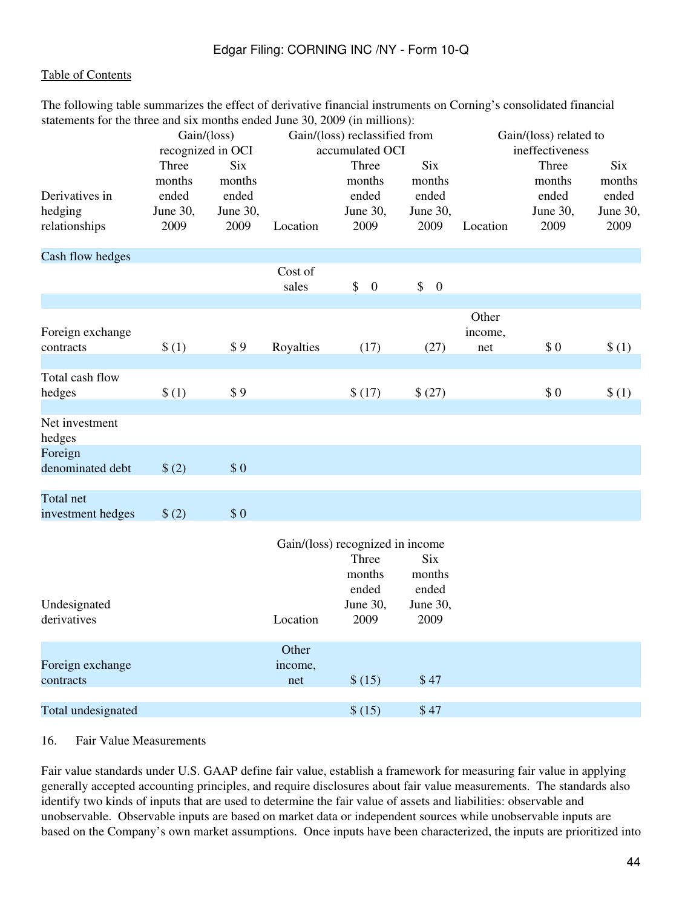#### [Table of Contents](#page-2-0)

The following table summarizes the effect of derivative financial instruments on Corning's consolidated financial statements for the three and six months ended June 30, 2009 (in millions):

|                                            |                                              | Gain/(loss)<br>recognized in OCI                  |                         | Gain/(loss) reclassified from<br>accumulated OCI             |                                                   | Gain/(loss) related to<br>ineffectiveness |                                              |                                                   |  |  |
|--------------------------------------------|----------------------------------------------|---------------------------------------------------|-------------------------|--------------------------------------------------------------|---------------------------------------------------|-------------------------------------------|----------------------------------------------|---------------------------------------------------|--|--|
| Derivatives in<br>hedging<br>relationships | Three<br>months<br>ended<br>June 30,<br>2009 | <b>Six</b><br>months<br>ended<br>June 30,<br>2009 | Location                | Three<br>months<br>ended<br>June 30,<br>2009                 | <b>Six</b><br>months<br>ended<br>June 30,<br>2009 | Location                                  | Three<br>months<br>ended<br>June 30,<br>2009 | <b>Six</b><br>months<br>ended<br>June 30,<br>2009 |  |  |
| Cash flow hedges                           |                                              |                                                   |                         |                                                              |                                                   |                                           |                                              |                                                   |  |  |
|                                            |                                              |                                                   | Cost of<br>sales        | \$<br>$\mathbf{0}$                                           | \$<br>$\overline{0}$                              |                                           |                                              |                                                   |  |  |
| Foreign exchange<br>contracts              | \$(1)                                        | \$9                                               | Royalties               | (17)                                                         | (27)                                              | Other<br>income,<br>net                   | \$0                                          | \$(1)                                             |  |  |
| Total cash flow<br>hedges                  | \$(1)                                        | \$9                                               |                         | \$(17)                                                       | \$(27)                                            |                                           | \$0                                          | \$(1)                                             |  |  |
| Net investment<br>hedges                   |                                              |                                                   |                         |                                                              |                                                   |                                           |                                              |                                                   |  |  |
| Foreign<br>denominated debt                | \$(2)                                        | \$0                                               |                         |                                                              |                                                   |                                           |                                              |                                                   |  |  |
| Total net<br>investment hedges             | \$(2)                                        | \$0                                               |                         |                                                              |                                                   |                                           |                                              |                                                   |  |  |
|                                            |                                              |                                                   |                         | Gain/(loss) recognized in income<br>Three<br>months<br>ended | <b>Six</b><br>months<br>ended                     |                                           |                                              |                                                   |  |  |
| Undesignated<br>derivatives                |                                              |                                                   | Location                | June 30,<br>2009                                             | June 30,<br>2009                                  |                                           |                                              |                                                   |  |  |
| Foreign exchange<br>contracts              |                                              |                                                   | Other<br>income,<br>net | \$(15)                                                       | \$47                                              |                                           |                                              |                                                   |  |  |
| Total undesignated                         |                                              |                                                   |                         | \$(15)                                                       | \$47                                              |                                           |                                              |                                                   |  |  |

#### 16. Fair Value Measurements

Fair value standards under U.S. GAAP define fair value, establish a framework for measuring fair value in applying generally accepted accounting principles, and require disclosures about fair value measurements. The standards also identify two kinds of inputs that are used to determine the fair value of assets and liabilities: observable and unobservable. Observable inputs are based on market data or independent sources while unobservable inputs are based on the Company's own market assumptions. Once inputs have been characterized, the inputs are prioritized into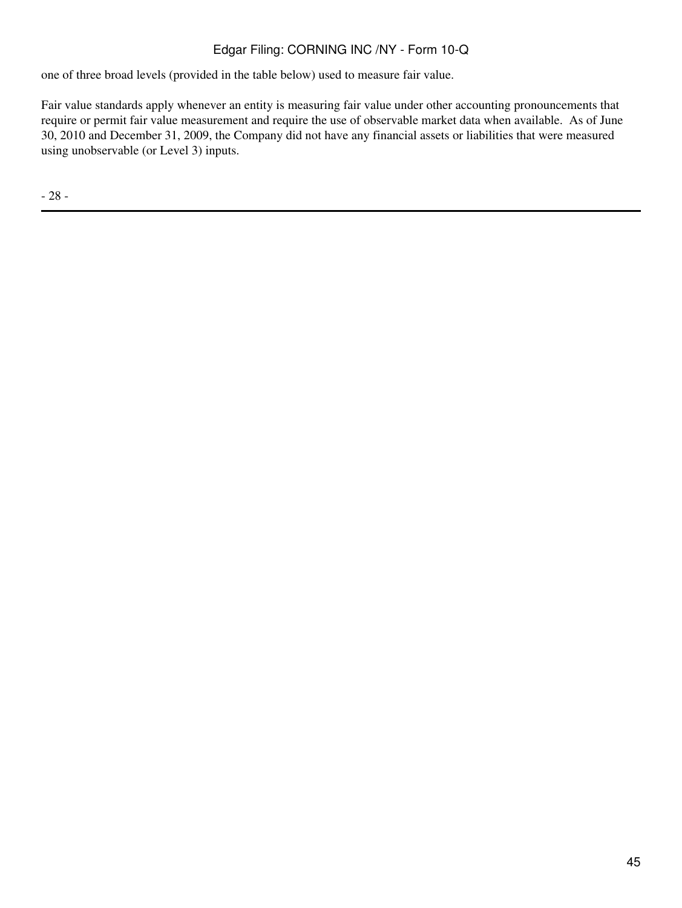one of three broad levels (provided in the table below) used to measure fair value.

Fair value standards apply whenever an entity is measuring fair value under other accounting pronouncements that require or permit fair value measurement and require the use of observable market data when available. As of June 30, 2010 and December 31, 2009, the Company did not have any financial assets or liabilities that were measured using unobservable (or Level 3) inputs.

- 28 -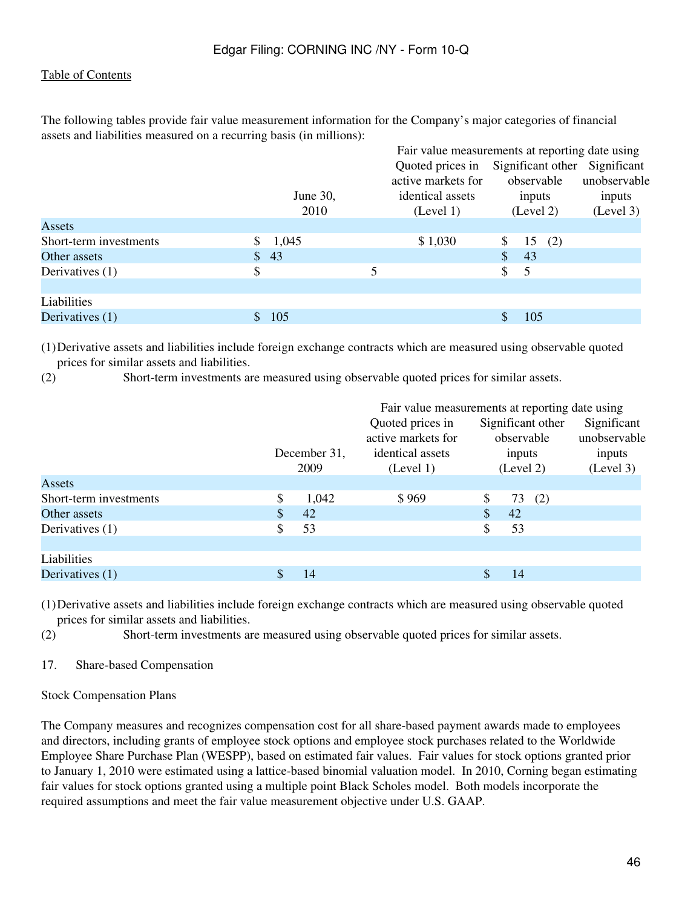The following tables provide fair value measurement information for the Company's major categories of financial assets and liabilities measured on a recurring basis (in millions):

|                        |             |                            |                    | Fair value measurements at reporting date using |            |     |                               |  |  |
|------------------------|-------------|----------------------------|--------------------|-------------------------------------------------|------------|-----|-------------------------------|--|--|
|                        |             |                            | Quoted prices in   |                                                 |            |     | Significant other Significant |  |  |
|                        |             |                            | active markets for |                                                 | observable |     | unobservable                  |  |  |
|                        | June $30$ , | identical assets<br>inputs |                    |                                                 | inputs     |     |                               |  |  |
|                        | 2010        |                            | (Level 1)          |                                                 | (Level 2)  |     | (Level 3)                     |  |  |
| Assets                 |             |                            |                    |                                                 |            |     |                               |  |  |
| Short-term investments | 1,045       |                            | \$1,030            | \$                                              | 15         | (2) |                               |  |  |
| Other assets           | \$43        |                            |                    | $\mathcal{S}$                                   | 43         |     |                               |  |  |
| Derivatives (1)        | \$          |                            |                    |                                                 | 5          |     |                               |  |  |
|                        |             |                            |                    |                                                 |            |     |                               |  |  |
| Liabilities            |             |                            |                    |                                                 |            |     |                               |  |  |
| Derivatives (1)        | 105         |                            |                    |                                                 | 105        |     |                               |  |  |

(1)Derivative assets and liabilities include foreign exchange contracts which are measured using observable quoted prices for similar assets and liabilities.

(2) Short-term investments are measured using observable quoted prices for similar assets.

|                        | Fair value measurements at reporting date using |                      |                                                                         |                                                        |    |     |                                                    |  |  |  |  |  |
|------------------------|-------------------------------------------------|----------------------|-------------------------------------------------------------------------|--------------------------------------------------------|----|-----|----------------------------------------------------|--|--|--|--|--|
|                        |                                                 | December 31,<br>2009 | Quoted prices in<br>active markets for<br>identical assets<br>(Level 1) | Significant other<br>observable<br>inputs<br>(Level 2) |    |     | Significant<br>unobservable<br>inputs<br>(Level 3) |  |  |  |  |  |
| Assets                 |                                                 |                      |                                                                         |                                                        |    |     |                                                    |  |  |  |  |  |
| Short-term investments |                                                 | 1,042                | \$969                                                                   | \$                                                     | 73 | (2) |                                                    |  |  |  |  |  |
| Other assets           | <sup>S</sup>                                    | 42                   |                                                                         | \$                                                     | 42 |     |                                                    |  |  |  |  |  |
| Derivatives (1)        |                                                 | 53                   |                                                                         |                                                        | 53 |     |                                                    |  |  |  |  |  |
| Liabilities            |                                                 |                      |                                                                         |                                                        |    |     |                                                    |  |  |  |  |  |
| Derivatives (1)        |                                                 | 14                   |                                                                         |                                                        | 14 |     |                                                    |  |  |  |  |  |

(1)Derivative assets and liabilities include foreign exchange contracts which are measured using observable quoted prices for similar assets and liabilities.

(2) Short-term investments are measured using observable quoted prices for similar assets.

17. Share-based Compensation

#### Stock Compensation Plans

The Company measures and recognizes compensation cost for all share-based payment awards made to employees and directors, including grants of employee stock options and employee stock purchases related to the Worldwide Employee Share Purchase Plan (WESPP), based on estimated fair values. Fair values for stock options granted prior to January 1, 2010 were estimated using a lattice-based binomial valuation model. In 2010, Corning began estimating fair values for stock options granted using a multiple point Black Scholes model. Both models incorporate the required assumptions and meet the fair value measurement objective under U.S. GAAP.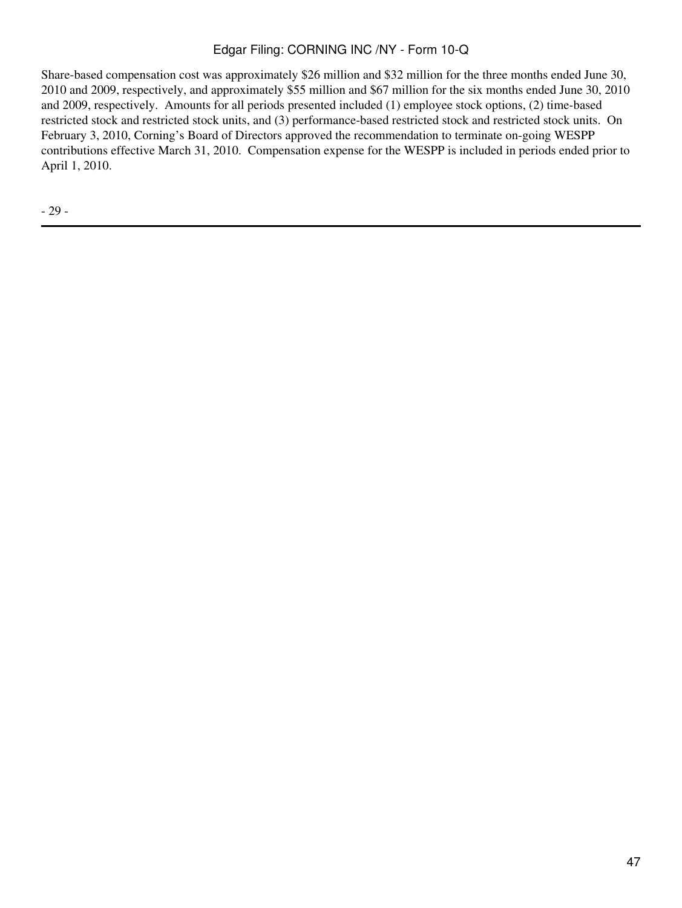Share-based compensation cost was approximately \$26 million and \$32 million for the three months ended June 30, 2010 and 2009, respectively, and approximately \$55 million and \$67 million for the six months ended June 30, 2010 and 2009, respectively. Amounts for all periods presented included (1) employee stock options, (2) time-based restricted stock and restricted stock units, and (3) performance-based restricted stock and restricted stock units. On February 3, 2010, Corning's Board of Directors approved the recommendation to terminate on-going WESPP contributions effective March 31, 2010. Compensation expense for the WESPP is included in periods ended prior to April 1, 2010.

- 29 -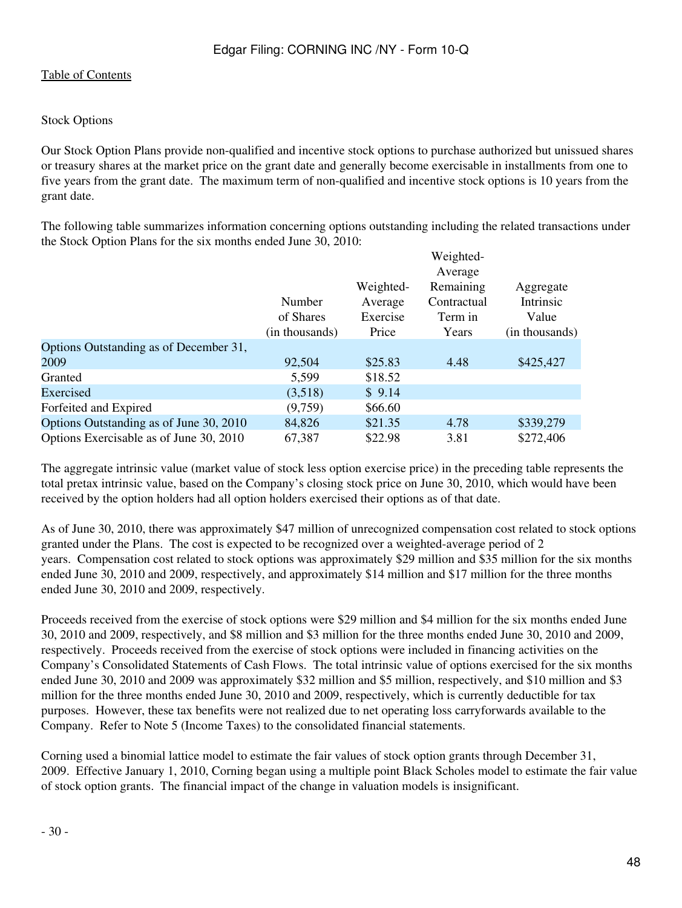### Stock Options

Our Stock Option Plans provide non-qualified and incentive stock options to purchase authorized but unissued shares or treasury shares at the market price on the grant date and generally become exercisable in installments from one to five years from the grant date. The maximum term of non-qualified and incentive stock options is 10 years from the grant date.

The following table summarizes information concerning options outstanding including the related transactions under the Stock Option Plans for the six months ended June 30, 2010:

|                                         |                |           | Weighted-   |                |
|-----------------------------------------|----------------|-----------|-------------|----------------|
|                                         |                |           | Average     |                |
|                                         |                | Weighted- | Remaining   | Aggregate      |
|                                         | Number         | Average   | Contractual | Intrinsic      |
|                                         | of Shares      | Exercise  | Term in     | Value          |
|                                         | (in thousands) | Price     | Years       | (in thousands) |
| Options Outstanding as of December 31,  |                |           |             |                |
| 2009                                    | 92,504         | \$25.83   | 4.48        | \$425,427      |
| Granted                                 | 5,599          | \$18.52   |             |                |
| Exercised                               | (3,518)        | \$9.14    |             |                |
| Forfeited and Expired                   | (9,759)        | \$66.60   |             |                |
| Options Outstanding as of June 30, 2010 | 84,826         | \$21.35   | 4.78        | \$339,279      |
| Options Exercisable as of June 30, 2010 | 67,387         | \$22.98   | 3.81        | \$272,406      |

The aggregate intrinsic value (market value of stock less option exercise price) in the preceding table represents the total pretax intrinsic value, based on the Company's closing stock price on June 30, 2010, which would have been received by the option holders had all option holders exercised their options as of that date.

As of June 30, 2010, there was approximately \$47 million of unrecognized compensation cost related to stock options granted under the Plans. The cost is expected to be recognized over a weighted-average period of 2 years. Compensation cost related to stock options was approximately \$29 million and \$35 million for the six months ended June 30, 2010 and 2009, respectively, and approximately \$14 million and \$17 million for the three months ended June 30, 2010 and 2009, respectively.

Proceeds received from the exercise of stock options were \$29 million and \$4 million for the six months ended June 30, 2010 and 2009, respectively, and \$8 million and \$3 million for the three months ended June 30, 2010 and 2009, respectively. Proceeds received from the exercise of stock options were included in financing activities on the Company's Consolidated Statements of Cash Flows. The total intrinsic value of options exercised for the six months ended June 30, 2010 and 2009 was approximately \$32 million and \$5 million, respectively, and \$10 million and \$3 million for the three months ended June 30, 2010 and 2009, respectively, which is currently deductible for tax purposes. However, these tax benefits were not realized due to net operating loss carryforwards available to the Company. Refer to Note 5 (Income Taxes) to the consolidated financial statements.

Corning used a binomial lattice model to estimate the fair values of stock option grants through December 31, 2009. Effective January 1, 2010, Corning began using a multiple point Black Scholes model to estimate the fair value of stock option grants. The financial impact of the change in valuation models is insignificant.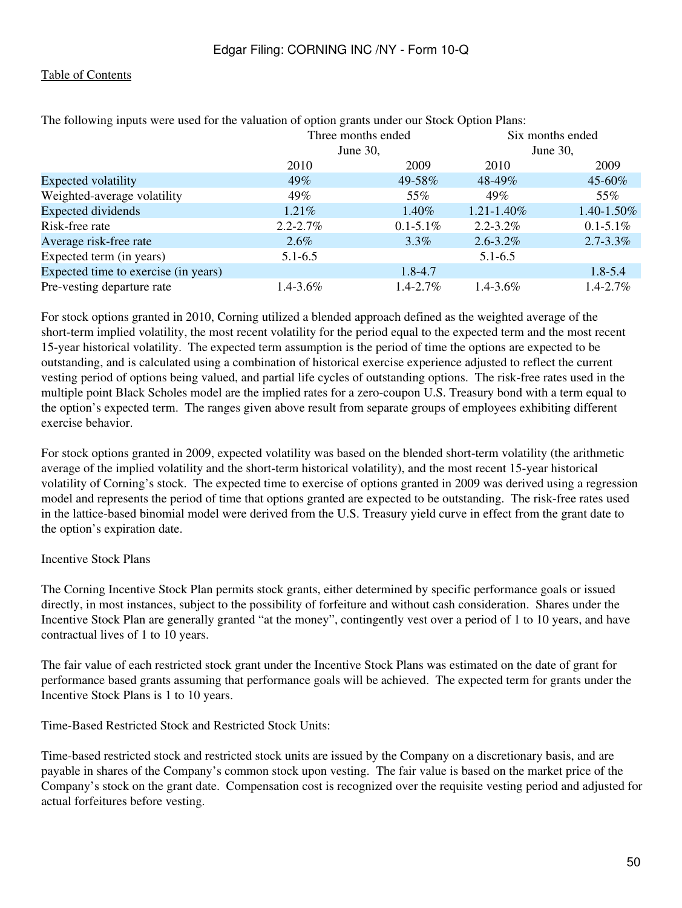|               |               |                                   | Six months ended                                                                                 |
|---------------|---------------|-----------------------------------|--------------------------------------------------------------------------------------------------|
|               |               |                                   | June $30$ ,                                                                                      |
| 2010          | 2009          | 2010                              | 2009                                                                                             |
| $49\%$        | 49-58%        | 48-49%                            | $45 - 60\%$                                                                                      |
| 49%           | 55%           | 49%                               | 55%                                                                                              |
| $1.21\%$      | $1.40\%$      | $1.21 - 1.40\%$                   | $1.40 - 1.50\%$                                                                                  |
| $2.2 - 2.7\%$ | $0.1 - 5.1\%$ | $2.2 - 3.2\%$                     | $0.1 - 5.1\%$                                                                                    |
| $2.6\%$       | $3.3\%$       | $2.6 - 3.2\%$                     | $2.7 - 3.3\%$                                                                                    |
| $5.1 - 6.5$   |               | $5.1 - 6.5$                       |                                                                                                  |
|               | $1.8 - 4.7$   |                                   | $1.8 - 5.4$                                                                                      |
| $1.4 - 3.6\%$ | $1.4 - 2.7\%$ | $1.4 - 3.6\%$                     | $1.4 - 2.7\%$                                                                                    |
|               |               | Three months ended<br>June $30$ , | The following inputs were used for the valuation of option grants under our stock option I fams. |

The following inputs were used for the valuation of option grants under our Stock Option Plans:

For stock options granted in 2010, Corning utilized a blended approach defined as the weighted average of the short-term implied volatility, the most recent volatility for the period equal to the expected term and the most recent 15-year historical volatility. The expected term assumption is the period of time the options are expected to be outstanding, and is calculated using a combination of historical exercise experience adjusted to reflect the current vesting period of options being valued, and partial life cycles of outstanding options. The risk-free rates used in the multiple point Black Scholes model are the implied rates for a zero-coupon U.S. Treasury bond with a term equal to the option's expected term. The ranges given above result from separate groups of employees exhibiting different exercise behavior.

For stock options granted in 2009, expected volatility was based on the blended short-term volatility (the arithmetic average of the implied volatility and the short-term historical volatility), and the most recent 15-year historical volatility of Corning's stock. The expected time to exercise of options granted in 2009 was derived using a regression model and represents the period of time that options granted are expected to be outstanding. The risk-free rates used in the lattice-based binomial model were derived from the U.S. Treasury yield curve in effect from the grant date to the option's expiration date.

### Incentive Stock Plans

The Corning Incentive Stock Plan permits stock grants, either determined by specific performance goals or issued directly, in most instances, subject to the possibility of forfeiture and without cash consideration. Shares under the Incentive Stock Plan are generally granted "at the money", contingently vest over a period of 1 to 10 years, and have contractual lives of 1 to 10 years.

The fair value of each restricted stock grant under the Incentive Stock Plans was estimated on the date of grant for performance based grants assuming that performance goals will be achieved. The expected term for grants under the Incentive Stock Plans is 1 to 10 years.

Time-Based Restricted Stock and Restricted Stock Units:

Time-based restricted stock and restricted stock units are issued by the Company on a discretionary basis, and are payable in shares of the Company's common stock upon vesting. The fair value is based on the market price of the Company's stock on the grant date. Compensation cost is recognized over the requisite vesting period and adjusted for actual forfeitures before vesting.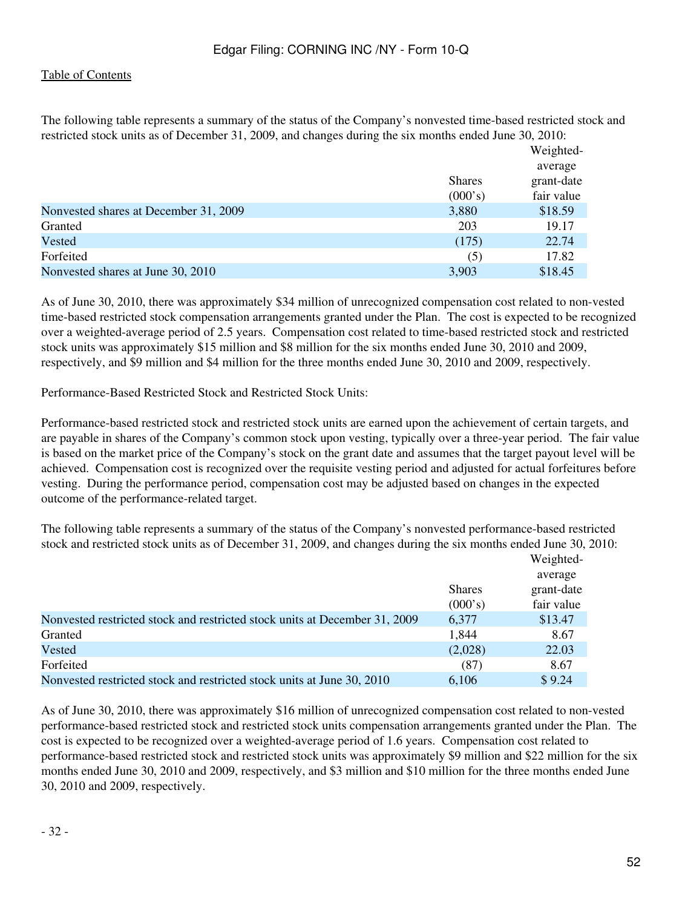The following table represents a summary of the status of the Company's nonvested time-based restricted stock and restricted stock units as of December 31, 2009, and changes during the six months ended June 30, 2010:

|                                       |               | Weighted-  |
|---------------------------------------|---------------|------------|
|                                       |               | average    |
|                                       | <b>Shares</b> | grant-date |
|                                       | (000's)       | fair value |
| Nonvested shares at December 31, 2009 | 3,880         | \$18.59    |
| Granted                               | 203           | 19.17      |
| Vested                                | (175)         | 22.74      |
| Forfeited                             | (5)           | 17.82      |
| Nonvested shares at June 30, 2010     | 3,903         | \$18.45    |

As of June 30, 2010, there was approximately \$34 million of unrecognized compensation cost related to non-vested time-based restricted stock compensation arrangements granted under the Plan. The cost is expected to be recognized over a weighted-average period of 2.5 years. Compensation cost related to time-based restricted stock and restricted stock units was approximately \$15 million and \$8 million for the six months ended June 30, 2010 and 2009, respectively, and \$9 million and \$4 million for the three months ended June 30, 2010 and 2009, respectively.

Performance-Based Restricted Stock and Restricted Stock Units:

Performance-based restricted stock and restricted stock units are earned upon the achievement of certain targets, and are payable in shares of the Company's common stock upon vesting, typically over a three-year period. The fair value is based on the market price of the Company's stock on the grant date and assumes that the target payout level will be achieved. Compensation cost is recognized over the requisite vesting period and adjusted for actual forfeitures before vesting. During the performance period, compensation cost may be adjusted based on changes in the expected outcome of the performance-related target.

The following table represents a summary of the status of the Company's nonvested performance-based restricted stock and restricted stock units as of December 31, 2009, and changes during the six months ended June 30, 2010:

|                                                                            |               | Weighted-  |
|----------------------------------------------------------------------------|---------------|------------|
|                                                                            |               | average    |
|                                                                            | <b>Shares</b> | grant-date |
|                                                                            | (000's)       | fair value |
| Nonvested restricted stock and restricted stock units at December 31, 2009 | 6.377         | \$13.47    |
| Granted                                                                    | 1,844         | 8.67       |
| Vested                                                                     | (2,028)       | 22.03      |
| Forfeited                                                                  | (87)          | 8.67       |
| Nonvested restricted stock and restricted stock units at June 30, 2010     | 6.106         | \$9.24     |

As of June 30, 2010, there was approximately \$16 million of unrecognized compensation cost related to non-vested performance-based restricted stock and restricted stock units compensation arrangements granted under the Plan. The cost is expected to be recognized over a weighted-average period of 1.6 years. Compensation cost related to performance-based restricted stock and restricted stock units was approximately \$9 million and \$22 million for the six months ended June 30, 2010 and 2009, respectively, and \$3 million and \$10 million for the three months ended June 30, 2010 and 2009, respectively.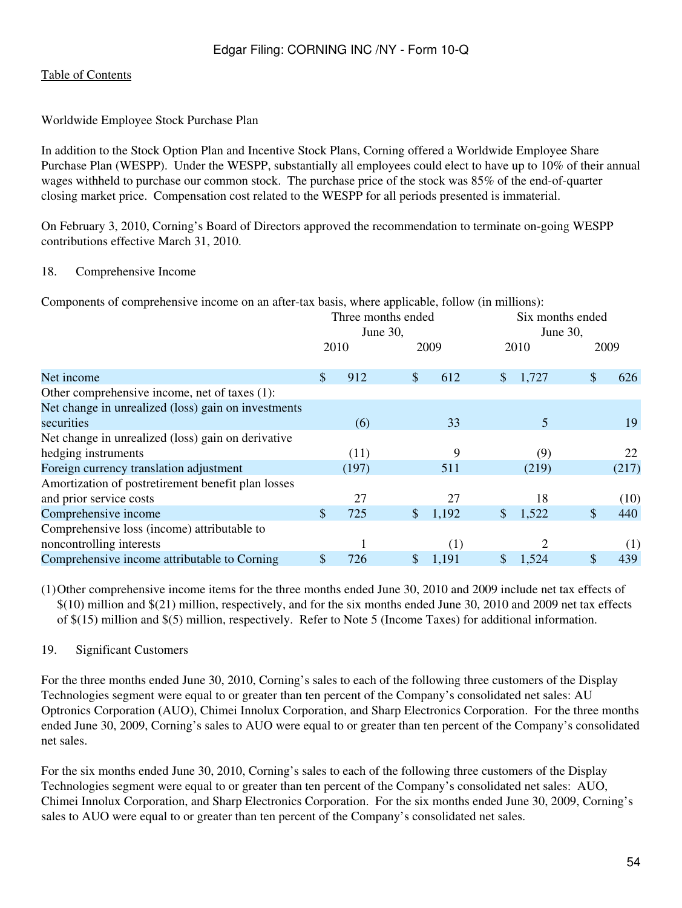## Worldwide Employee Stock Purchase Plan

In addition to the Stock Option Plan and Incentive Stock Plans, Corning offered a Worldwide Employee Share Purchase Plan (WESPP). Under the WESPP, substantially all employees could elect to have up to 10% of their annual wages withheld to purchase our common stock. The purchase price of the stock was 85% of the end-of-quarter closing market price. Compensation cost related to the WESPP for all periods presented is immaterial.

On February 3, 2010, Corning's Board of Directors approved the recommendation to terminate on-going WESPP contributions effective March 31, 2010.

### 18. Comprehensive Income

Components of comprehensive income on an after-tax basis, where applicable, follow (in millions):

|                                                     |    | Three months ended<br>June 30, |               |       |               | Six months ended<br>June 30, |    |       |  |  |
|-----------------------------------------------------|----|--------------------------------|---------------|-------|---------------|------------------------------|----|-------|--|--|
|                                                     |    | 2010                           |               | 2009  |               | 2010                         |    | 2009  |  |  |
| Net income                                          | S  | 912                            | $\mathcal{S}$ | 612   | $\mathcal{S}$ | 1,727                        | \$ | 626   |  |  |
| Other comprehensive income, net of taxes (1):       |    |                                |               |       |               |                              |    |       |  |  |
| Net change in unrealized (loss) gain on investments |    |                                |               |       |               |                              |    |       |  |  |
| securities                                          |    | (6)                            |               | 33    |               | 5                            |    | 19    |  |  |
| Net change in unrealized (loss) gain on derivative  |    |                                |               |       |               |                              |    |       |  |  |
| hedging instruments                                 |    | (11)                           |               | 9     |               | (9)                          |    | 22    |  |  |
| Foreign currency translation adjustment             |    | (197)                          |               | 511   |               | (219)                        |    | (217) |  |  |
| Amortization of postretirement benefit plan losses  |    |                                |               |       |               |                              |    |       |  |  |
| and prior service costs                             |    | 27                             |               | 27    |               | 18                           |    | (10)  |  |  |
| Comprehensive income                                | \$ | 725                            | \$            | 1,192 | \$            | 1,522                        | \$ | 440   |  |  |
| Comprehensive loss (income) attributable to         |    |                                |               |       |               |                              |    |       |  |  |
| noncontrolling interests                            |    |                                |               | (1)   |               |                              |    | (1)   |  |  |
| Comprehensive income attributable to Corning        | \$ | 726                            | \$            | 1,191 | \$            | 1,524                        | \$ | 439   |  |  |

(1)Other comprehensive income items for the three months ended June 30, 2010 and 2009 include net tax effects of \$(10) million and \$(21) million, respectively, and for the six months ended June 30, 2010 and 2009 net tax effects of \$(15) million and \$(5) million, respectively. Refer to Note 5 (Income Taxes) for additional information.

### 19. Significant Customers

For the three months ended June 30, 2010, Corning's sales to each of the following three customers of the Display Technologies segment were equal to or greater than ten percent of the Company's consolidated net sales: AU Optronics Corporation (AUO), Chimei Innolux Corporation, and Sharp Electronics Corporation. For the three months ended June 30, 2009, Corning's sales to AUO were equal to or greater than ten percent of the Company's consolidated net sales.

For the six months ended June 30, 2010, Corning's sales to each of the following three customers of the Display Technologies segment were equal to or greater than ten percent of the Company's consolidated net sales: AUO, Chimei Innolux Corporation, and Sharp Electronics Corporation. For the six months ended June 30, 2009, Corning's sales to AUO were equal to or greater than ten percent of the Company's consolidated net sales.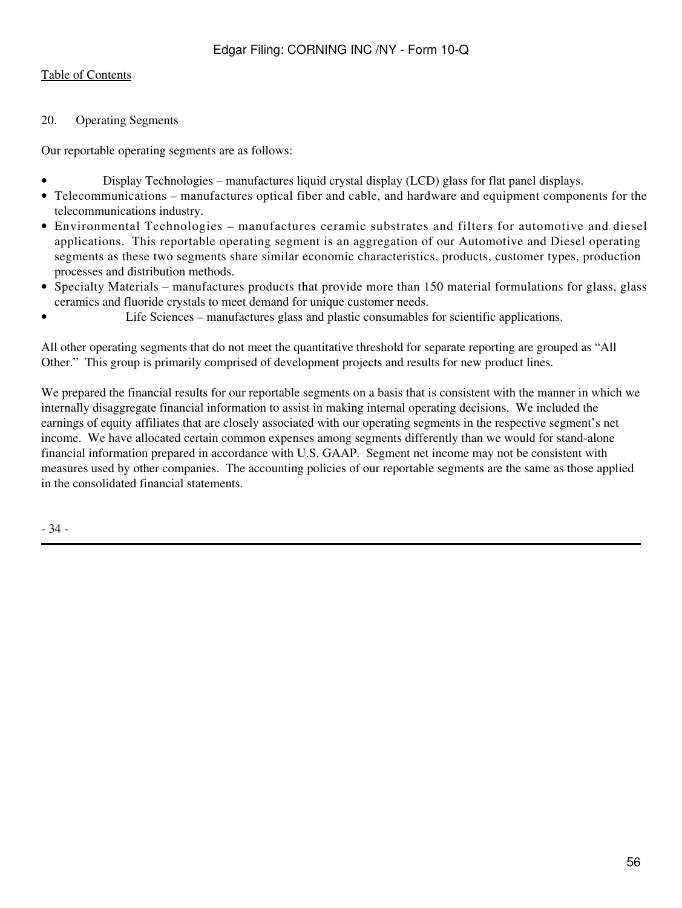20. Operating Segments

Our reportable operating segments are as follows:

- Display Technologies manufactures liquid crystal display (LCD) glass for flat panel displays.
- Telecommunications manufactures optical fiber and cable, and hardware and equipment components for the telecommunications industry.
- Environmental Technologies manufactures ceramic substrates and filters for automotive and diesel applications. This reportable operating segment is an aggregation of our Automotive and Diesel operating segments as these two segments share similar economic characteristics, products, customer types, production processes and distribution methods.
- Specialty Materials manufactures products that provide more than 150 material formulations for glass, glass ceramics and fluoride crystals to meet demand for unique customer needs.
- Life Sciences manufactures glass and plastic consumables for scientific applications.

All other operating segments that do not meet the quantitative threshold for separate reporting are grouped as "All Other." This group is primarily comprised of development projects and results for new product lines.

We prepared the financial results for our reportable segments on a basis that is consistent with the manner in which we internally disaggregate financial information to assist in making internal operating decisions. We included the earnings of equity affiliates that are closely associated with our operating segments in the respective segment's net income. We have allocated certain common expenses among segments differently than we would for stand-alone financial information prepared in accordance with U.S. GAAP. Segment net income may not be consistent with measures used by other companies. The accounting policies of our reportable segments are the same as those applied in the consolidated financial statements.

- 34 -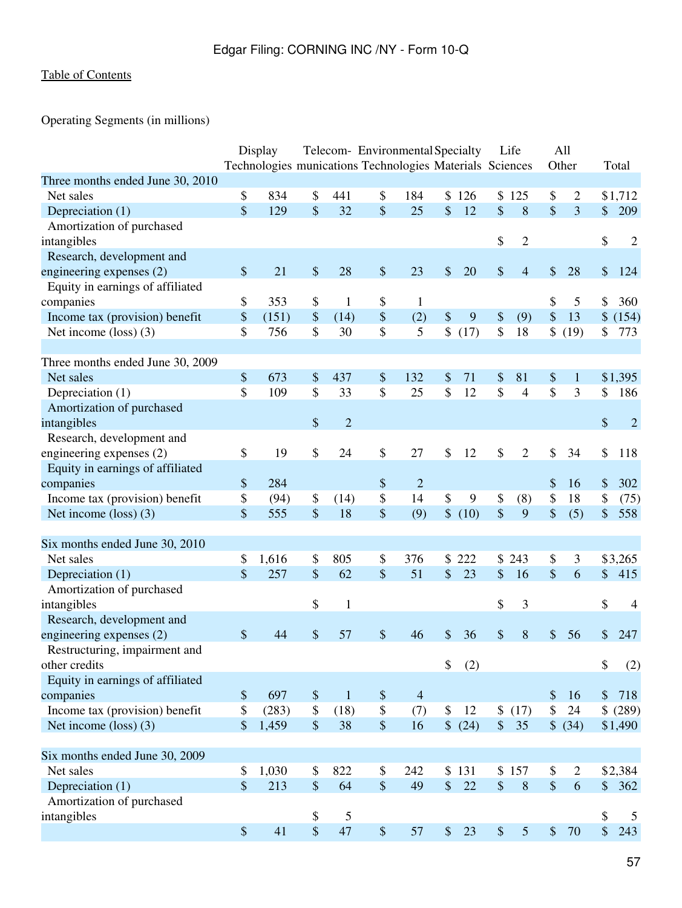Operating Segments (in millions)

|                                                |               | Display<br>Technologies munications Technologies Materials Sciences |                           |                | Telecom- Environmental Specialty |                |                           |                |                    | Life           |                           | All<br>Other   |               | Total          |
|------------------------------------------------|---------------|---------------------------------------------------------------------|---------------------------|----------------|----------------------------------|----------------|---------------------------|----------------|--------------------|----------------|---------------------------|----------------|---------------|----------------|
| Three months ended June 30, 2010               |               |                                                                     |                           |                |                                  |                |                           |                |                    |                |                           |                |               |                |
| Net sales                                      | \$            | 834                                                                 | \$                        | 441            | \$                               | 184            |                           | \$126          | $\mathbb{S}$       | 125            | \$                        | $\overline{2}$ |               | \$1,712        |
| Depreciation (1)                               | $\mathbb{S}$  | 129                                                                 | \$                        | 32             | \$                               | 25             | \$                        | 12             | \$                 | 8              | \$                        | $\overline{3}$ | \$            | 209            |
| Amortization of purchased                      |               |                                                                     |                           |                |                                  |                |                           |                |                    |                |                           |                |               |                |
| intangibles                                    |               |                                                                     |                           |                |                                  |                |                           |                | \$                 | $\sqrt{2}$     |                           |                | \$            | $\overline{2}$ |
| Research, development and                      |               |                                                                     |                           |                |                                  |                |                           |                |                    |                |                           |                |               |                |
| engineering expenses (2)                       | $\frac{1}{2}$ | 21                                                                  | \$                        | 28             | $\frac{1}{2}$                    | 23             | \$                        | 20             | \$                 | $\overline{4}$ | \$                        | 28             | \$            | 124            |
| Equity in earnings of affiliated               |               |                                                                     |                           |                |                                  |                |                           |                |                    |                |                           |                |               |                |
| companies                                      | \$            | 353                                                                 | \$                        | 1              | \$                               | 1              |                           |                |                    |                | \$                        | 5              | \$            | 360            |
| Income tax (provision) benefit                 | \$            | (151)                                                               | \$                        | (14)           | $\boldsymbol{\$}$                | (2)            | $\$$                      | $\overline{9}$ | \$                 | (9)            | \$                        | 13             | $\frac{1}{2}$ | (154)          |
| Net income $(\text{loss})$ (3)                 | \$            | 756                                                                 | \$                        | 30             | \$                               | 5              | \$                        | (17)           | \$                 | 18             | \$                        | (19)           | \$            | 773            |
|                                                |               |                                                                     |                           |                |                                  |                |                           |                |                    |                |                           |                |               |                |
| Three months ended June 30, 2009               |               |                                                                     |                           |                |                                  |                |                           |                |                    |                |                           |                |               |                |
| Net sales                                      | \$            | 673                                                                 | \$                        | 437            | $\$\$                            | 132            | $\$\$                     | 71             | \$                 | 81             | \$                        | $\mathbf{1}$   |               | \$1,395        |
| Depreciation (1)                               | \$            | 109                                                                 | \$                        | 33             | \$                               | 25             | \$                        | 12             | \$                 | $\overline{4}$ | \$                        | 3              | \$            | 186            |
| Amortization of purchased                      |               |                                                                     |                           |                |                                  |                |                           |                |                    |                |                           |                |               |                |
| intangibles                                    |               |                                                                     | \$                        | $\overline{2}$ |                                  |                |                           |                |                    |                |                           |                | \$            | $\overline{2}$ |
| Research, development and                      |               |                                                                     |                           |                |                                  |                |                           |                |                    |                |                           |                |               |                |
| engineering expenses (2)                       | \$            | 19                                                                  | \$                        | 24             | \$                               | 27             | \$                        | 12             | \$                 | $\sqrt{2}$     | \$                        | 34             | \$            | 118            |
| Equity in earnings of affiliated               |               |                                                                     |                           |                |                                  |                |                           |                |                    |                |                           |                |               |                |
| companies                                      | \$            | 284                                                                 |                           |                | $\$\,$                           | $\overline{c}$ |                           |                |                    |                | \$                        | 16             | \$            | 302            |
| Income tax (provision) benefit                 | \$            | (94)                                                                | \$                        | (14)           | \$                               | 14             | $\mathcal{S}$             | 9              | \$                 | (8)            | \$                        | 18             | \$            | (75)           |
| Net income $(\text{loss})$ (3)                 | \$            | 555                                                                 | \$                        | 18             | $\boldsymbol{\mathsf{S}}$        | (9)            | $\mathsf{\$}$             | (10)           | \$                 | 9              | \$                        | (5)            | \$            | 558            |
| Six months ended June 30, 2010                 |               |                                                                     |                           |                |                                  |                |                           |                |                    |                |                           |                |               |                |
| Net sales                                      | \$            | 1,616                                                               | \$                        | 805            | \$                               | 376            | \$                        | 222            | $\mathbb{S}$       | 243            | \$                        | $\mathfrak{Z}$ |               | \$3,265        |
| Depreciation $(1)$                             | \$            | 257                                                                 | \$                        | 62             | $\mathcal{S}$                    | 51             | \$                        | 23             | $\mathbf{\hat{S}}$ | 16             | \$                        | 6              | $\mathbb{S}$  | 415            |
| Amortization of purchased                      |               |                                                                     |                           |                |                                  |                |                           |                |                    |                |                           |                |               |                |
| intangibles                                    |               |                                                                     | \$                        | $\mathbf{1}$   |                                  |                |                           |                | \$                 | $\mathfrak{Z}$ |                           |                | \$            | $\overline{4}$ |
| Research, development and                      |               |                                                                     |                           |                |                                  |                |                           |                |                    |                |                           |                |               |                |
| engineering expenses (2)                       | \$            | 44                                                                  | \$                        | 57             | $\$\$                            | 46             | \$                        | 36             | \$                 | 8              | \$                        | 56             | \$            | 247            |
| Restructuring, impairment and<br>other credits |               |                                                                     |                           |                |                                  |                | \$                        | (2)            |                    |                |                           |                | \$            | (2)            |
| Equity in earnings of affiliated               |               |                                                                     |                           |                |                                  |                |                           |                |                    |                |                           |                |               |                |
| companies                                      | \$            | 697                                                                 | $\$\,$                    | $\mathbf{1}$   | $\$$                             | $\overline{4}$ |                           |                |                    |                | \$                        | 16             | $\frac{1}{2}$ | 718            |
| Income tax (provision) benefit                 | \$            | (283)                                                               | \$                        | (18)           | \$                               | (7)            | $\boldsymbol{\mathsf{S}}$ | 12             | \$                 | (17)           | \$                        | 24             |               | \$ (289)       |
| Net income $(\text{loss})$ (3)                 | \$            | 1,459                                                               | $\boldsymbol{\mathsf{S}}$ | 38             | $\boldsymbol{\mathsf{S}}$        | 16             |                           | \$ (24)        | $\frac{1}{2}$      | 35             | \$                        | (34)           |               | \$1,490        |
|                                                |               |                                                                     |                           |                |                                  |                |                           |                |                    |                |                           |                |               |                |
| Six months ended June 30, 2009                 |               |                                                                     |                           |                |                                  |                |                           |                |                    |                |                           |                |               |                |
| Net sales                                      | \$            | 1,030                                                               | \$                        | 822            | \$                               | 242            |                           | \$131          |                    | \$157          | \$                        | 2              |               | \$2,384        |
| Depreciation (1)                               | $\mathcal{S}$ | 213                                                                 | \$                        | 64             | $\boldsymbol{\mathsf{S}}$        | 49             | $\mathcal{S}$             | 22             | $\$\$              | $\, 8$         | $\boldsymbol{\mathsf{S}}$ | 6              |               | \$362          |
| Amortization of purchased                      |               |                                                                     |                           |                |                                  |                |                           |                |                    |                |                           |                |               |                |
| intangibles                                    |               |                                                                     | \$                        | 5              |                                  |                |                           |                |                    |                |                           |                | \$            | 5              |
|                                                | $\$$          | 41                                                                  | \$                        | 47             | $\$$                             | 57             | $\$\$                     | 23             | $\$\$              | $\sqrt{5}$     | $\$\,$                    | 70             | $\$\,$        | 243            |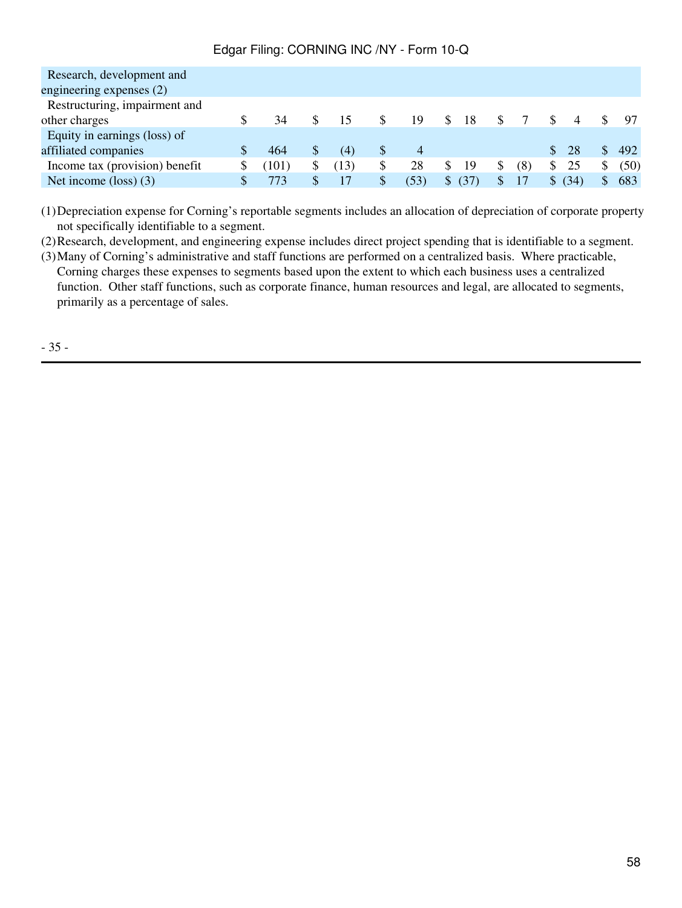| Research, development and      |      |     |      |    |                |            |    |     |    |      |     |      |
|--------------------------------|------|-----|------|----|----------------|------------|----|-----|----|------|-----|------|
| engineering expenses $(2)$     |      |     |      |    |                |            |    |     |    |      |     |      |
| Restructuring, impairment and  |      |     |      |    |                |            |    |     |    |      |     |      |
| other charges                  | 34   |     | 15   | S  | 19             | \$.<br>18  |    |     |    | 4    |     | -97  |
| Equity in earnings (loss) of   |      |     |      |    |                |            |    |     |    |      |     |      |
| affiliated companies           | 464  | S   | (4)  | S  | $\overline{4}$ |            |    |     |    | 28   | \$. | 492  |
| Income tax (provision) benefit | 101) | S   | (13) | S  | 28             | 19         | S  | (8) | \$ | 25   | \$  | (50) |
| Net income $(\text{loss})$ (3) | 773  | \$. | 17   | \$ | (53)           | \$<br>(37) | \$ | 17  | S  | (34) |     | 683  |

(1)Depreciation expense for Corning's reportable segments includes an allocation of depreciation of corporate property not specifically identifiable to a segment.

(2)Research, development, and engineering expense includes direct project spending that is identifiable to a segment.

(3)Many of Corning's administrative and staff functions are performed on a centralized basis. Where practicable, Corning charges these expenses to segments based upon the extent to which each business uses a centralized function. Other staff functions, such as corporate finance, human resources and legal, are allocated to segments, primarily as a percentage of sales.

- 35 -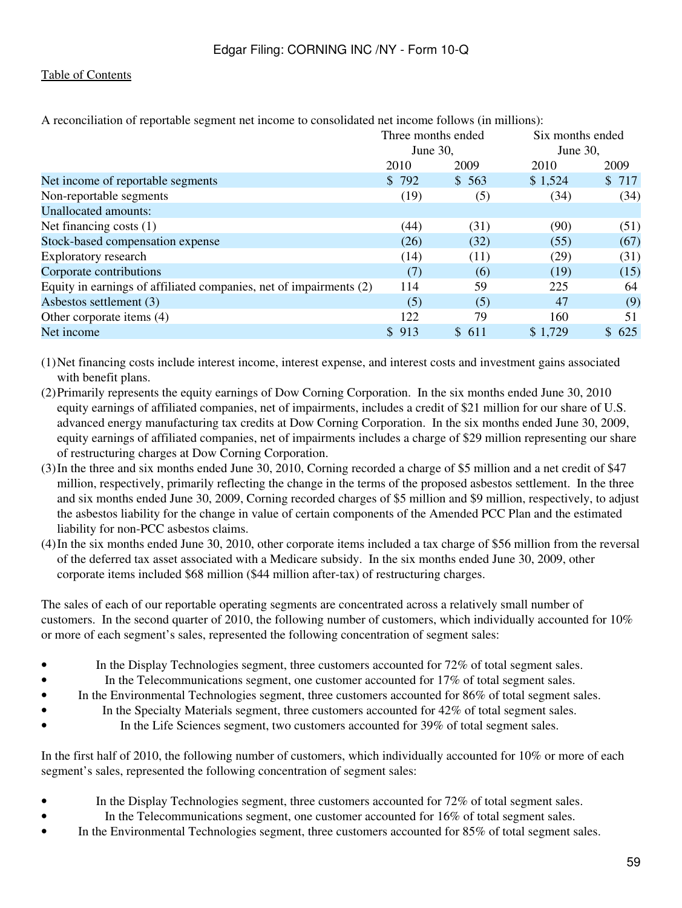| A reconciliation of reportable segment net income to consondated net income ronows (in minions). |                    |       |                  |       |
|--------------------------------------------------------------------------------------------------|--------------------|-------|------------------|-------|
|                                                                                                  | Three months ended |       | Six months ended |       |
|                                                                                                  | June 30,           |       | June 30,         |       |
|                                                                                                  | 2010               | 2009  | 2010             | 2009  |
| Net income of reportable segments                                                                | \$792              | \$563 | \$1,524          | \$717 |
| Non-reportable segments                                                                          | (19)               | (5)   | (34)             | (34)  |
| Unallocated amounts:                                                                             |                    |       |                  |       |
| Net financing costs $(1)$                                                                        | (44)               | (31)  | (90)             | (51)  |
| Stock-based compensation expense                                                                 | (26)               | (32)  | (55)             | (67)  |
| Exploratory research                                                                             | (14)               | (11)  | (29)             | (31)  |
| Corporate contributions                                                                          | (7)                | (6)   | (19)             | (15)  |
| Equity in earnings of affiliated companies, net of impairments (2)                               | 114                | 59    | 225              | 64    |
| Asbestos settlement (3)                                                                          | (5)                | (5)   | 47               | (9)   |
| Other corporate items (4)                                                                        | 122                | 79    | 160              | 51    |
| Net income                                                                                       | \$913              | \$611 | \$1,729          | \$625 |
|                                                                                                  |                    |       |                  |       |

A reconciliation of reportable segment net income to consolidated net income follows (in millions):

(1)Net financing costs include interest income, interest expense, and interest costs and investment gains associated with benefit plans.

- (2)Primarily represents the equity earnings of Dow Corning Corporation. In the six months ended June 30, 2010 equity earnings of affiliated companies, net of impairments, includes a credit of \$21 million for our share of U.S. advanced energy manufacturing tax credits at Dow Corning Corporation. In the six months ended June 30, 2009, equity earnings of affiliated companies, net of impairments includes a charge of \$29 million representing our share of restructuring charges at Dow Corning Corporation.
- (3)In the three and six months ended June 30, 2010, Corning recorded a charge of \$5 million and a net credit of \$47 million, respectively, primarily reflecting the change in the terms of the proposed asbestos settlement. In the three and six months ended June 30, 2009, Corning recorded charges of \$5 million and \$9 million, respectively, to adjust the asbestos liability for the change in value of certain components of the Amended PCC Plan and the estimated liability for non-PCC asbestos claims.
- (4)In the six months ended June 30, 2010, other corporate items included a tax charge of \$56 million from the reversal of the deferred tax asset associated with a Medicare subsidy. In the six months ended June 30, 2009, other corporate items included \$68 million (\$44 million after-tax) of restructuring charges.

The sales of each of our reportable operating segments are concentrated across a relatively small number of customers. In the second quarter of 2010, the following number of customers, which individually accounted for 10% or more of each segment's sales, represented the following concentration of segment sales:

- In the Display Technologies segment, three customers accounted for 72% of total segment sales.
- In the Telecommunications segment, one customer accounted for 17% of total segment sales.
- In the Environmental Technologies segment, three customers accounted for 86% of total segment sales.
- In the Specialty Materials segment, three customers accounted for 42% of total segment sales.
	- In the Life Sciences segment, two customers accounted for 39% of total segment sales.

In the first half of 2010, the following number of customers, which individually accounted for 10% or more of each segment's sales, represented the following concentration of segment sales:

- In the Display Technologies segment, three customers accounted for 72% of total segment sales.
- In the Telecommunications segment, one customer accounted for 16% of total segment sales.
- In the Environmental Technologies segment, three customers accounted for 85% of total segment sales.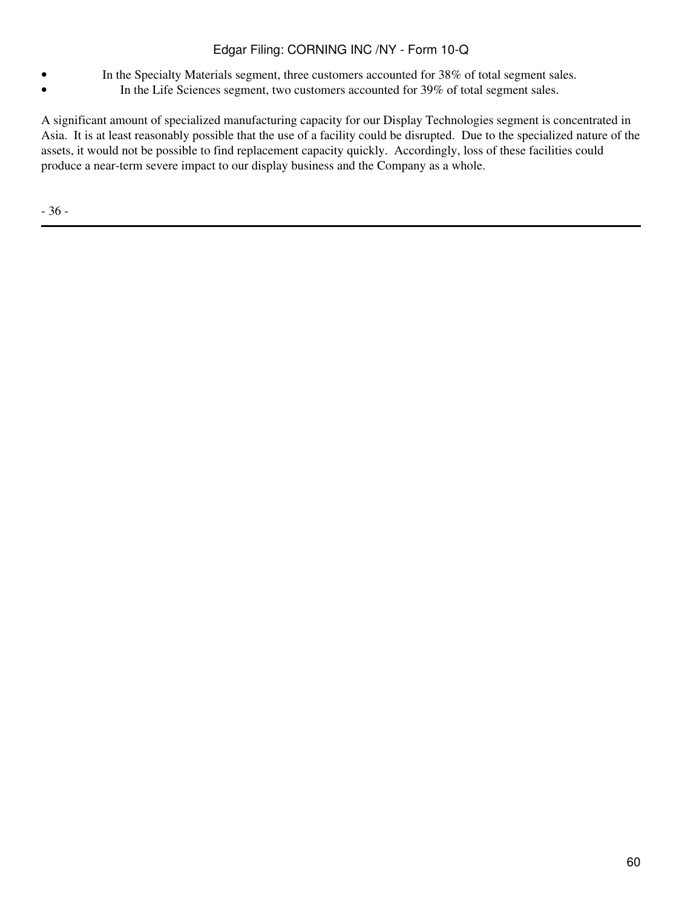- In the Specialty Materials segment, three customers accounted for 38% of total segment sales.
- In the Life Sciences segment, two customers accounted for 39% of total segment sales.

A significant amount of specialized manufacturing capacity for our Display Technologies segment is concentrated in Asia. It is at least reasonably possible that the use of a facility could be disrupted. Due to the specialized nature of the assets, it would not be possible to find replacement capacity quickly. Accordingly, loss of these facilities could produce a near-term severe impact to our display business and the Company as a whole.

- 36 -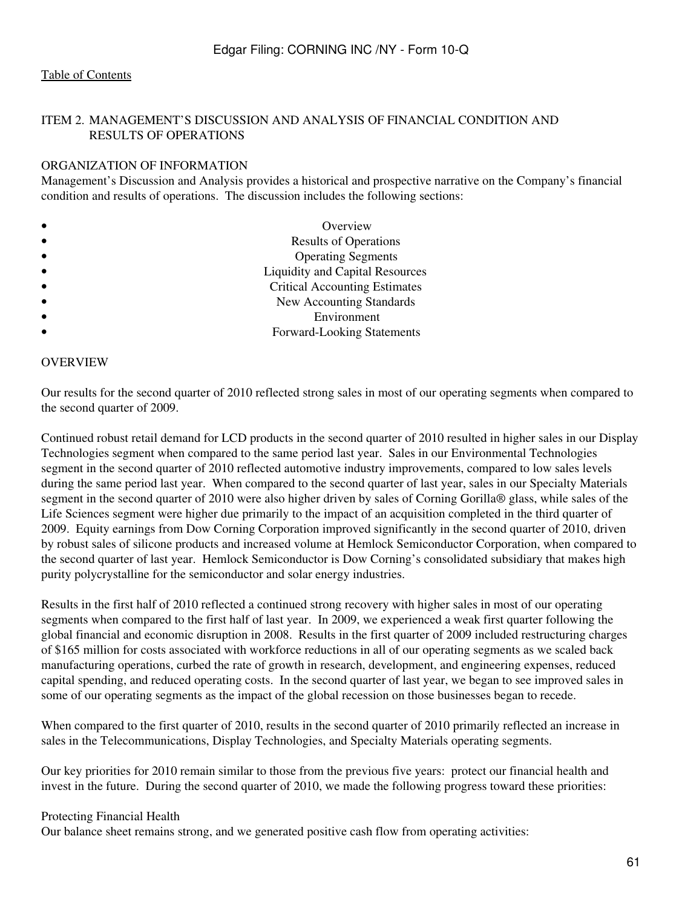#### ITEM 2. MANAGEMENT'S DISCUSSION AND ANALYSIS OF FINANCIAL CONDITION AND RESULTS OF OPERATIONS

#### ORGANIZATION OF INFORMATION

Management's Discussion and Analysis provides a historical and prospective narrative on the Company's financial condition and results of operations. The discussion includes the following sections:

| Overview                               |
|----------------------------------------|
| <b>Results of Operations</b>           |
| <b>Operating Segments</b>              |
| <b>Liquidity and Capital Resources</b> |
| <b>Critical Accounting Estimates</b>   |
| New Accounting Standards               |
| Environment                            |
| <b>Forward-Looking Statements</b>      |

#### **OVERVIEW**

Our results for the second quarter of 2010 reflected strong sales in most of our operating segments when compared to the second quarter of 2009.

Continued robust retail demand for LCD products in the second quarter of 2010 resulted in higher sales in our Display Technologies segment when compared to the same period last year. Sales in our Environmental Technologies segment in the second quarter of 2010 reflected automotive industry improvements, compared to low sales levels during the same period last year. When compared to the second quarter of last year, sales in our Specialty Materials segment in the second quarter of 2010 were also higher driven by sales of Corning Gorilla® glass, while sales of the Life Sciences segment were higher due primarily to the impact of an acquisition completed in the third quarter of 2009. Equity earnings from Dow Corning Corporation improved significantly in the second quarter of 2010, driven by robust sales of silicone products and increased volume at Hemlock Semiconductor Corporation, when compared to the second quarter of last year. Hemlock Semiconductor is Dow Corning's consolidated subsidiary that makes high purity polycrystalline for the semiconductor and solar energy industries.

Results in the first half of 2010 reflected a continued strong recovery with higher sales in most of our operating segments when compared to the first half of last year. In 2009, we experienced a weak first quarter following the global financial and economic disruption in 2008. Results in the first quarter of 2009 included restructuring charges of \$165 million for costs associated with workforce reductions in all of our operating segments as we scaled back manufacturing operations, curbed the rate of growth in research, development, and engineering expenses, reduced capital spending, and reduced operating costs. In the second quarter of last year, we began to see improved sales in some of our operating segments as the impact of the global recession on those businesses began to recede.

When compared to the first quarter of 2010, results in the second quarter of 2010 primarily reflected an increase in sales in the Telecommunications, Display Technologies, and Specialty Materials operating segments.

Our key priorities for 2010 remain similar to those from the previous five years: protect our financial health and invest in the future. During the second quarter of 2010, we made the following progress toward these priorities:

Protecting Financial Health

Our balance sheet remains strong, and we generated positive cash flow from operating activities: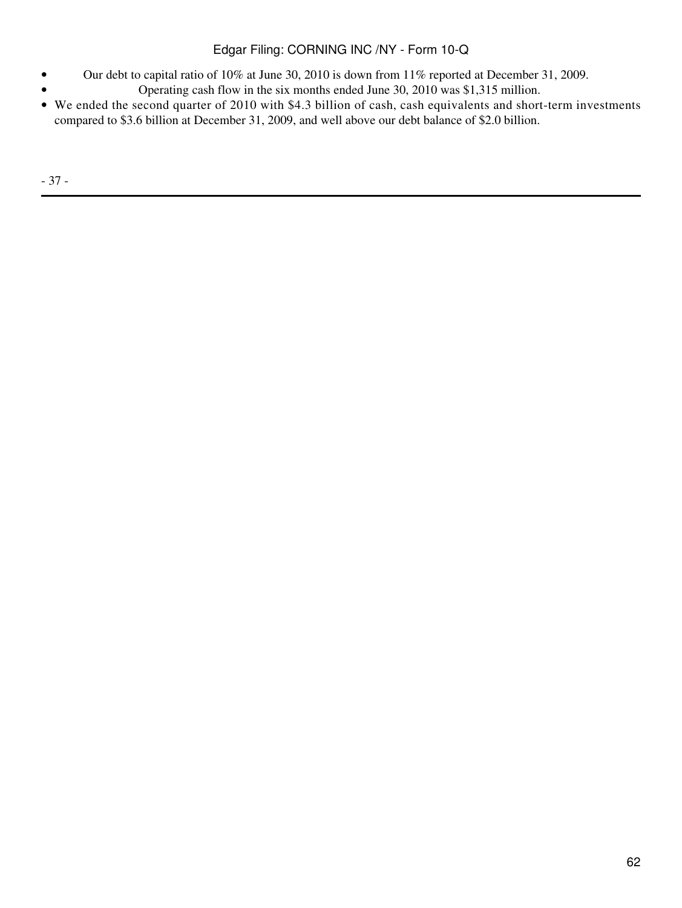- Our debt to capital ratio of 10% at June 30, 2010 is down from 11% reported at December 31, 2009.
- Operating cash flow in the six months ended June 30, 2010 was \$1,315 million.
- We ended the second quarter of 2010 with \$4.3 billion of cash, cash equivalents and short-term investments compared to \$3.6 billion at December 31, 2009, and well above our debt balance of \$2.0 billion.

- 37 -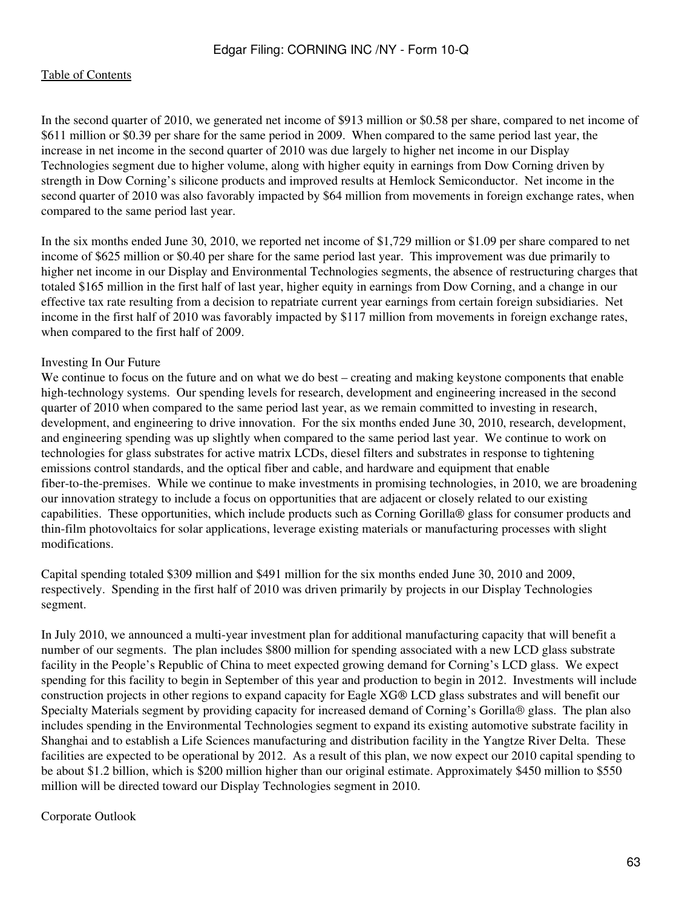In the second quarter of 2010, we generated net income of \$913 million or \$0.58 per share, compared to net income of \$611 million or \$0.39 per share for the same period in 2009. When compared to the same period last year, the increase in net income in the second quarter of 2010 was due largely to higher net income in our Display Technologies segment due to higher volume, along with higher equity in earnings from Dow Corning driven by strength in Dow Corning's silicone products and improved results at Hemlock Semiconductor. Net income in the second quarter of 2010 was also favorably impacted by \$64 million from movements in foreign exchange rates, when compared to the same period last year.

In the six months ended June 30, 2010, we reported net income of \$1,729 million or \$1.09 per share compared to net income of \$625 million or \$0.40 per share for the same period last year. This improvement was due primarily to higher net income in our Display and Environmental Technologies segments, the absence of restructuring charges that totaled \$165 million in the first half of last year, higher equity in earnings from Dow Corning, and a change in our effective tax rate resulting from a decision to repatriate current year earnings from certain foreign subsidiaries. Net income in the first half of 2010 was favorably impacted by \$117 million from movements in foreign exchange rates, when compared to the first half of 2009.

#### Investing In Our Future

We continue to focus on the future and on what we do best – creating and making keystone components that enable high-technology systems. Our spending levels for research, development and engineering increased in the second quarter of 2010 when compared to the same period last year, as we remain committed to investing in research, development, and engineering to drive innovation. For the six months ended June 30, 2010, research, development, and engineering spending was up slightly when compared to the same period last year. We continue to work on technologies for glass substrates for active matrix LCDs, diesel filters and substrates in response to tightening emissions control standards, and the optical fiber and cable, and hardware and equipment that enable fiber-to-the-premises. While we continue to make investments in promising technologies, in 2010, we are broadening our innovation strategy to include a focus on opportunities that are adjacent or closely related to our existing capabilities. These opportunities, which include products such as Corning Gorilla® glass for consumer products and thin-film photovoltaics for solar applications, leverage existing materials or manufacturing processes with slight modifications.

Capital spending totaled \$309 million and \$491 million for the six months ended June 30, 2010 and 2009, respectively. Spending in the first half of 2010 was driven primarily by projects in our Display Technologies segment.

In July 2010, we announced a multi-year investment plan for additional manufacturing capacity that will benefit a number of our segments. The plan includes \$800 million for spending associated with a new LCD glass substrate facility in the People's Republic of China to meet expected growing demand for Corning's LCD glass. We expect spending for this facility to begin in September of this year and production to begin in 2012. Investments will include construction projects in other regions to expand capacity for Eagle XG LCD glass substrates and will benefit our Specialty Materials segment by providing capacity for increased demand of Corning's Gorilla ® glass. The plan also includes spending in the Environmental Technologies segment to expand its existing automotive substrate facility in Shanghai and to establish a Life Sciences manufacturing and distribution facility in the Yangtze River Delta. These facilities are expected to be operational by 2012. As a result of this plan, we now expect our 2010 capital spending to be about \$1.2 billion, which is \$200 million higher than our original estimate. Approximately \$450 million to \$550 million will be directed toward our Display Technologies segment in 2010.

### Corporate Outlook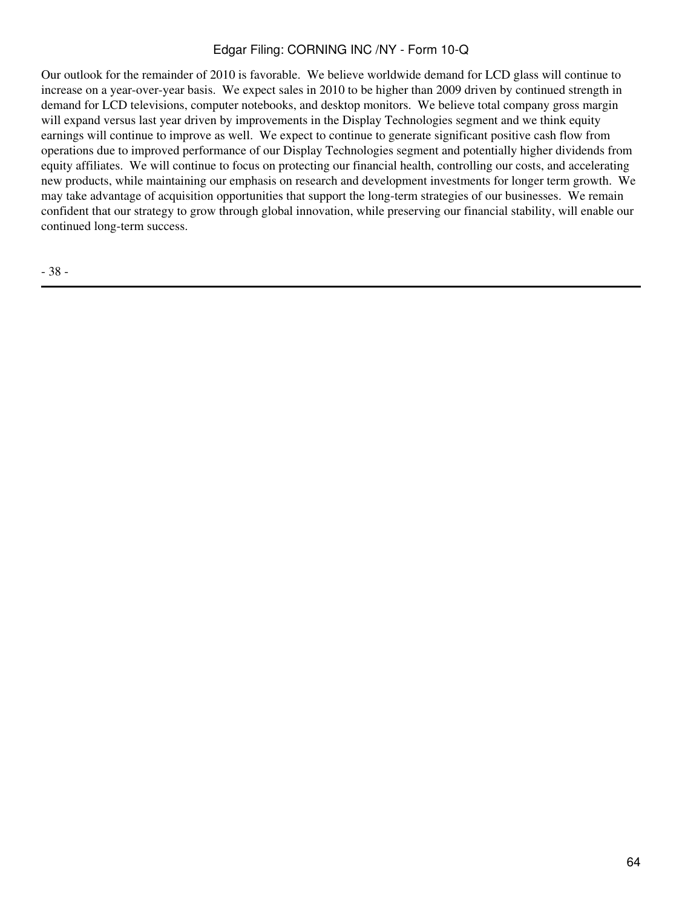Our outlook for the remainder of 2010 is favorable. We believe worldwide demand for LCD glass will continue to increase on a year-over-year basis. We expect sales in 2010 to be higher than 2009 driven by continued strength in demand for LCD televisions, computer notebooks, and desktop monitors. We believe total company gross margin will expand versus last year driven by improvements in the Display Technologies segment and we think equity earnings will continue to improve as well. We expect to continue to generate significant positive cash flow from operations due to improved performance of our Display Technologies segment and potentially higher dividends from equity affiliates. We will continue to focus on protecting our financial health, controlling our costs, and accelerating new products, while maintaining our emphasis on research and development investments for longer term growth. We may take advantage of acquisition opportunities that support the long-term strategies of our businesses. We remain confident that our strategy to grow through global innovation, while preserving our financial stability, will enable our continued long-term success.

- 38 -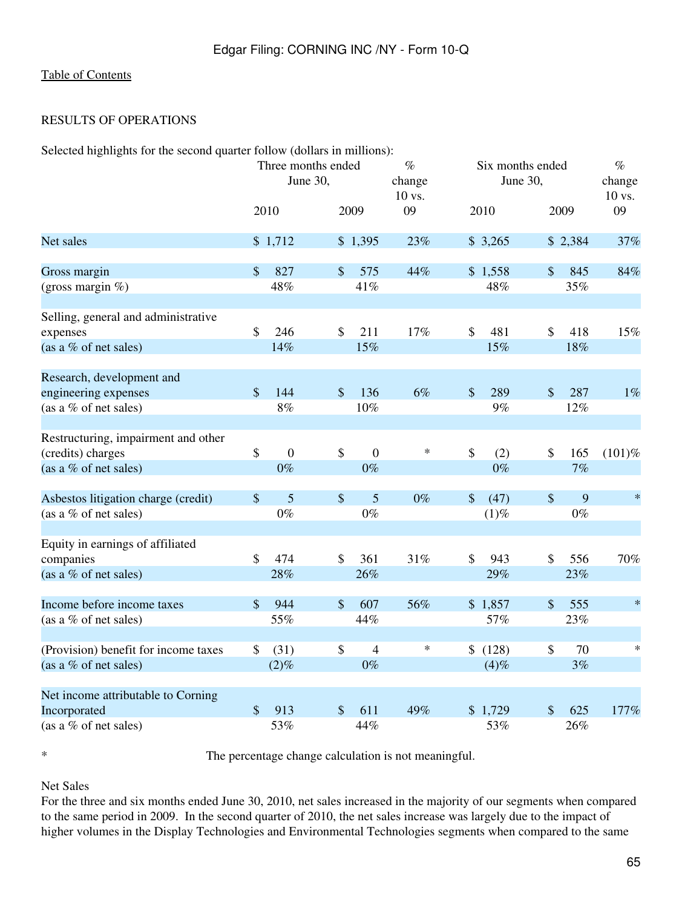## RESULTS OF OPERATIONS

| Selected highlights for the second quarter follow (dollars in millions):          |                                |                           |                    |                           |        |                              |                 |                           |                          |           |
|-----------------------------------------------------------------------------------|--------------------------------|---------------------------|--------------------|---------------------------|--------|------------------------------|-----------------|---------------------------|--------------------------|-----------|
|                                                                                   | Three months ended<br>June 30, |                           |                    | $\%$<br>change<br>10 vs.  |        | Six months ended<br>June 30, |                 |                           | $\%$<br>change<br>10 vs. |           |
|                                                                                   |                                | 2010                      |                    | 2009                      | 09     |                              | 2010            |                           | 2009                     | 09        |
| Net sales                                                                         |                                | \$1,712                   |                    | \$1,395                   | 23%    |                              | \$3,265         |                           | \$2,384                  | 37%       |
| Gross margin                                                                      | $\mathcal{S}$                  | 827                       | $\$\$              | 575                       | 44%    |                              | \$1,558         | \$                        | 845                      | 84%       |
| (gross margin $%$ )                                                               |                                | 48%                       |                    | 41%                       |        |                              | 48%             |                           | 35%                      |           |
| Selling, general and administrative<br>expenses<br>(as a % of net sales)          | $\boldsymbol{\mathsf{S}}$      | 246<br>14%                | \$                 | 211<br>15%                | 17%    | \$                           | 481<br>15%      | \$                        | 418<br>18%               | 15%       |
| Research, development and<br>engineering expenses<br>(as a % of net sales)        | $\frac{1}{2}$                  | 144<br>$8\%$              | $\sqrt$            | 136<br>$10\%$             | 6%     | $\boldsymbol{\mathsf{S}}$    | 289<br>$9\%$    | $\boldsymbol{\mathsf{S}}$ | 287<br>12%               | 1%        |
| Restructuring, impairment and other<br>(credits) charges<br>(as a % of net sales) | $\boldsymbol{\mathsf{S}}$      | $\boldsymbol{0}$<br>$0\%$ | $\$$               | $\boldsymbol{0}$<br>$0\%$ | $\ast$ | $\boldsymbol{\$}$            | (2)<br>$0\%$    | $\boldsymbol{\$}$         | 165<br>7%                | $(101)$ % |
| Asbestos litigation charge (credit)<br>(as a % of net sales)                      | $\frac{1}{2}$                  | 5<br>$0\%$                | $\$\$              | 5<br>$0\%$                | $0\%$  | $\boldsymbol{\mathsf{S}}$    | (47)<br>$(1)$ % | $\mathcal{S}$             | 9<br>$0\%$               | $\ast$    |
| Equity in earnings of affiliated<br>companies<br>(as a % of net sales)            | $\mathcal{S}$                  | 474<br>28%                | $\mathbf{\hat{S}}$ | 361<br>26%                | 31%    | $\mathcal{S}$                | 943<br>29%      | $\mathcal{S}$             | 556<br>23%               | 70%       |
| Income before income taxes<br>(as a % of net sales)                               | $\mathcal{S}$                  | 944<br>55%                | $\mathcal{S}$      | 607<br>44%                | 56%    |                              | \$1,857<br>57%  | \$                        | 555<br>23%               | $\ast$    |
| (Provision) benefit for income taxes<br>(as a % of net sales)                     | $\mathcal{S}$                  | (31)<br>$(2)\%$           | $\$$               | $\overline{4}$<br>$0\%$   | $\ast$ | \$                           | (128)<br>(4)%   | $\boldsymbol{\mathsf{S}}$ | 70<br>3%                 | $\ast$    |
| Net income attributable to Corning<br>Incorporated<br>(as a % of net sales)       | $\mathcal{S}$                  | 913<br>53%                | \$                 | 611<br>44%                | 49%    |                              | \$1,729<br>53%  | \$                        | 625<br>26%               | 177%      |

\* The percentage change calculation is not meaningful.

Net Sales

For the three and six months ended June 30, 2010, net sales increased in the majority of our segments when compared to the same period in 2009. In the second quarter of 2010, the net sales increase was largely due to the impact of higher volumes in the Display Technologies and Environmental Technologies segments when compared to the same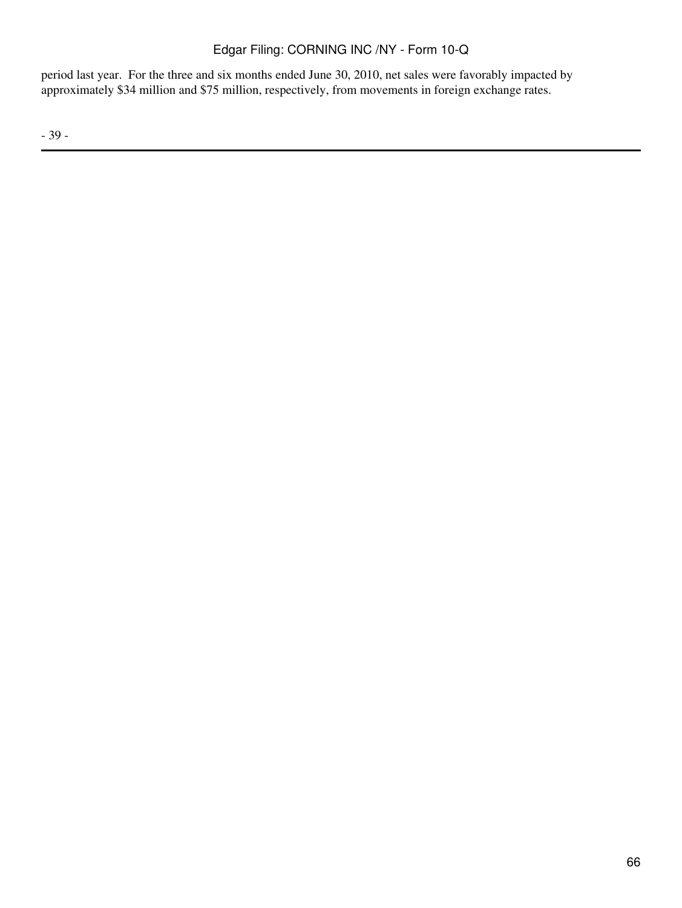period last year. For the three and six months ended June 30, 2010, net sales were favorably impacted by approximately \$34 million and \$75 million, respectively, from movements in foreign exchange rates.

- 39 -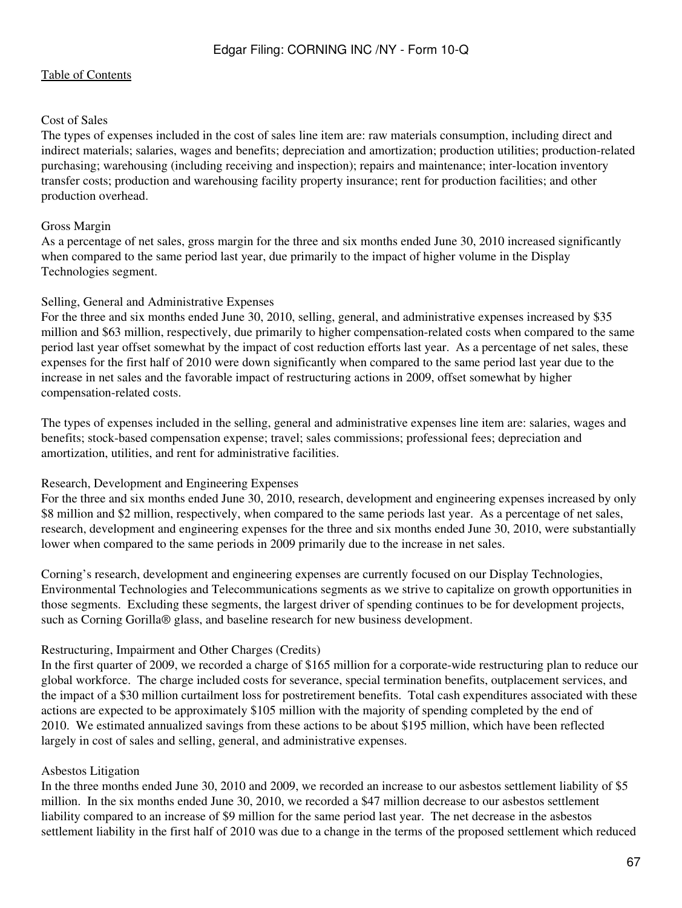#### Cost of Sales

The types of expenses included in the cost of sales line item are: raw materials consumption, including direct and indirect materials; salaries, wages and benefits; depreciation and amortization; production utilities; production-related purchasing; warehousing (including receiving and inspection); repairs and maintenance; inter-location inventory transfer costs; production and warehousing facility property insurance; rent for production facilities; and other production overhead.

#### Gross Margin

As a percentage of net sales, gross margin for the three and six months ended June 30, 2010 increased significantly when compared to the same period last year, due primarily to the impact of higher volume in the Display Technologies segment.

#### Selling, General and Administrative Expenses

For the three and six months ended June 30, 2010, selling, general, and administrative expenses increased by \$35 million and \$63 million, respectively, due primarily to higher compensation-related costs when compared to the same period last year offset somewhat by the impact of cost reduction efforts last year. As a percentage of net sales, these expenses for the first half of 2010 were down significantly when compared to the same period last year due to the increase in net sales and the favorable impact of restructuring actions in 2009, offset somewhat by higher compensation-related costs.

The types of expenses included in the selling, general and administrative expenses line item are: salaries, wages and benefits; stock-based compensation expense; travel; sales commissions; professional fees; depreciation and amortization, utilities, and rent for administrative facilities.

#### Research, Development and Engineering Expenses

For the three and six months ended June 30, 2010, research, development and engineering expenses increased by only \$8 million and \$2 million, respectively, when compared to the same periods last year. As a percentage of net sales, research, development and engineering expenses for the three and six months ended June 30, 2010, were substantially lower when compared to the same periods in 2009 primarily due to the increase in net sales.

Corning's research, development and engineering expenses are currently focused on our Display Technologies, Environmental Technologies and Telecommunications segments as we strive to capitalize on growth opportunities in those segments. Excluding these segments, the largest driver of spending continues to be for development projects, such as Corning Gorilla® glass, and baseline research for new business development.

### Restructuring, Impairment and Other Charges (Credits)

In the first quarter of 2009, we recorded a charge of \$165 million for a corporate-wide restructuring plan to reduce our global workforce. The charge included costs for severance, special termination benefits, outplacement services, and the impact of a \$30 million curtailment loss for postretirement benefits. Total cash expenditures associated with these actions are expected to be approximately \$105 million with the majority of spending completed by the end of 2010. We estimated annualized savings from these actions to be about \$195 million, which have been reflected largely in cost of sales and selling, general, and administrative expenses.

### Asbestos Litigation

In the three months ended June 30, 2010 and 2009, we recorded an increase to our asbestos settlement liability of \$5 million. In the six months ended June 30, 2010, we recorded a \$47 million decrease to our asbestos settlement liability compared to an increase of \$9 million for the same period last year. The net decrease in the asbestos settlement liability in the first half of 2010 was due to a change in the terms of the proposed settlement which reduced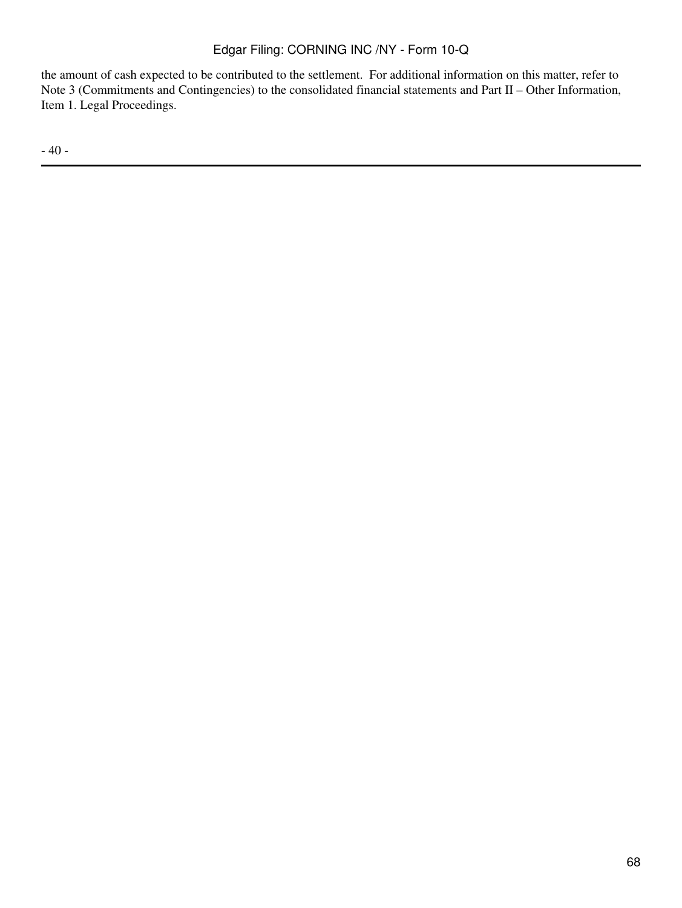the amount of cash expected to be contributed to the settlement. For additional information on this matter, refer to Note 3 (Commitments and Contingencies) to the consolidated financial statements and Part II – Other Information, Item 1. Legal Proceedings.

- 40 -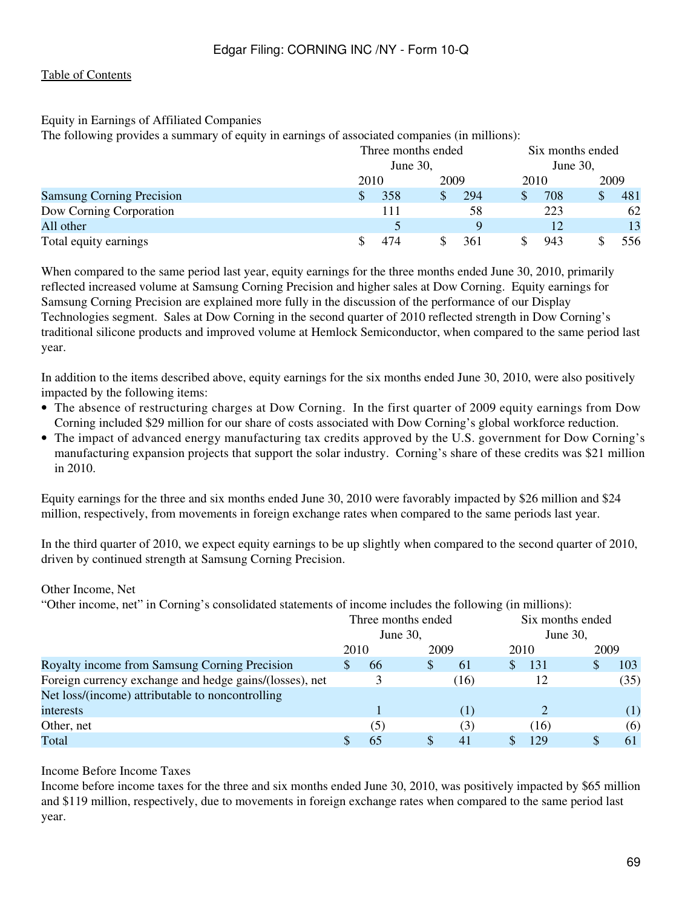#### Equity in Earnings of Affiliated Companies

The following provides a summary of equity in earnings of associated companies (in millions):

|                                  | Three months ended |             |      |     |      | Six months ended |             |     |  |
|----------------------------------|--------------------|-------------|------|-----|------|------------------|-------------|-----|--|
|                                  |                    | June $30$ , |      |     |      |                  | June $30$ , |     |  |
|                                  | 2010               |             | 2009 |     | 2010 |                  | 2009        |     |  |
| <b>Samsung Corning Precision</b> |                    | 358         |      | 294 |      | 708              |             | 481 |  |
| Dow Corning Corporation          |                    |             |      | 58  |      | 223              |             | 62  |  |
| All other                        |                    |             |      | Q   |      | 12               |             | 13  |  |
| Total equity earnings            |                    | 474         |      | 361 |      | 943              |             | 556 |  |

When compared to the same period last year, equity earnings for the three months ended June 30, 2010, primarily reflected increased volume at Samsung Corning Precision and higher sales at Dow Corning. Equity earnings for Samsung Corning Precision are explained more fully in the discussion of the performance of our Display Technologies segment. Sales at Dow Corning in the second quarter of 2010 reflected strength in Dow Corning's traditional silicone products and improved volume at Hemlock Semiconductor, when compared to the same period last year.

In addition to the items described above, equity earnings for the six months ended June 30, 2010, were also positively impacted by the following items:

- The absence of restructuring charges at Dow Corning. In the first quarter of 2009 equity earnings from Dow Corning included \$29 million for our share of costs associated with Dow Corning's global workforce reduction.
- The impact of advanced energy manufacturing tax credits approved by the U.S. government for Dow Corning's manufacturing expansion projects that support the solar industry. Corning's share of these credits was \$21 million in 2010.

Equity earnings for the three and six months ended June 30, 2010 were favorably impacted by \$26 million and \$24 million, respectively, from movements in foreign exchange rates when compared to the same periods last year.

In the third quarter of 2010, we expect equity earnings to be up slightly when compared to the second quarter of 2010, driven by continued strength at Samsung Corning Precision.

Other Income, Net

"Other income, net" in Corning's consolidated statements of income includes the following (in millions):

|                                                         | Three months ended<br>June 30, |     |   | Six months ended<br>June 30, |      |      |      |
|---------------------------------------------------------|--------------------------------|-----|---|------------------------------|------|------|------|
|                                                         | 2010                           |     |   | 2009                         | 2010 | 2009 |      |
| Royalty income from Samsung Corning Precision           | S                              | 66  | S | 61                           | 131  |      | 103  |
| Foreign currency exchange and hedge gains/(losses), net |                                |     |   | (16)                         | 12   |      | (35) |
| Net loss/(income) attributable to noncontrolling        |                                |     |   |                              |      |      |      |
| interests                                               |                                |     |   |                              |      |      | (1)  |
| Other, net                                              |                                | (5) |   | (3)                          | (16) |      | (6)  |
| Total                                                   |                                |     | S | 41                           | 129  |      | 61   |

#### Income Before Income Taxes

Income before income taxes for the three and six months ended June 30, 2010, was positively impacted by \$65 million and \$119 million, respectively, due to movements in foreign exchange rates when compared to the same period last year.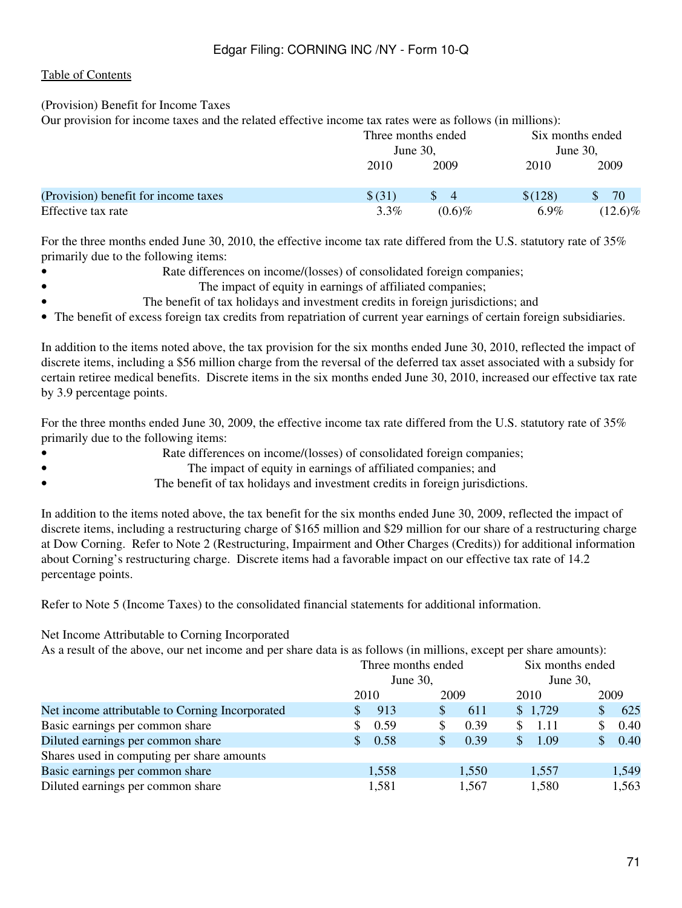(Provision) Benefit for Income Taxes

Our provision for income taxes and the related effective income tax rates were as follows (in millions):

|                                      | Three months ended |                                 | Six months ended |            |
|--------------------------------------|--------------------|---------------------------------|------------------|------------|
|                                      | June 30,           |                                 | June $30$ ,      |            |
|                                      | 2010               | 2009                            | 2010             | 2009       |
| (Provision) benefit for income taxes | \$ (31)            | $\mathcal{S}$<br>$\overline{4}$ | \$(128)          | 70         |
| Effective tax rate                   | $3.3\%$            | $(0.6)\%$                       | $6.9\%$          | $(12.6)\%$ |

For the three months ended June 30, 2010, the effective income tax rate differed from the U.S. statutory rate of 35% primarily due to the following items:

- Rate differences on income/(losses) of consolidated foreign companies;
- The impact of equity in earnings of affiliated companies;
- The benefit of tax holidays and investment credits in foreign jurisdictions; and
- The benefit of excess foreign tax credits from repatriation of current year earnings of certain foreign subsidiaries.

In addition to the items noted above, the tax provision for the six months ended June 30, 2010, reflected the impact of discrete items, including a \$56 million charge from the reversal of the deferred tax asset associated with a subsidy for certain retiree medical benefits. Discrete items in the six months ended June 30, 2010, increased our effective tax rate by 3.9 percentage points.

For the three months ended June 30, 2009, the effective income tax rate differed from the U.S. statutory rate of 35% primarily due to the following items:

- Rate differences on income/(losses) of consolidated foreign companies;
- The impact of equity in earnings of affiliated companies; and
- The benefit of tax holidays and investment credits in foreign jurisdictions.

In addition to the items noted above, the tax benefit for the six months ended June 30, 2009, reflected the impact of discrete items, including a restructuring charge of \$165 million and \$29 million for our share of a restructuring charge at Dow Corning. Refer to Note 2 (Restructuring, Impairment and Other Charges (Credits)) for additional information about Corning's restructuring charge. Discrete items had a favorable impact on our effective tax rate of 14.2 percentage points.

Refer to Note 5 (Income Taxes) to the consolidated financial statements for additional information.

Net Income Attributable to Corning Incorporated

As a result of the above, our net income and per share data is as follows (in millions, except per share amounts):

|                                                 | Three months ended    |                     | Six months ended<br>June 30, |       |  |
|-------------------------------------------------|-----------------------|---------------------|------------------------------|-------|--|
|                                                 | June 30,              |                     |                              |       |  |
|                                                 | 2010                  | 2009                | 2010                         | 2009  |  |
| Net income attributable to Corning Incorporated | 913<br><sup>S</sup>   | 611<br><sup>S</sup> | \$1,729                      | 625   |  |
| Basic earnings per common share                 | 0.59<br>S.            | 0.39<br>S           | -1.11<br>S                   | 0.40  |  |
| Diluted earnings per common share               | 0.58<br>$\mathcal{S}$ | 0.39<br>S           | 1.09<br>\$                   | 0.40  |  |
| Shares used in computing per share amounts      |                       |                     |                              |       |  |
| Basic earnings per common share                 | 1,558                 | 1,550               | 1.557                        | 1,549 |  |
| Diluted earnings per common share               | 1,581                 | 1,567               | 1,580                        | 1,563 |  |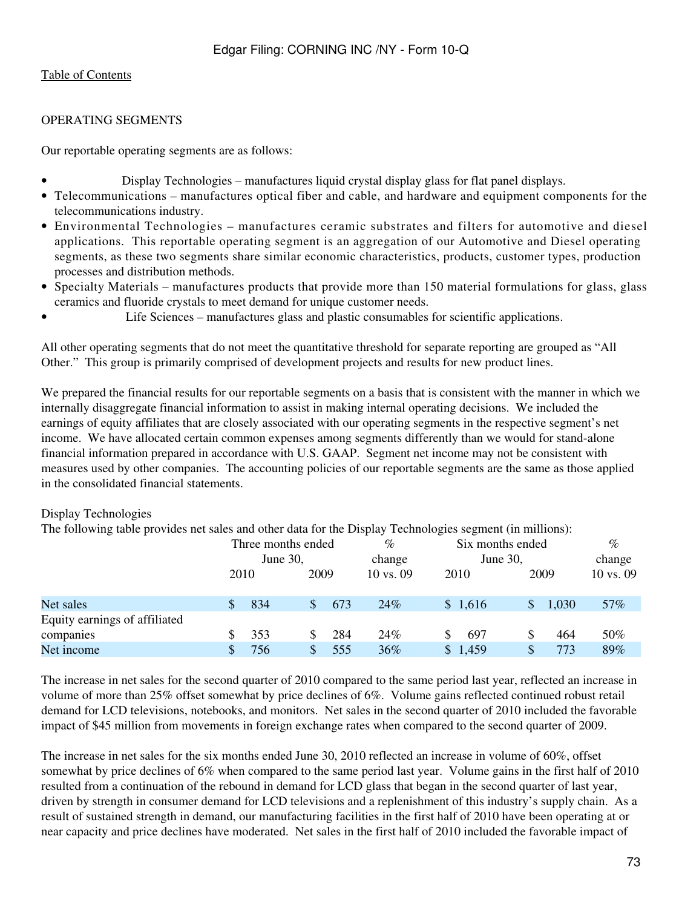# OPERATING SEGMENTS

Our reportable operating segments are as follows:

- Display Technologies manufactures liquid crystal display glass for flat panel displays.
- Telecommunications manufactures optical fiber and cable, and hardware and equipment components for the telecommunications industry.
- Environmental Technologies manufactures ceramic substrates and filters for automotive and diesel applications. This reportable operating segment is an aggregation of our Automotive and Diesel operating segments, as these two segments share similar economic characteristics, products, customer types, production processes and distribution methods.
- Specialty Materials manufactures products that provide more than 150 material formulations for glass, glass ceramics and fluoride crystals to meet demand for unique customer needs.
- Life Sciences manufactures glass and plastic consumables for scientific applications.

All other operating segments that do not meet the quantitative threshold for separate reporting are grouped as "All Other." This group is primarily comprised of development projects and results for new product lines.

We prepared the financial results for our reportable segments on a basis that is consistent with the manner in which we internally disaggregate financial information to assist in making internal operating decisions. We included the earnings of equity affiliates that are closely associated with our operating segments in the respective segment's net income. We have allocated certain common expenses among segments differently than we would for stand-alone financial information prepared in accordance with U.S. GAAP. Segment net income may not be consistent with measures used by other companies. The accounting policies of our reportable segments are the same as those applied in the consolidated financial statements.

# Display Technologies

The following table provides net sales and other data for the Display Technologies segment (in millions):

|                               |      | Three months ended |      |     |                      | Six months ended |     |      |       | $\%$                 |  |
|-------------------------------|------|--------------------|------|-----|----------------------|------------------|-----|------|-------|----------------------|--|
|                               |      | June $30$ ,        |      |     | change               | June $30$ ,      |     |      |       | change               |  |
|                               | 2010 |                    | 2009 |     | $10 \text{ vs. } 09$ | 2010             |     | 2009 |       | $10 \text{ vs. } 09$ |  |
| Net sales                     |      | 834                | \$.  | 673 | 24%                  | \$1,616          |     | S.   | 1,030 | 57%                  |  |
| Equity earnings of affiliated |      |                    |      |     |                      |                  |     |      |       |                      |  |
| companies                     |      | 353                | S    | 284 | 24%                  |                  | 697 |      | 464   | 50%                  |  |
| Net income                    |      | 756                |      | 555 | 36%                  | \$1,459          |     |      | 773   | 89%                  |  |

The increase in net sales for the second quarter of 2010 compared to the same period last year, reflected an increase in volume of more than 25% offset somewhat by price declines of 6%. Volume gains reflected continued robust retail demand for LCD televisions, notebooks, and monitors. Net sales in the second quarter of 2010 included the favorable impact of \$45 million from movements in foreign exchange rates when compared to the second quarter of 2009.

The increase in net sales for the six months ended June 30, 2010 reflected an increase in volume of 60%, offset somewhat by price declines of 6% when compared to the same period last year. Volume gains in the first half of 2010 resulted from a continuation of the rebound in demand for LCD glass that began in the second quarter of last year, driven by strength in consumer demand for LCD televisions and a replenishment of this industry's supply chain. As a result of sustained strength in demand, our manufacturing facilities in the first half of 2010 have been operating at or near capacity and price declines have moderated. Net sales in the first half of 2010 included the favorable impact of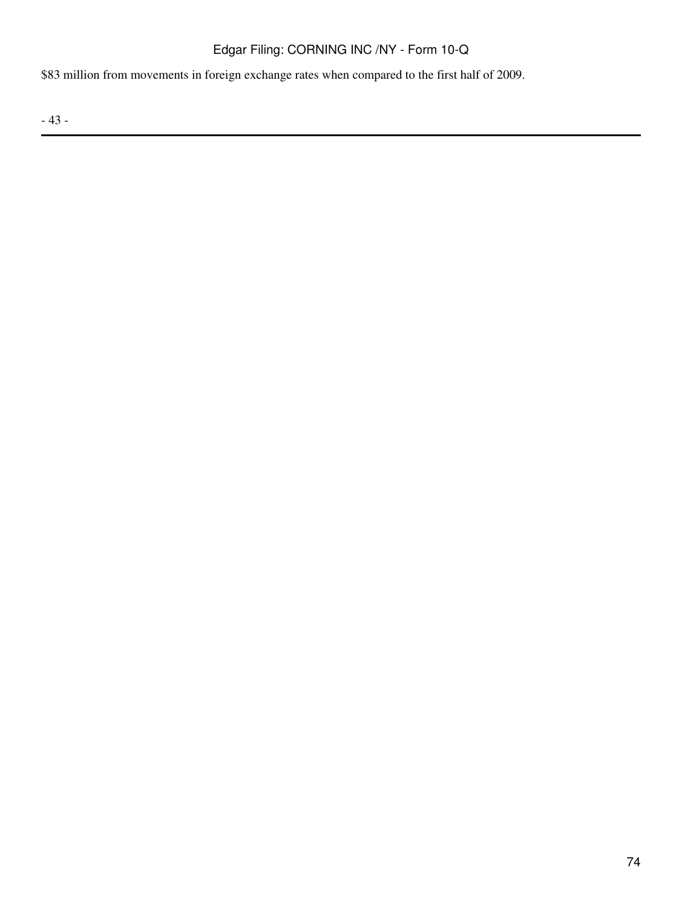# Edgar Filing: CORNING INC /NY - Form 10-Q

\$83 million from movements in foreign exchange rates when compared to the first half of 2009.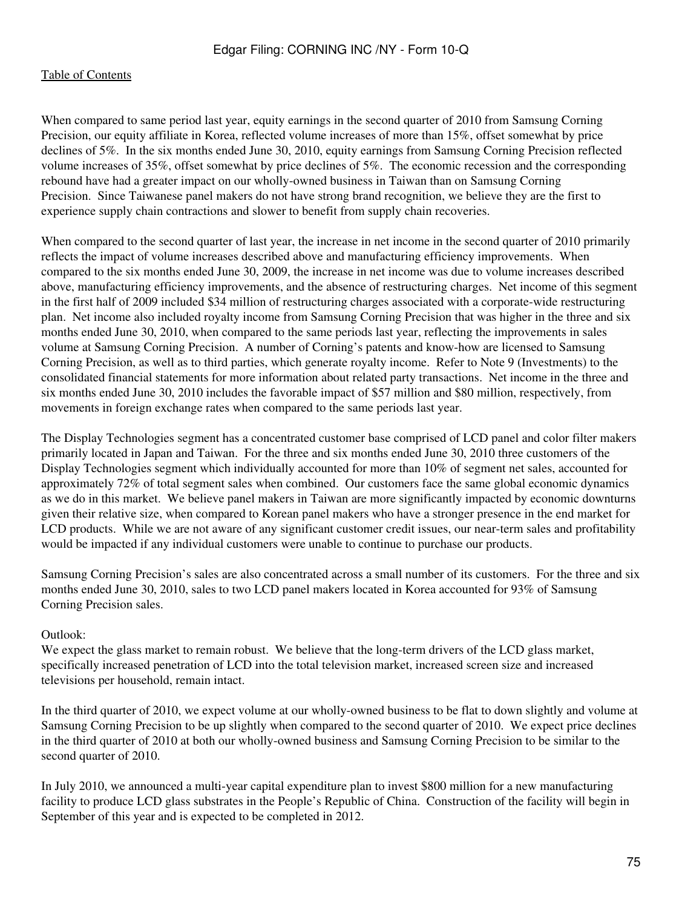When compared to same period last year, equity earnings in the second quarter of 2010 from Samsung Corning Precision, our equity affiliate in Korea, reflected volume increases of more than 15%, offset somewhat by price declines of 5%. In the six months ended June 30, 2010, equity earnings from Samsung Corning Precision reflected volume increases of 35%, offset somewhat by price declines of 5%. The economic recession and the corresponding rebound have had a greater impact on our wholly-owned business in Taiwan than on Samsung Corning Precision. Since Taiwanese panel makers do not have strong brand recognition, we believe they are the first to experience supply chain contractions and slower to benefit from supply chain recoveries.

When compared to the second quarter of last year, the increase in net income in the second quarter of 2010 primarily reflects the impact of volume increases described above and manufacturing efficiency improvements. When compared to the six months ended June 30, 2009, the increase in net income was due to volume increases described above, manufacturing efficiency improvements, and the absence of restructuring charges. Net income of this segment in the first half of 2009 included \$34 million of restructuring charges associated with a corporate-wide restructuring plan. Net income also included royalty income from Samsung Corning Precision that was higher in the three and six months ended June 30, 2010, when compared to the same periods last year, reflecting the improvements in sales volume at Samsung Corning Precision. A number of Corning's patents and know-how are licensed to Samsung Corning Precision, as well as to third parties, which generate royalty income. Refer to Note 9 (Investments) to the consolidated financial statements for more information about related party transactions. Net income in the three and six months ended June 30, 2010 includes the favorable impact of \$57 million and \$80 million, respectively, from movements in foreign exchange rates when compared to the same periods last year.

The Display Technologies segment has a concentrated customer base comprised of LCD panel and color filter makers primarily located in Japan and Taiwan. For the three and six months ended June 30, 2010 three customers of the Display Technologies segment which individually accounted for more than 10% of segment net sales, accounted for approximately 72% of total segment sales when combined. Our customers face the same global economic dynamics as we do in this market. We believe panel makers in Taiwan are more significantly impacted by economic downturns given their relative size, when compared to Korean panel makers who have a stronger presence in the end market for LCD products. While we are not aware of any significant customer credit issues, our near-term sales and profitability would be impacted if any individual customers were unable to continue to purchase our products.

Samsung Corning Precision's sales are also concentrated across a small number of its customers. For the three and six months ended June 30, 2010, sales to two LCD panel makers located in Korea accounted for 93% of Samsung Corning Precision sales.

### Outlook:

We expect the glass market to remain robust. We believe that the long-term drivers of the LCD glass market, specifically increased penetration of LCD into the total television market, increased screen size and increased televisions per household, remain intact.

In the third quarter of 2010, we expect volume at our wholly-owned business to be flat to down slightly and volume at Samsung Corning Precision to be up slightly when compared to the second quarter of 2010. We expect price declines in the third quarter of 2010 at both our wholly-owned business and Samsung Corning Precision to be similar to the second quarter of 2010.

In July 2010, we announced a multi-year capital expenditure plan to invest \$800 million for a new manufacturing facility to produce LCD glass substrates in the People's Republic of China. Construction of the facility will begin in September of this year and is expected to be completed in 2012.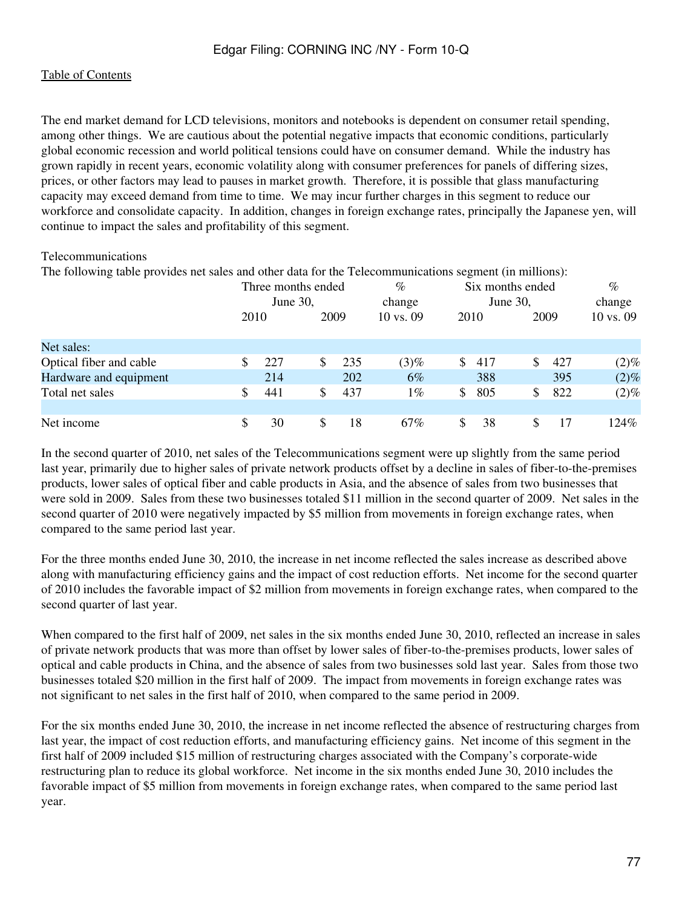The end market demand for LCD televisions, monitors and notebooks is dependent on consumer retail spending, among other things. We are cautious about the potential negative impacts that economic conditions, particularly global economic recession and world political tensions could have on consumer demand. While the industry has grown rapidly in recent years, economic volatility along with consumer preferences for panels of differing sizes, prices, or other factors may lead to pauses in market growth. Therefore, it is possible that glass manufacturing capacity may exceed demand from time to time. We may incur further charges in this segment to reduce our workforce and consolidate capacity. In addition, changes in foreign exchange rates, principally the Japanese yen, will continue to impact the sales and profitability of this segment.

### Telecommunications

The following table provides net sales and other data for the Telecommunications segment (in millions):

|                         | Three months ended<br>June $30$ , |     |      |     | $\%$<br>change       | Six months ended<br>June $30$ , |      |      | $\%$<br>change |                      |
|-------------------------|-----------------------------------|-----|------|-----|----------------------|---------------------------------|------|------|----------------|----------------------|
|                         | 2010                              |     | 2009 |     | $10 \text{ vs. } 09$ |                                 | 2010 | 2009 |                | $10 \text{ vs. } 09$ |
| Net sales:              |                                   |     |      |     |                      |                                 |      |      |                |                      |
| Optical fiber and cable |                                   | 227 | S    | 235 | $(3)\%$              | \$                              | 417  | \$   | 427            | $(2)\%$              |
| Hardware and equipment  |                                   | 214 |      | 202 | $6\%$                |                                 | 388  |      | 395            | $(2)\%$              |
| Total net sales         |                                   | 441 | S    | 437 | 1%                   | \$                              | 805  | S    | 822            | $(2)\%$              |
| Net income              | \$                                | 30  | S    | 18  | 67%                  |                                 | 38   |      | 17             | 124%                 |

In the second quarter of 2010, net sales of the Telecommunications segment were up slightly from the same period last year, primarily due to higher sales of private network products offset by a decline in sales of fiber-to-the-premises products, lower sales of optical fiber and cable products in Asia, and the absence of sales from two businesses that were sold in 2009. Sales from these two businesses totaled \$11 million in the second quarter of 2009. Net sales in the second quarter of 2010 were negatively impacted by \$5 million from movements in foreign exchange rates, when compared to the same period last year.

For the three months ended June 30, 2010, the increase in net income reflected the sales increase as described above along with manufacturing efficiency gains and the impact of cost reduction efforts. Net income for the second quarter of 2010 includes the favorable impact of \$2 million from movements in foreign exchange rates, when compared to the second quarter of last year.

When compared to the first half of 2009, net sales in the six months ended June 30, 2010, reflected an increase in sales of private network products that was more than offset by lower sales of fiber-to-the-premises products, lower sales of optical and cable products in China, and the absence of sales from two businesses sold last year. Sales from those two businesses totaled \$20 million in the first half of 2009. The impact from movements in foreign exchange rates was not significant to net sales in the first half of 2010, when compared to the same period in 2009.

For the six months ended June 30, 2010, the increase in net income reflected the absence of restructuring charges from last year, the impact of cost reduction efforts, and manufacturing efficiency gains. Net income of this segment in the first half of 2009 included \$15 million of restructuring charges associated with the Company's corporate-wide restructuring plan to reduce its global workforce. Net income in the six months ended June 30, 2010 includes the favorable impact of \$5 million from movements in foreign exchange rates, when compared to the same period last year.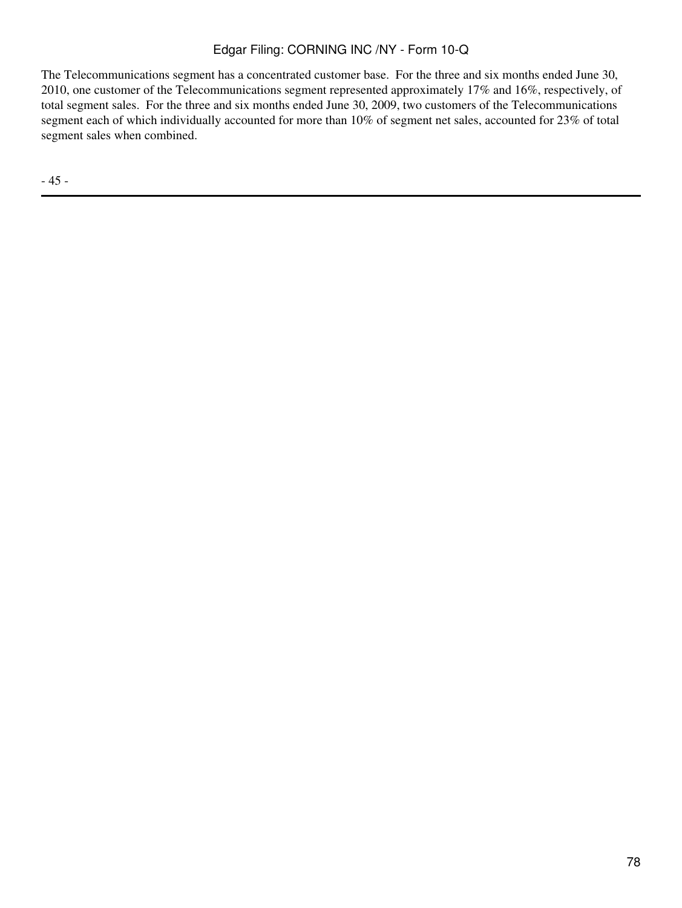# Edgar Filing: CORNING INC /NY - Form 10-Q

The Telecommunications segment has a concentrated customer base. For the three and six months ended June 30, 2010, one customer of the Telecommunications segment represented approximately 17% and 16%, respectively, of total segment sales. For the three and six months ended June 30, 2009, two customers of the Telecommunications segment each of which individually accounted for more than 10% of segment net sales, accounted for 23% of total segment sales when combined.

- 45 -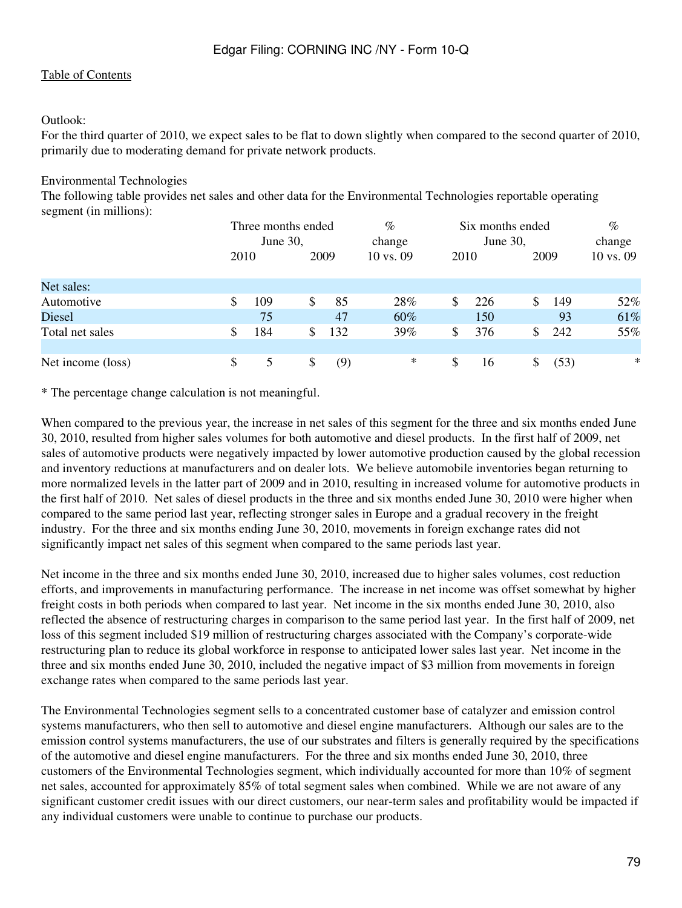### Outlook:

For the third quarter of 2010, we expect sales to be flat to down slightly when compared to the second quarter of 2010, primarily due to moderating demand for private network products.

### Environmental Technologies

The following table provides net sales and other data for the Environmental Technologies reportable operating segment (in millions):

|                   |      | Three months ended<br>June 30, |      |     | $\%$<br>change       | Six months ended<br>June $30$ , |     |      |      | $\%$<br>change |
|-------------------|------|--------------------------------|------|-----|----------------------|---------------------------------|-----|------|------|----------------|
|                   | 2010 |                                | 2009 |     | $10 \text{ vs. } 09$ | 2010                            |     | 2009 |      | 10 vs. 09      |
| Net sales:        |      |                                |      |     |                      |                                 |     |      |      |                |
| Automotive        | \$   | 109                            | S    | 85  | 28%                  | S                               | 226 | S    | 149  | 52%            |
| <b>Diesel</b>     |      | 75                             |      | 47  | 60%                  |                                 | 150 |      | 93   | 61%            |
| Total net sales   | \$   | 184                            | \$   | 132 | 39%                  | S                               | 376 | \$.  | 242  | 55%            |
| Net income (loss) | \$   | 5                              | \$   | (9) | $\ast$               | \$                              | 16  |      | (53) | $\ast$         |

\* The percentage change calculation is not meaningful.

When compared to the previous year, the increase in net sales of this segment for the three and six months ended June 30, 2010, resulted from higher sales volumes for both automotive and diesel products. In the first half of 2009, net sales of automotive products were negatively impacted by lower automotive production caused by the global recession and inventory reductions at manufacturers and on dealer lots. We believe automobile inventories began returning to more normalized levels in the latter part of 2009 and in 2010, resulting in increased volume for automotive products in the first half of 2010. Net sales of diesel products in the three and six months ended June 30, 2010 were higher when compared to the same period last year, reflecting stronger sales in Europe and a gradual recovery in the freight industry. For the three and six months ending June 30, 2010, movements in foreign exchange rates did not significantly impact net sales of this segment when compared to the same periods last year.

Net income in the three and six months ended June 30, 2010, increased due to higher sales volumes, cost reduction efforts, and improvements in manufacturing performance. The increase in net income was offset somewhat by higher freight costs in both periods when compared to last year. Net income in the six months ended June 30, 2010, also reflected the absence of restructuring charges in comparison to the same period last year. In the first half of 2009, net loss of this segment included \$19 million of restructuring charges associated with the Company's corporate-wide restructuring plan to reduce its global workforce in response to anticipated lower sales last year. Net income in the three and six months ended June 30, 2010, included the negative impact of \$3 million from movements in foreign exchange rates when compared to the same periods last year.

The Environmental Technologies segment sells to a concentrated customer base of catalyzer and emission control systems manufacturers, who then sell to automotive and diesel engine manufacturers. Although our sales are to the emission control systems manufacturers, the use of our substrates and filters is generally required by the specifications of the automotive and diesel engine manufacturers. For the three and six months ended June 30, 2010, three customers of the Environmental Technologies segment, which individually accounted for more than 10% of segment net sales, accounted for approximately 85% of total segment sales when combined. While we are not aware of any significant customer credit issues with our direct customers, our near-term sales and profitability would be impacted if any individual customers were unable to continue to purchase our products.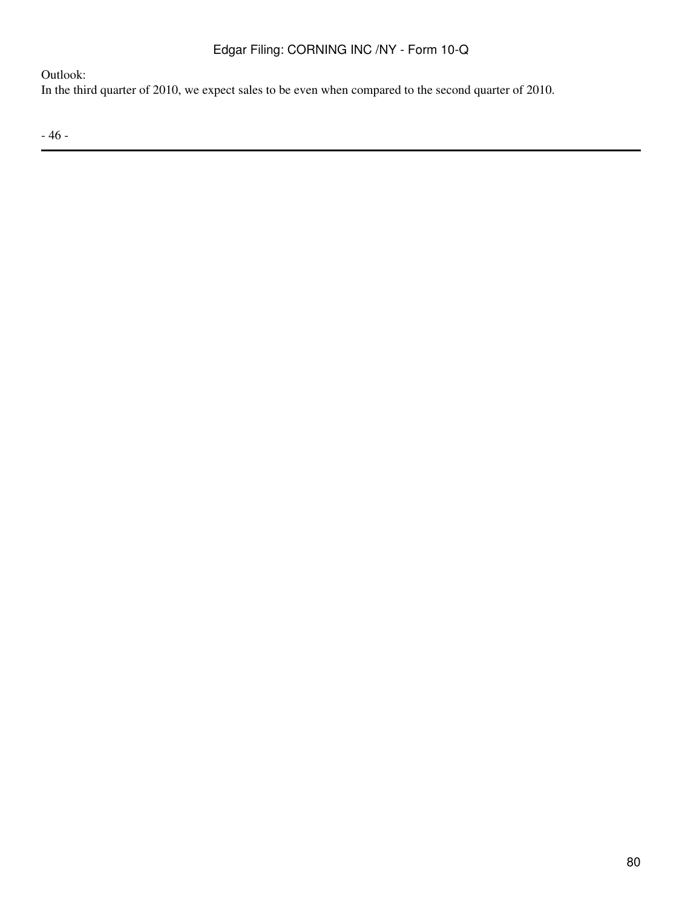# Edgar Filing: CORNING INC /NY - Form 10-Q

Outlook:

In the third quarter of 2010, we expect sales to be even when compared to the second quarter of 2010.

- 46 -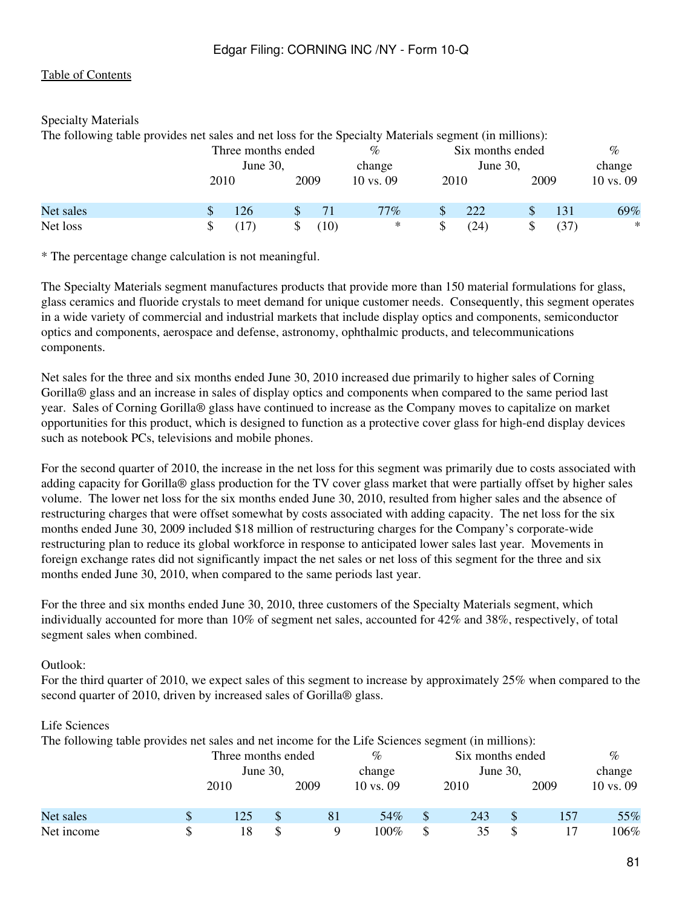### Specialty Materials

The following table provides net sales and net loss for the Specialty Materials segment (in millions):

|           |      | Three months ended |      |      | %                    |   |             | Six months ended |      | $\%$      |  |
|-----------|------|--------------------|------|------|----------------------|---|-------------|------------------|------|-----------|--|
|           |      | June $30$ ,        |      |      | change               |   | June $30$ , |                  |      | change    |  |
|           | 2010 |                    | 2009 |      | $10 \text{ vs. } 09$ |   | 2010        | 2009             |      | 10 vs. 09 |  |
| Net sales |      | 126                |      |      | $77\%$               |   | 222         |                  | 131  | 69%       |  |
| Net loss  |      | 17)                | Jэ.  | (10) | ∗                    | S | (24)        |                  | (37) | $\ast$    |  |

\* The percentage change calculation is not meaningful.

The Specialty Materials segment manufactures products that provide more than 150 material formulations for glass, glass ceramics and fluoride crystals to meet demand for unique customer needs. Consequently, this segment operates in a wide variety of commercial and industrial markets that include display optics and components, semiconductor optics and components, aerospace and defense, astronomy, ophthalmic products, and telecommunications components.

Net sales for the three and six months ended June 30, 2010 increased due primarily to higher sales of Corning Gorilla® glass and an increase in sales of display optics and components when compared to the same period last year. Sales of Corning Gorilla® glass have continued to increase as the Company moves to capitalize on market opportunities for this product, which is designed to function as a protective cover glass for high-end display devices such as notebook PCs, televisions and mobile phones.

For the second quarter of 2010, the increase in the net loss for this segment was primarily due to costs associated with adding capacity for Gorilla® glass production for the TV cover glass market that were partially offset by higher sales volume. The lower net loss for the six months ended June 30, 2010, resulted from higher sales and the absence of restructuring charges that were offset somewhat by costs associated with adding capacity. The net loss for the six months ended June 30, 2009 included \$18 million of restructuring charges for the Company's corporate-wide restructuring plan to reduce its global workforce in response to anticipated lower sales last year. Movements in foreign exchange rates did not significantly impact the net sales or net loss of this segment for the three and six months ended June 30, 2010, when compared to the same periods last year.

For the three and six months ended June 30, 2010, three customers of the Specialty Materials segment, which individually accounted for more than 10% of segment net sales, accounted for 42% and 38%, respectively, of total segment sales when combined.

# Outlook:

For the third quarter of 2010, we expect sales of this segment to increase by approximately 25% when compared to the second quarter of 2010, driven by increased sales of Gorilla® glass.

### Life Sciences

The following table provides net sales and net income for the Life Sciences segment (in millions):

|            |   | Three months ended<br>June $30$ , |      | $\%$<br>change       |    | Six months ended<br>June $30$ , | %<br>change |     |               |
|------------|---|-----------------------------------|------|----------------------|----|---------------------------------|-------------|-----|---------------|
|            |   | 2010                              | 2009 | $10 \text{ vs. } 09$ |    | 2010                            | 2009        |     | $10$ vs. $09$ |
| Net sales  | S |                                   | 81   | 54%                  | S  | 243                             | \$.         | 157 | 55%           |
| Net income | S | 18                                |      | 100%                 | \$ | 35                              | S.          |     | $106\%$       |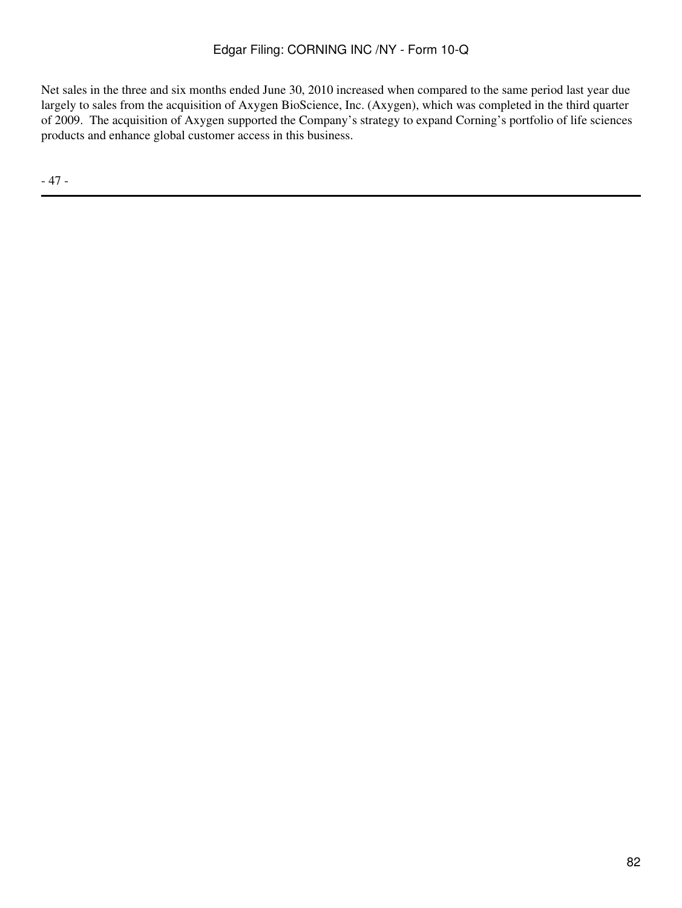Net sales in the three and six months ended June 30, 2010 increased when compared to the same period last year due largely to sales from the acquisition of Axygen BioScience, Inc. (Axygen), which was completed in the third quarter of 2009. The acquisition of Axygen supported the Company's strategy to expand Corning's portfolio of life sciences products and enhance global customer access in this business.

- 47 -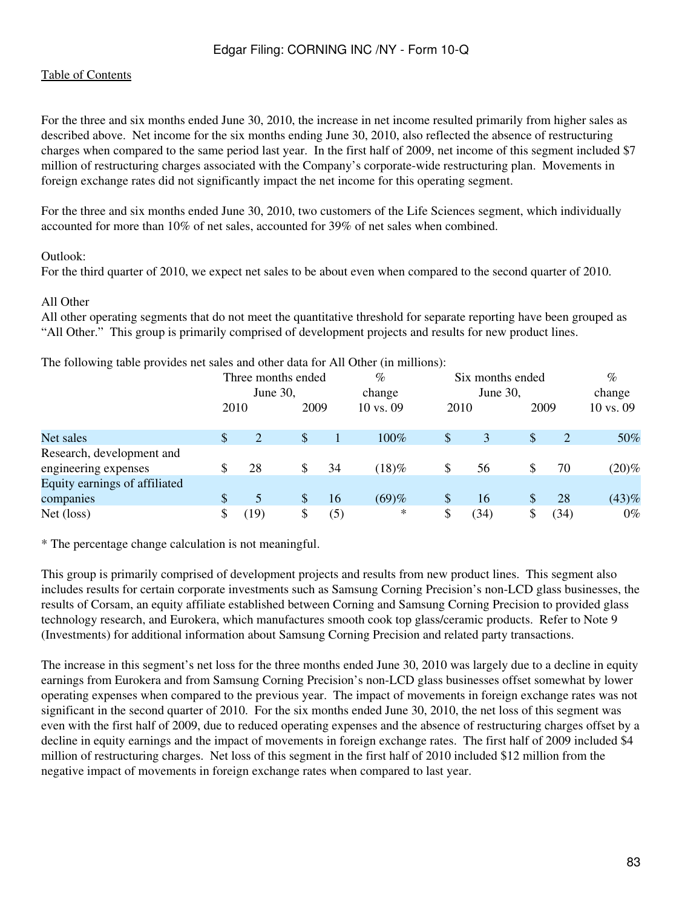For the three and six months ended June 30, 2010, the increase in net income resulted primarily from higher sales as described above. Net income for the six months ending June 30, 2010, also reflected the absence of restructuring charges when compared to the same period last year. In the first half of 2009, net income of this segment included \$7 million of restructuring charges associated with the Company's corporate-wide restructuring plan. Movements in foreign exchange rates did not significantly impact the net income for this operating segment.

For the three and six months ended June 30, 2010, two customers of the Life Sciences segment, which individually accounted for more than 10% of net sales, accounted for 39% of net sales when combined.

# Outlook:

For the third quarter of 2010, we expect net sales to be about even when compared to the second quarter of 2010.

### All Other

All other operating segments that do not meet the quantitative threshold for separate reporting have been grouped as "All Other." This group is primarily comprised of development projects and results for new product lines.

| The following table provides not sales and other data for Tim Other (in immons). |      |                    |      |     |               |      |                  |      |     |                      |
|----------------------------------------------------------------------------------|------|--------------------|------|-----|---------------|------|------------------|------|-----|----------------------|
|                                                                                  |      | Three months ended |      |     | $\%$          |      | Six months ended |      |     |                      |
|                                                                                  |      | June $30$ ,        |      |     | change        |      | June 30,         |      |     | change               |
|                                                                                  | 2010 |                    | 2009 |     | $10$ vs. $09$ | 2010 |                  | 2009 |     | $10 \text{ vs. } 09$ |
|                                                                                  |      |                    |      |     |               |      |                  |      |     |                      |
| Net sales                                                                        |      |                    | \$   |     | 100%          | S    | 3                | \$   | 2   | 50%                  |
| Research, development and                                                        |      |                    |      |     |               |      |                  |      |     |                      |
| engineering expenses                                                             |      | 28                 | \$   | 34  | $(18)\%$      | \$   | 56               | \$.  | 70  | (20)%                |
| Equity earnings of affiliated                                                    |      |                    |      |     |               |      |                  |      |     |                      |
| companies                                                                        |      |                    | \$.  | 16  | (69)%         |      | 16               | \$.  | 28  | (43)%                |
| Net (loss)                                                                       |      | (19)               | \$   | (5) | $\ast$        | \$   | (34)             |      | 34) | $0\%$                |
|                                                                                  |      |                    |      |     |               |      |                  |      |     |                      |

The following table provides net sales and other data for All Other (in millions):

\* The percentage change calculation is not meaningful.

This group is primarily comprised of development projects and results from new product lines. This segment also includes results for certain corporate investments such as Samsung Corning Precision's non-LCD glass businesses, the results of Corsam, an equity affiliate established between Corning and Samsung Corning Precision to provided glass technology research, and Eurokera, which manufactures smooth cook top glass/ceramic products. Refer to Note 9 (Investments) for additional information about Samsung Corning Precision and related party transactions.

The increase in this segment's net loss for the three months ended June 30, 2010 was largely due to a decline in equity earnings from Eurokera and from Samsung Corning Precision's non-LCD glass businesses offset somewhat by lower operating expenses when compared to the previous year. The impact of movements in foreign exchange rates was not significant in the second quarter of 2010. For the six months ended June 30, 2010, the net loss of this segment was even with the first half of 2009, due to reduced operating expenses and the absence of restructuring charges offset by a decline in equity earnings and the impact of movements in foreign exchange rates. The first half of 2009 included \$4 million of restructuring charges. Net loss of this segment in the first half of 2010 included \$12 million from the negative impact of movements in foreign exchange rates when compared to last year.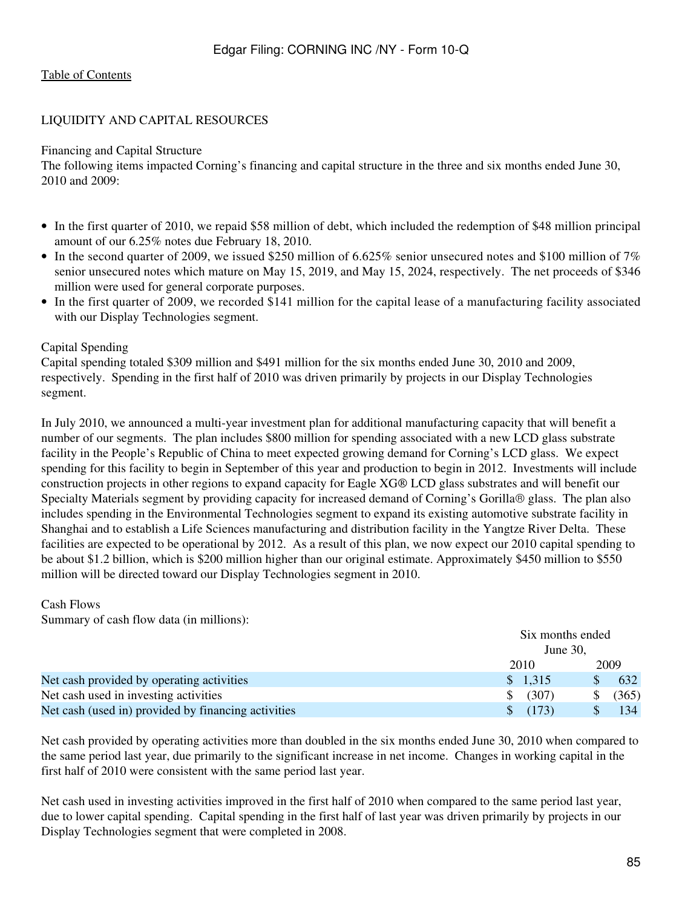# LIQUIDITY AND CAPITAL RESOURCES

#### Financing and Capital Structure

The following items impacted Corning's financing and capital structure in the three and six months ended June 30, 2010 and 2009:

- In the first quarter of 2010, we repaid \$58 million of debt, which included the redemption of \$48 million principal amount of our 6.25% notes due February 18, 2010.
- In the second quarter of 2009, we issued \$250 million of 6.625% senior unsecured notes and \$100 million of 7% senior unsecured notes which mature on May 15, 2019, and May 15, 2024, respectively. The net proceeds of \$346 million were used for general corporate purposes.
- In the first quarter of 2009, we recorded \$141 million for the capital lease of a manufacturing facility associated with our Display Technologies segment.

#### Capital Spending

Capital spending totaled \$309 million and \$491 million for the six months ended June 30, 2010 and 2009, respectively. Spending in the first half of 2010 was driven primarily by projects in our Display Technologies segment.

In July 2010, we announced a multi-year investment plan for additional manufacturing capacity that will benefit a number of our segments. The plan includes \$800 million for spending associated with a new LCD glass substrate facility in the People's Republic of China to meet expected growing demand for Corning's LCD glass. We expect spending for this facility to begin in September of this year and production to begin in 2012. Investments will include construction projects in other regions to expand capacity for Eagle XG LCD glass substrates and will benefit our Specialty Materials segment by providing capacity for increased demand of Corning's Gorilla® glass. The plan also includes spending in the Environmental Technologies segment to expand its existing automotive substrate facility in Shanghai and to establish a Life Sciences manufacturing and distribution facility in the Yangtze River Delta. These facilities are expected to be operational by 2012. As a result of this plan, we now expect our 2010 capital spending to be about \$1.2 billion, which is \$200 million higher than our original estimate. Approximately \$450 million to \$550 million will be directed toward our Display Technologies segment in 2010.

### Cash Flows

Summary of cash flow data (in millions):

|                                                     | Six months ended |       |
|-----------------------------------------------------|------------------|-------|
|                                                     | June 30.         |       |
|                                                     | 2010             | 2009  |
| Net cash provided by operating activities           | \$1,315          | 632   |
| Net cash used in investing activities               | (307)<br>S.      | (365) |
| Net cash (used in) provided by financing activities | (173)            | 134   |

Net cash provided by operating activities more than doubled in the six months ended June 30, 2010 when compared to the same period last year, due primarily to the significant increase in net income. Changes in working capital in the first half of 2010 were consistent with the same period last year.

Net cash used in investing activities improved in the first half of 2010 when compared to the same period last year, due to lower capital spending. Capital spending in the first half of last year was driven primarily by projects in our Display Technologies segment that were completed in 2008.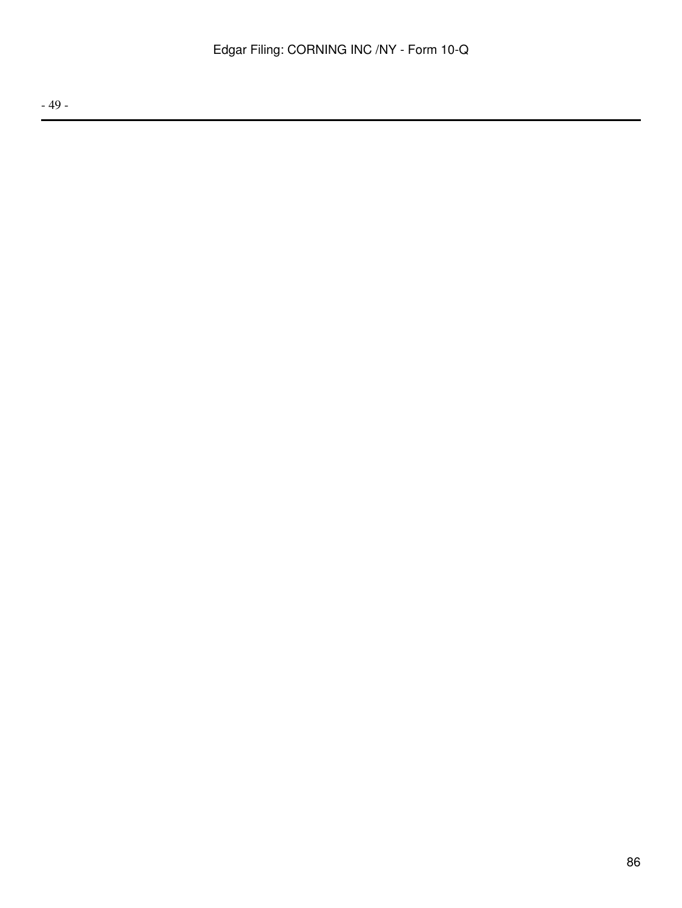- 49 -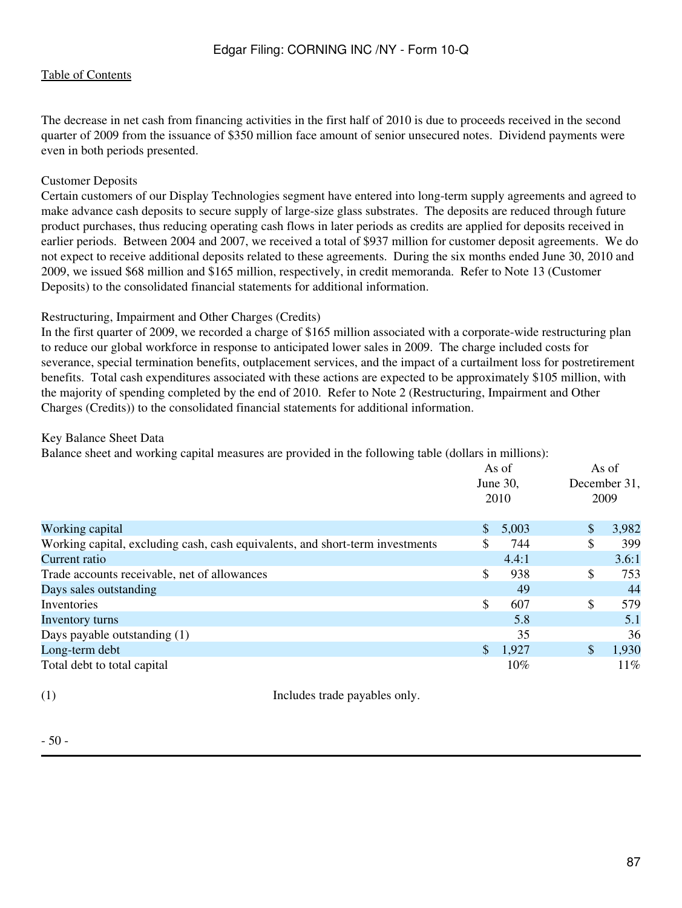The decrease in net cash from financing activities in the first half of 2010 is due to proceeds received in the second quarter of 2009 from the issuance of \$350 million face amount of senior unsecured notes. Dividend payments were even in both periods presented.

### Customer Deposits

Certain customers of our Display Technologies segment have entered into long-term supply agreements and agreed to make advance cash deposits to secure supply of large-size glass substrates. The deposits are reduced through future product purchases, thus reducing operating cash flows in later periods as credits are applied for deposits received in earlier periods. Between 2004 and 2007, we received a total of \$937 million for customer deposit agreements. We do not expect to receive additional deposits related to these agreements. During the six months ended June 30, 2010 and 2009, we issued \$68 million and \$165 million, respectively, in credit memoranda. Refer to Note 13 (Customer Deposits) to the consolidated financial statements for additional information.

### Restructuring, Impairment and Other Charges (Credits)

In the first quarter of 2009, we recorded a charge of \$165 million associated with a corporate-wide restructuring plan to reduce our global workforce in response to anticipated lower sales in 2009. The charge included costs for severance, special termination benefits, outplacement services, and the impact of a curtailment loss for postretirement benefits. Total cash expenditures associated with these actions are expected to be approximately \$105 million, with the majority of spending completed by the end of 2010. Refer to Note 2 (Restructuring, Impairment and Other Charges (Credits)) to the consolidated financial statements for additional information.

### Key Balance Sheet Data

Balance sheet and working capital measures are provided in the following table (dollars in millions):

|                                                                               |              | As of<br>June 30,<br>2010 | As of<br>December 31,<br>2009 |
|-------------------------------------------------------------------------------|--------------|---------------------------|-------------------------------|
| Working capital                                                               | \$           | 5,003                     | \$<br>3,982                   |
| Working capital, excluding cash, cash equivalents, and short-term investments | \$           | 744                       | \$<br>399                     |
| Current ratio                                                                 |              | 4.4:1                     | 3.6:1                         |
| Trade accounts receivable, net of allowances                                  | \$           | 938                       | \$<br>753                     |
| Days sales outstanding                                                        |              | 49                        | 44                            |
| Inventories                                                                   | \$           | 607                       | \$<br>579                     |
| Inventory turns                                                               |              | 5.8                       | 5.1                           |
| Days payable outstanding (1)                                                  |              | 35                        | 36                            |
| Long-term debt                                                                | $\mathbb{S}$ | 1,927                     | \$<br>1,930                   |
| Total debt to total capital                                                   |              | 10%                       | $11\%$                        |

(1) Includes trade payables only.

- 50 -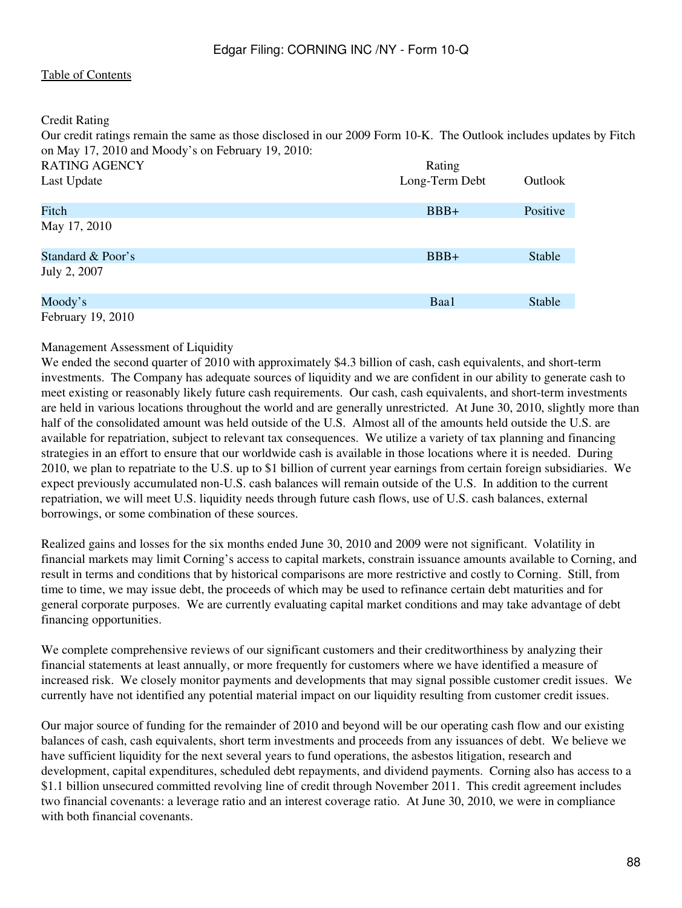| <b>Credit Rating</b>                                                                                               |                 |                |
|--------------------------------------------------------------------------------------------------------------------|-----------------|----------------|
| Our credit ratings remain the same as those disclosed in our 2009 Form 10-K. The Outlook includes updates by Fitch |                 |                |
| on May 17, 2010 and Moody's on February 19, 2010:                                                                  |                 |                |
| <b>RATING AGENCY</b>                                                                                               | Rating          |                |
| Last Update                                                                                                        | Long-Term Debt  | <b>Outlook</b> |
|                                                                                                                    |                 |                |
| Fitch                                                                                                              | BB <sub>+</sub> | Positive       |
| May 17, 2010                                                                                                       |                 |                |
| Standard & Poor's                                                                                                  | $BBB+$          | <b>Stable</b>  |
| July 2, 2007                                                                                                       |                 |                |
|                                                                                                                    |                 |                |
| Moody's                                                                                                            | Baa1            | <b>Stable</b>  |

February 19, 2010

### Management Assessment of Liquidity

We ended the second quarter of 2010 with approximately \$4.3 billion of cash, cash equivalents, and short-term investments. The Company has adequate sources of liquidity and we are confident in our ability to generate cash to meet existing or reasonably likely future cash requirements. Our cash, cash equivalents, and short-term investments are held in various locations throughout the world and are generally unrestricted. At June 30, 2010, slightly more than half of the consolidated amount was held outside of the U.S. Almost all of the amounts held outside the U.S. are available for repatriation, subject to relevant tax consequences. We utilize a variety of tax planning and financing strategies in an effort to ensure that our worldwide cash is available in those locations where it is needed. During 2010, we plan to repatriate to the U.S. up to \$1 billion of current year earnings from certain foreign subsidiaries. We expect previously accumulated non-U.S. cash balances will remain outside of the U.S. In addition to the current repatriation, we will meet U.S. liquidity needs through future cash flows, use of U.S. cash balances, external borrowings, or some combination of these sources.

Realized gains and losses for the six months ended June 30, 2010 and 2009 were not significant. Volatility in financial markets may limit Corning's access to capital markets, constrain issuance amounts available to Corning, and result in terms and conditions that by historical comparisons are more restrictive and costly to Corning. Still, from time to time, we may issue debt, the proceeds of which may be used to refinance certain debt maturities and for general corporate purposes. We are currently evaluating capital market conditions and may take advantage of debt financing opportunities.

We complete comprehensive reviews of our significant customers and their creditworthiness by analyzing their financial statements at least annually, or more frequently for customers where we have identified a measure of increased risk. We closely monitor payments and developments that may signal possible customer credit issues. We currently have not identified any potential material impact on our liquidity resulting from customer credit issues.

Our major source of funding for the remainder of 2010 and beyond will be our operating cash flow and our existing balances of cash, cash equivalents, short term investments and proceeds from any issuances of debt. We believe we have sufficient liquidity for the next several years to fund operations, the asbestos litigation, research and development, capital expenditures, scheduled debt repayments, and dividend payments. Corning also has access to a \$1.1 billion unsecured committed revolving line of credit through November 2011. This credit agreement includes two financial covenants: a leverage ratio and an interest coverage ratio. At June 30, 2010, we were in compliance with both financial covenants.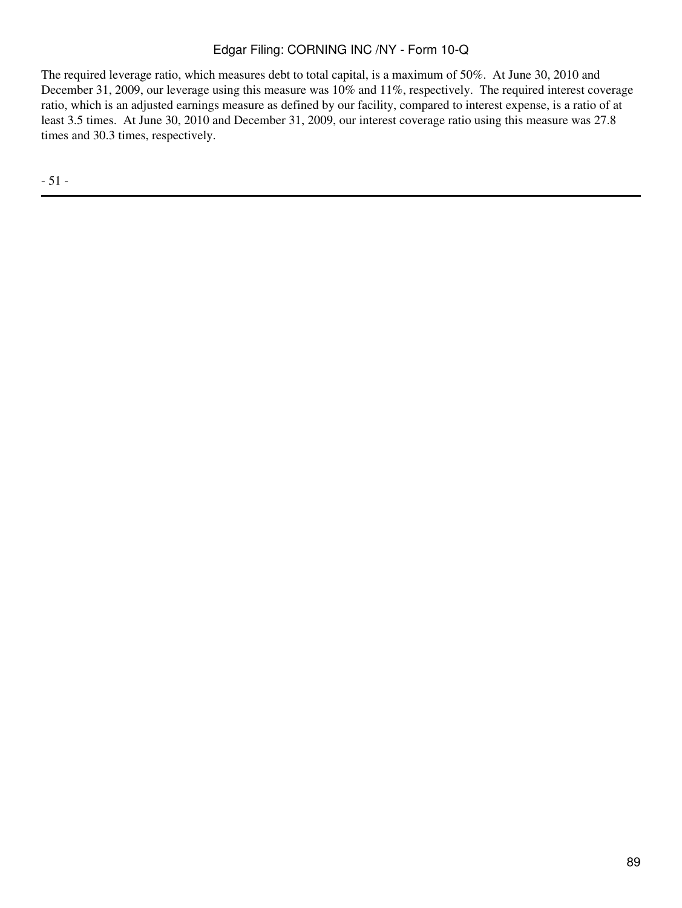# Edgar Filing: CORNING INC /NY - Form 10-Q

The required leverage ratio, which measures debt to total capital, is a maximum of 50%. At June 30, 2010 and December 31, 2009, our leverage using this measure was 10% and 11%, respectively. The required interest coverage ratio, which is an adjusted earnings measure as defined by our facility, compared to interest expense, is a ratio of at least 3.5 times. At June 30, 2010 and December 31, 2009, our interest coverage ratio using this measure was 27.8 times and 30.3 times, respectively.

- 51 -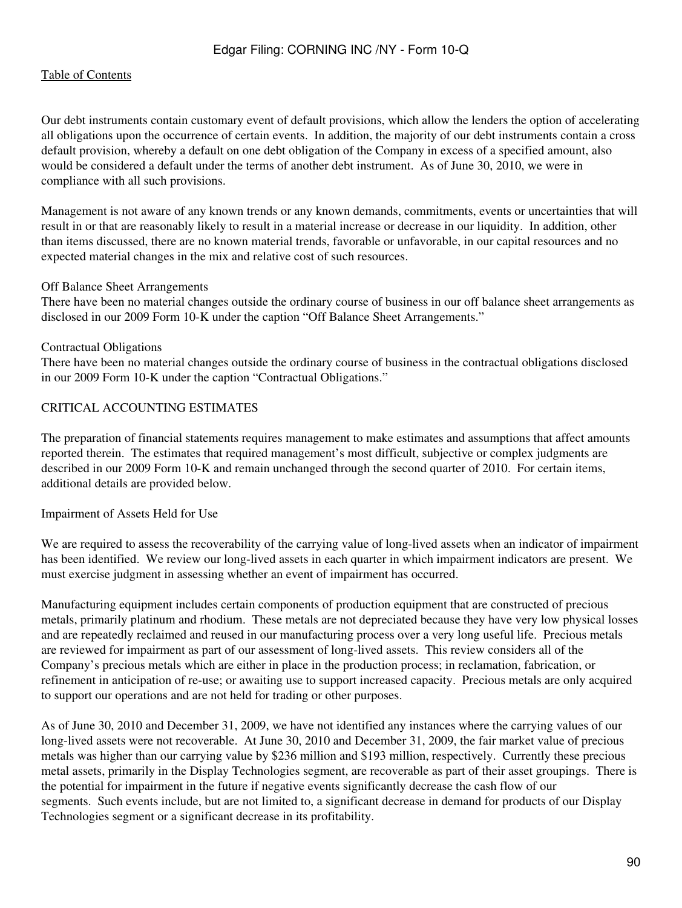Our debt instruments contain customary event of default provisions, which allow the lenders the option of accelerating all obligations upon the occurrence of certain events. In addition, the majority of our debt instruments contain a cross default provision, whereby a default on one debt obligation of the Company in excess of a specified amount, also would be considered a default under the terms of another debt instrument. As of June 30, 2010, we were in compliance with all such provisions.

Management is not aware of any known trends or any known demands, commitments, events or uncertainties that will result in or that are reasonably likely to result in a material increase or decrease in our liquidity. In addition, other than items discussed, there are no known material trends, favorable or unfavorable, in our capital resources and no expected material changes in the mix and relative cost of such resources.

### Off Balance Sheet Arrangements

There have been no material changes outside the ordinary course of business in our off balance sheet arrangements as disclosed in our 2009 Form 10-K under the caption "Off Balance Sheet Arrangements."

### Contractual Obligations

There have been no material changes outside the ordinary course of business in the contractual obligations disclosed in our 2009 Form 10-K under the caption "Contractual Obligations."

### CRITICAL ACCOUNTING ESTIMATES

The preparation of financial statements requires management to make estimates and assumptions that affect amounts reported therein. The estimates that required management's most difficult, subjective or complex judgments are described in our 2009 Form 10-K and remain unchanged through the second quarter of 2010. For certain items, additional details are provided below.

Impairment of Assets Held for Use

We are required to assess the recoverability of the carrying value of long-lived assets when an indicator of impairment has been identified. We review our long-lived assets in each quarter in which impairment indicators are present. We must exercise judgment in assessing whether an event of impairment has occurred.

Manufacturing equipment includes certain components of production equipment that are constructed of precious metals, primarily platinum and rhodium. These metals are not depreciated because they have very low physical losses and are repeatedly reclaimed and reused in our manufacturing process over a very long useful life. Precious metals are reviewed for impairment as part of our assessment of long-lived assets. This review considers all of the Company's precious metals which are either in place in the production process; in reclamation, fabrication, or refinement in anticipation of re-use; or awaiting use to support increased capacity. Precious metals are only acquired to support our operations and are not held for trading or other purposes.

As of June 30, 2010 and December 31, 2009, we have not identified any instances where the carrying values of our long-lived assets were not recoverable. At June 30, 2010 and December 31, 2009, the fair market value of precious metals was higher than our carrying value by \$236 million and \$193 million, respectively. Currently these precious metal assets, primarily in the Display Technologies segment, are recoverable as part of their asset groupings. There is the potential for impairment in the future if negative events significantly decrease the cash flow of our segments. Such events include, but are not limited to, a significant decrease in demand for products of our Display Technologies segment or a significant decrease in its profitability.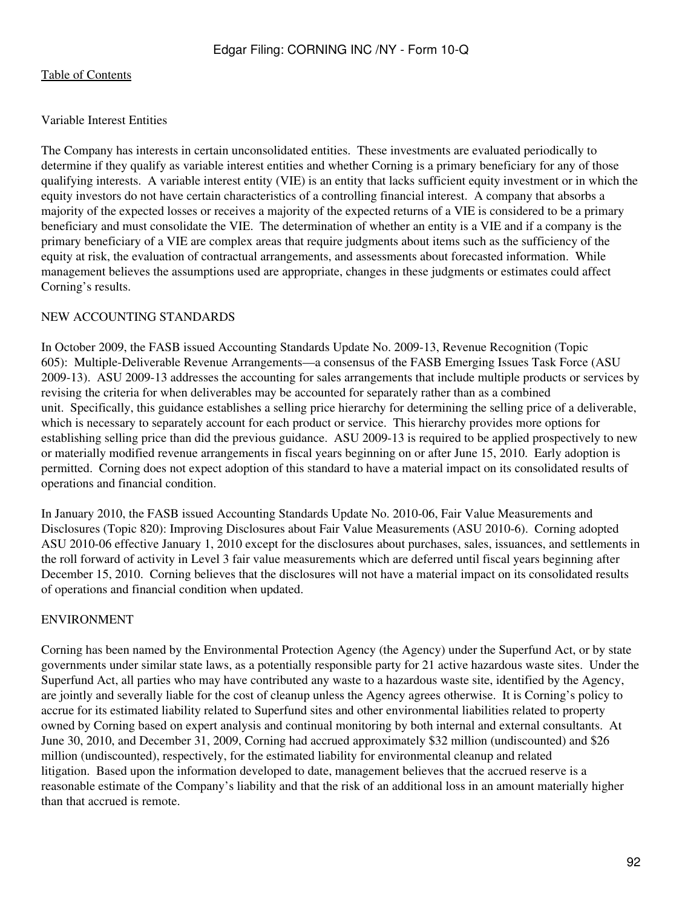### Variable Interest Entities

The Company has interests in certain unconsolidated entities. These investments are evaluated periodically to determine if they qualify as variable interest entities and whether Corning is a primary beneficiary for any of those qualifying interests. A variable interest entity (VIE) is an entity that lacks sufficient equity investment or in which the equity investors do not have certain characteristics of a controlling financial interest. A company that absorbs a majority of the expected losses or receives a majority of the expected returns of a VIE is considered to be a primary beneficiary and must consolidate the VIE. The determination of whether an entity is a VIE and if a company is the primary beneficiary of a VIE are complex areas that require judgments about items such as the sufficiency of the equity at risk, the evaluation of contractual arrangements, and assessments about forecasted information. While management believes the assumptions used are appropriate, changes in these judgments or estimates could affect Corning's results.

### NEW ACCOUNTING STANDARDS

In October 2009, the FASB issued Accounting Standards Update No. 2009-13, Revenue Recognition (Topic 605): Multiple-Deliverable Revenue Arrangements—a consensus of the FASB Emerging Issues Task Force (ASU 2009-13). ASU 2009-13 addresses the accounting for sales arrangements that include multiple products or services by revising the criteria for when deliverables may be accounted for separately rather than as a combined unit. Specifically, this guidance establishes a selling price hierarchy for determining the selling price of a deliverable, which is necessary to separately account for each product or service. This hierarchy provides more options for establishing selling price than did the previous guidance. ASU 2009-13 is required to be applied prospectively to new or materially modified revenue arrangements in fiscal years beginning on or after June 15, 2010. Early adoption is permitted. Corning does not expect adoption of this standard to have a material impact on its consolidated results of operations and financial condition.

In January 2010, the FASB issued Accounting Standards Update No. 2010-06, Fair Value Measurements and Disclosures (Topic 820): Improving Disclosures about Fair Value Measurements (ASU 2010-6). Corning adopted ASU 2010-06 effective January 1, 2010 except for the disclosures about purchases, sales, issuances, and settlements in the roll forward of activity in Level 3 fair value measurements which are deferred until fiscal years beginning after December 15, 2010. Corning believes that the disclosures will not have a material impact on its consolidated results of operations and financial condition when updated.

### ENVIRONMENT

Corning has been named by the Environmental Protection Agency (the Agency) under the Superfund Act, or by state governments under similar state laws, as a potentially responsible party for 21 active hazardous waste sites. Under the Superfund Act, all parties who may have contributed any waste to a hazardous waste site, identified by the Agency, are jointly and severally liable for the cost of cleanup unless the Agency agrees otherwise. It is Corning's policy to accrue for its estimated liability related to Superfund sites and other environmental liabilities related to property owned by Corning based on expert analysis and continual monitoring by both internal and external consultants. At June 30, 2010, and December 31, 2009, Corning had accrued approximately \$32 million (undiscounted) and \$26 million (undiscounted), respectively, for the estimated liability for environmental cleanup and related litigation. Based upon the information developed to date, management believes that the accrued reserve is a reasonable estimate of the Company's liability and that the risk of an additional loss in an amount materially higher than that accrued is remote.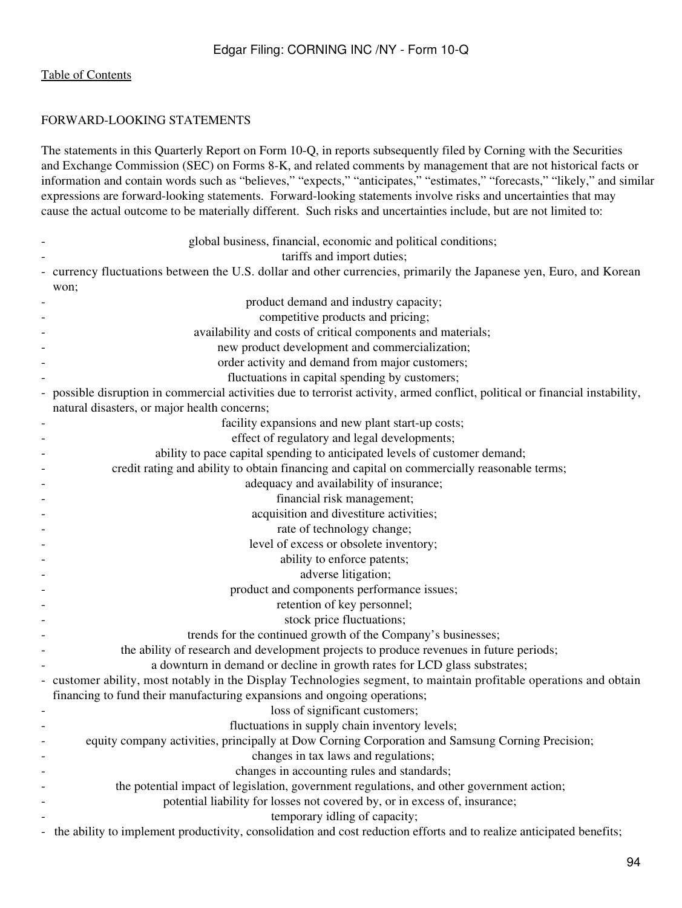# FORWARD-LOOKING STATEMENTS

The statements in this Quarterly Report on Form 10-Q, in reports subsequently filed by Corning with the Securities and Exchange Commission (SEC) on Forms 8-K, and related comments by management that are not historical facts or information and contain words such as "believes," "expects," "anticipates," "estimates," "forecasts," "likely," and similar expressions are forward-looking statements. Forward-looking statements involve risks and uncertainties that may cause the actual outcome to be materially different. Such risks and uncertainties include, but are not limited to:

| global business, financial, economic and political conditions;                                                              |
|-----------------------------------------------------------------------------------------------------------------------------|
| tariffs and import duties;                                                                                                  |
| - currency fluctuations between the U.S. dollar and other currencies, primarily the Japanese yen, Euro, and Korean          |
| won;                                                                                                                        |
| product demand and industry capacity;                                                                                       |
| competitive products and pricing;                                                                                           |
| availability and costs of critical components and materials;                                                                |
| new product development and commercialization;                                                                              |
| order activity and demand from major customers;                                                                             |
| fluctuations in capital spending by customers;                                                                              |
| possible disruption in commercial activities due to terrorist activity, armed conflict, political or financial instability, |
| natural disasters, or major health concerns;                                                                                |
| facility expansions and new plant start-up costs;                                                                           |
| effect of regulatory and legal developments;                                                                                |
| ability to pace capital spending to anticipated levels of customer demand;                                                  |
| credit rating and ability to obtain financing and capital on commercially reasonable terms;                                 |
| adequacy and availability of insurance;                                                                                     |
| financial risk management;                                                                                                  |
| acquisition and divestiture activities;                                                                                     |
| rate of technology change;                                                                                                  |
| level of excess or obsolete inventory;                                                                                      |
| ability to enforce patents;                                                                                                 |
| adverse litigation;                                                                                                         |
| product and components performance issues;                                                                                  |
| retention of key personnel;                                                                                                 |
| stock price fluctuations;                                                                                                   |
| trends for the continued growth of the Company's businesses;                                                                |
| the ability of research and development projects to produce revenues in future periods;                                     |
| a downturn in demand or decline in growth rates for LCD glass substrates;                                                   |
| - customer ability, most notably in the Display Technologies segment, to maintain profitable operations and obtain          |
| financing to fund their manufacturing expansions and ongoing operations;                                                    |
| loss of significant customers;                                                                                              |
| fluctuations in supply chain inventory levels;                                                                              |
| equity company activities, principally at Dow Corning Corporation and Samsung Corning Precision;                            |
| changes in tax laws and regulations;                                                                                        |
| changes in accounting rules and standards;                                                                                  |
| the potential impact of legislation, government regulations, and other government action;                                   |
| potential liability for losses not covered by, or in excess of, insurance;                                                  |
| temporary idling of capacity;                                                                                               |
| the ability to implement productivity, consolidation and cost reduction efforts and to realize anticipated benefits;        |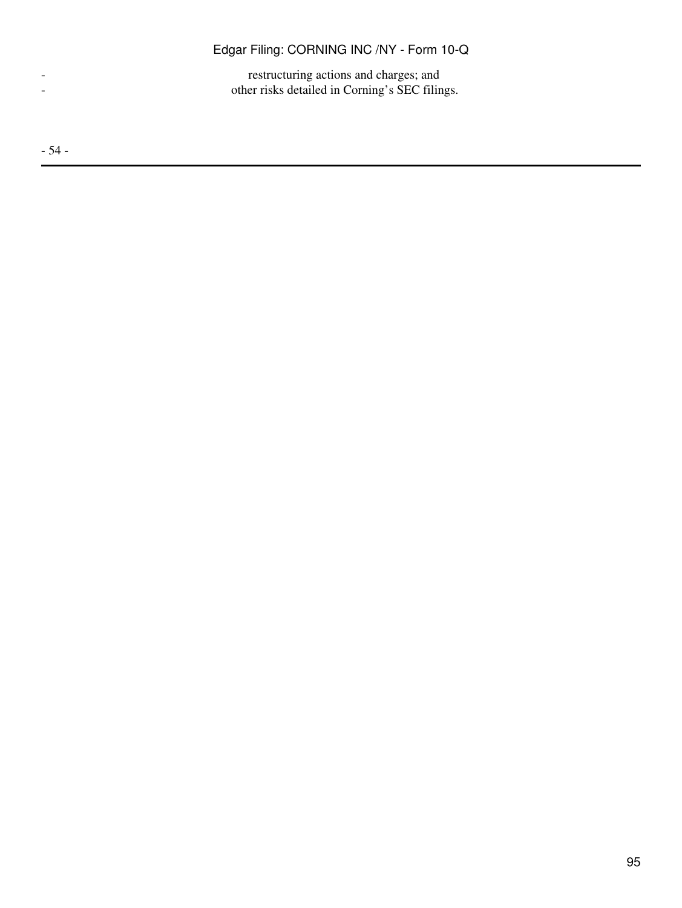- restructuring actions and charges; and - other risks detailed in Corning's SEC filings.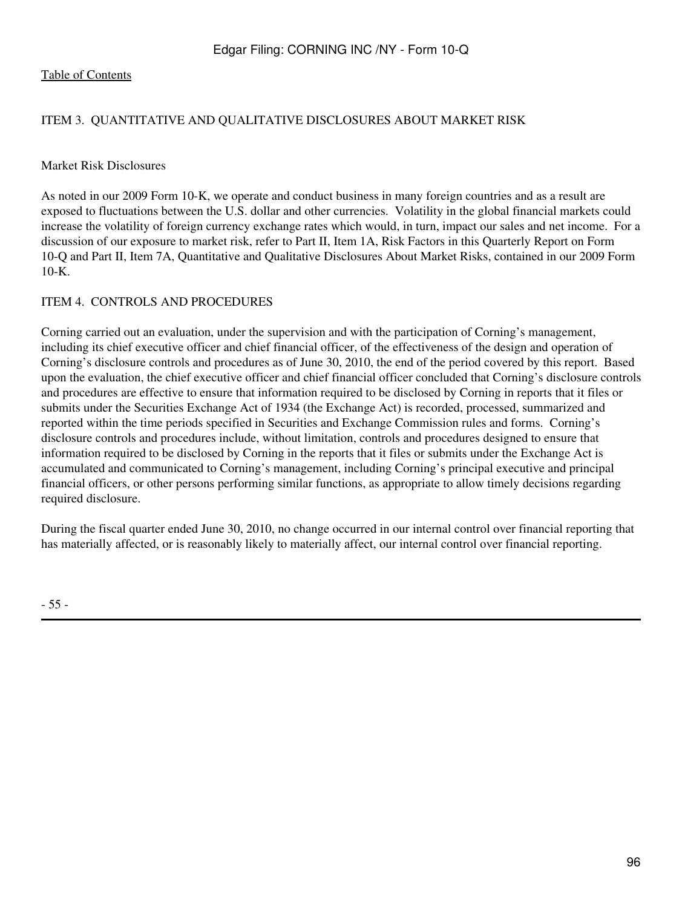### ITEM 3. QUANTITATIVE AND QUALITATIVE DISCLOSURES ABOUT MARKET RISK

### Market Risk Disclosures

As noted in our 2009 Form 10-K, we operate and conduct business in many foreign countries and as a result are exposed to fluctuations between the U.S. dollar and other currencies. Volatility in the global financial markets could increase the volatility of foreign currency exchange rates which would, in turn, impact our sales and net income. For a discussion of our exposure to market risk, refer to Part II, Item 1A, Risk Factors in this Quarterly Report on Form 10-Q and Part II, Item 7A, Quantitative and Qualitative Disclosures About Market Risks, contained in our 2009 Form 10-K.

### ITEM 4. CONTROLS AND PROCEDURES

Corning carried out an evaluation, under the supervision and with the participation of Corning's management, including its chief executive officer and chief financial officer, of the effectiveness of the design and operation of Corning's disclosure controls and procedures as of June 30, 2010, the end of the period covered by this report. Based upon the evaluation, the chief executive officer and chief financial officer concluded that Corning's disclosure controls and procedures are effective to ensure that information required to be disclosed by Corning in reports that it files or submits under the Securities Exchange Act of 1934 (the Exchange Act) is recorded, processed, summarized and reported within the time periods specified in Securities and Exchange Commission rules and forms. Corning's disclosure controls and procedures include, without limitation, controls and procedures designed to ensure that information required to be disclosed by Corning in the reports that it files or submits under the Exchange Act is accumulated and communicated to Corning's management, including Corning's principal executive and principal financial officers, or other persons performing similar functions, as appropriate to allow timely decisions regarding required disclosure.

During the fiscal quarter ended June 30, 2010, no change occurred in our internal control over financial reporting that has materially affected, or is reasonably likely to materially affect, our internal control over financial reporting.

- 55 -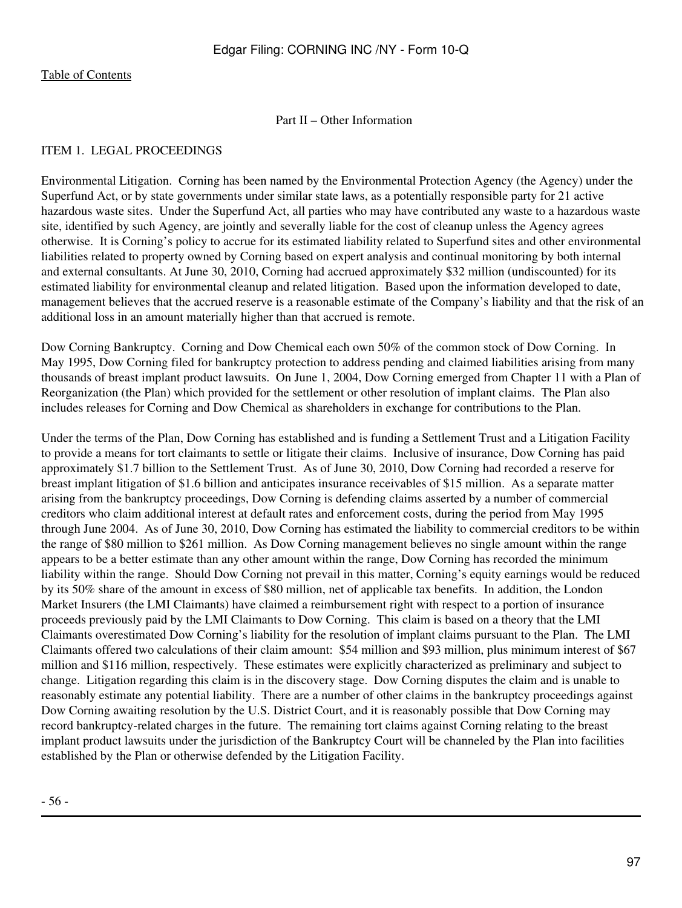Part II – Other Information

### ITEM 1. LEGAL PROCEEDINGS

Environmental Litigation. Corning has been named by the Environmental Protection Agency (the Agency) under the Superfund Act, or by state governments under similar state laws, as a potentially responsible party for 21 active hazardous waste sites. Under the Superfund Act, all parties who may have contributed any waste to a hazardous waste site, identified by such Agency, are jointly and severally liable for the cost of cleanup unless the Agency agrees otherwise. It is Corning's policy to accrue for its estimated liability related to Superfund sites and other environmental liabilities related to property owned by Corning based on expert analysis and continual monitoring by both internal and external consultants. At June 30, 2010, Corning had accrued approximately \$32 million (undiscounted) for its estimated liability for environmental cleanup and related litigation. Based upon the information developed to date, management believes that the accrued reserve is a reasonable estimate of the Company's liability and that the risk of an additional loss in an amount materially higher than that accrued is remote.

Dow Corning Bankruptcy. Corning and Dow Chemical each own 50% of the common stock of Dow Corning. In May 1995, Dow Corning filed for bankruptcy protection to address pending and claimed liabilities arising from many thousands of breast implant product lawsuits. On June 1, 2004, Dow Corning emerged from Chapter 11 with a Plan of Reorganization (the Plan) which provided for the settlement or other resolution of implant claims. The Plan also includes releases for Corning and Dow Chemical as shareholders in exchange for contributions to the Plan.

Under the terms of the Plan, Dow Corning has established and is funding a Settlement Trust and a Litigation Facility to provide a means for tort claimants to settle or litigate their claims. Inclusive of insurance, Dow Corning has paid approximately \$1.7 billion to the Settlement Trust. As of June 30, 2010, Dow Corning had recorded a reserve for breast implant litigation of \$1.6 billion and anticipates insurance receivables of \$15 million. As a separate matter arising from the bankruptcy proceedings, Dow Corning is defending claims asserted by a number of commercial creditors who claim additional interest at default rates and enforcement costs, during the period from May 1995 through June 2004. As of June 30, 2010, Dow Corning has estimated the liability to commercial creditors to be within the range of \$80 million to \$261 million. As Dow Corning management believes no single amount within the range appears to be a better estimate than any other amount within the range, Dow Corning has recorded the minimum liability within the range. Should Dow Corning not prevail in this matter, Corning's equity earnings would be reduced by its 50% share of the amount in excess of \$80 million, net of applicable tax benefits. In addition, the London Market Insurers (the LMI Claimants) have claimed a reimbursement right with respect to a portion of insurance proceeds previously paid by the LMI Claimants to Dow Corning. This claim is based on a theory that the LMI Claimants overestimated Dow Corning's liability for the resolution of implant claims pursuant to the Plan. The LMI Claimants offered two calculations of their claim amount: \$54 million and \$93 million, plus minimum interest of \$67 million and \$116 million, respectively. These estimates were explicitly characterized as preliminary and subject to change. Litigation regarding this claim is in the discovery stage. Dow Corning disputes the claim and is unable to reasonably estimate any potential liability. There are a number of other claims in the bankruptcy proceedings against Dow Corning awaiting resolution by the U.S. District Court, and it is reasonably possible that Dow Corning may record bankruptcy-related charges in the future. The remaining tort claims against Corning relating to the breast implant product lawsuits under the jurisdiction of the Bankruptcy Court will be channeled by the Plan into facilities established by the Plan or otherwise defended by the Litigation Facility.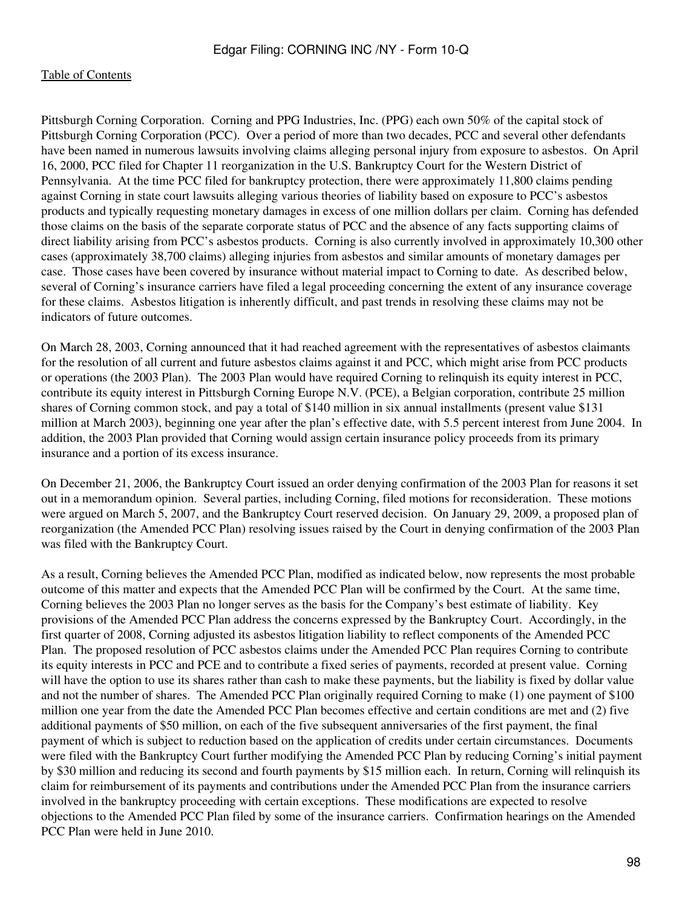Pittsburgh Corning Corporation. Corning and PPG Industries, Inc. (PPG) each own 50% of the capital stock of Pittsburgh Corning Corporation (PCC). Over a period of more than two decades, PCC and several other defendants have been named in numerous lawsuits involving claims alleging personal injury from exposure to asbestos. On April 16, 2000, PCC filed for Chapter 11 reorganization in the U.S. Bankruptcy Court for the Western District of Pennsylvania. At the time PCC filed for bankruptcy protection, there were approximately 11,800 claims pending against Corning in state court lawsuits alleging various theories of liability based on exposure to PCC's asbestos products and typically requesting monetary damages in excess of one million dollars per claim. Corning has defended those claims on the basis of the separate corporate status of PCC and the absence of any facts supporting claims of direct liability arising from PCC's asbestos products. Corning is also currently involved in approximately 10,300 other cases (approximately 38,700 claims) alleging injuries from asbestos and similar amounts of monetary damages per case. Those cases have been covered by insurance without material impact to Corning to date. As described below, several of Corning's insurance carriers have filed a legal proceeding concerning the extent of any insurance coverage for these claims. Asbestos litigation is inherently difficult, and past trends in resolving these claims may not be indicators of future outcomes.

On March 28, 2003, Corning announced that it had reached agreement with the representatives of asbestos claimants for the resolution of all current and future asbestos claims against it and PCC, which might arise from PCC products or operations (the 2003 Plan). The 2003 Plan would have required Corning to relinquish its equity interest in PCC, contribute its equity interest in Pittsburgh Corning Europe N.V. (PCE), a Belgian corporation, contribute 25 million shares of Corning common stock, and pay a total of \$140 million in six annual installments (present value \$131 million at March 2003), beginning one year after the plan's effective date, with 5.5 percent interest from June 2004. In addition, the 2003 Plan provided that Corning would assign certain insurance policy proceeds from its primary insurance and a portion of its excess insurance.

On December 21, 2006, the Bankruptcy Court issued an order denying confirmation of the 2003 Plan for reasons it set out in a memorandum opinion. Several parties, including Corning, filed motions for reconsideration. These motions were argued on March 5, 2007, and the Bankruptcy Court reserved decision. On January 29, 2009, a proposed plan of reorganization (the Amended PCC Plan) resolving issues raised by the Court in denying confirmation of the 2003 Plan was filed with the Bankruptcy Court.

As a result, Corning believes the Amended PCC Plan, modified as indicated below, now represents the most probable outcome of this matter and expects that the Amended PCC Plan will be confirmed by the Court. At the same time, Corning believes the 2003 Plan no longer serves as the basis for the Company's best estimate of liability. Key provisions of the Amended PCC Plan address the concerns expressed by the Bankruptcy Court. Accordingly, in the first quarter of 2008, Corning adjusted its asbestos litigation liability to reflect components of the Amended PCC Plan. The proposed resolution of PCC asbestos claims under the Amended PCC Plan requires Corning to contribute its equity interests in PCC and PCE and to contribute a fixed series of payments, recorded at present value. Corning will have the option to use its shares rather than cash to make these payments, but the liability is fixed by dollar value and not the number of shares. The Amended PCC Plan originally required Corning to make (1) one payment of \$100 million one year from the date the Amended PCC Plan becomes effective and certain conditions are met and (2) five additional payments of \$50 million, on each of the five subsequent anniversaries of the first payment, the final payment of which is subject to reduction based on the application of credits under certain circumstances. Documents were filed with the Bankruptcy Court further modifying the Amended PCC Plan by reducing Corning's initial payment by \$30 million and reducing its second and fourth payments by \$15 million each. In return, Corning will relinquish its claim for reimbursement of its payments and contributions under the Amended PCC Plan from the insurance carriers involved in the bankruptcy proceeding with certain exceptions. These modifications are expected to resolve objections to the Amended PCC Plan filed by some of the insurance carriers. Confirmation hearings on the Amended PCC Plan were held in June 2010.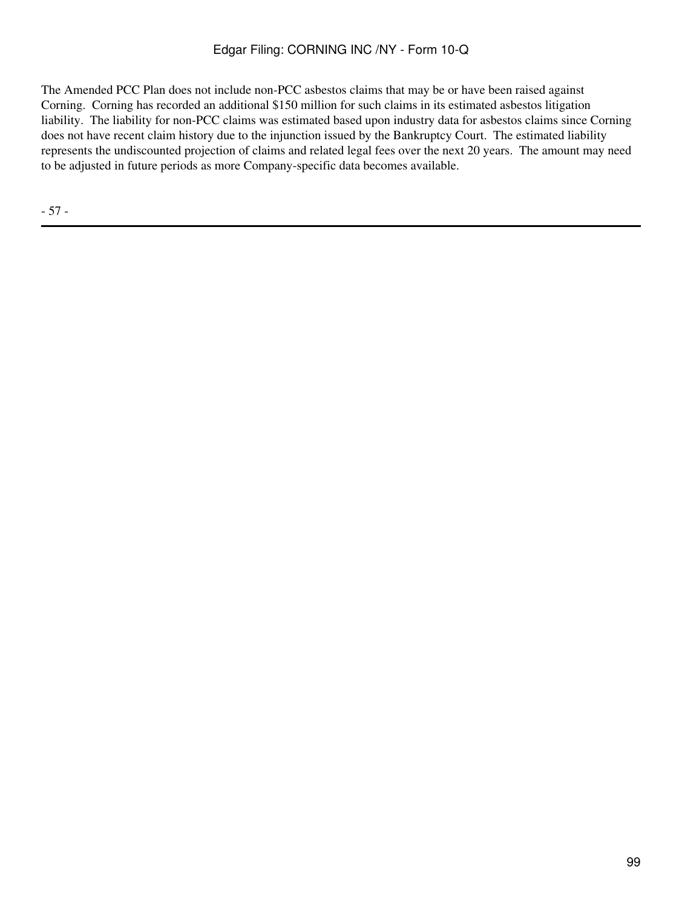# Edgar Filing: CORNING INC /NY - Form 10-Q

The Amended PCC Plan does not include non-PCC asbestos claims that may be or have been raised against Corning. Corning has recorded an additional \$150 million for such claims in its estimated asbestos litigation liability. The liability for non-PCC claims was estimated based upon industry data for asbestos claims since Corning does not have recent claim history due to the injunction issued by the Bankruptcy Court. The estimated liability represents the undiscounted projection of claims and related legal fees over the next 20 years. The amount may need to be adjusted in future periods as more Company-specific data becomes available.

- 57 -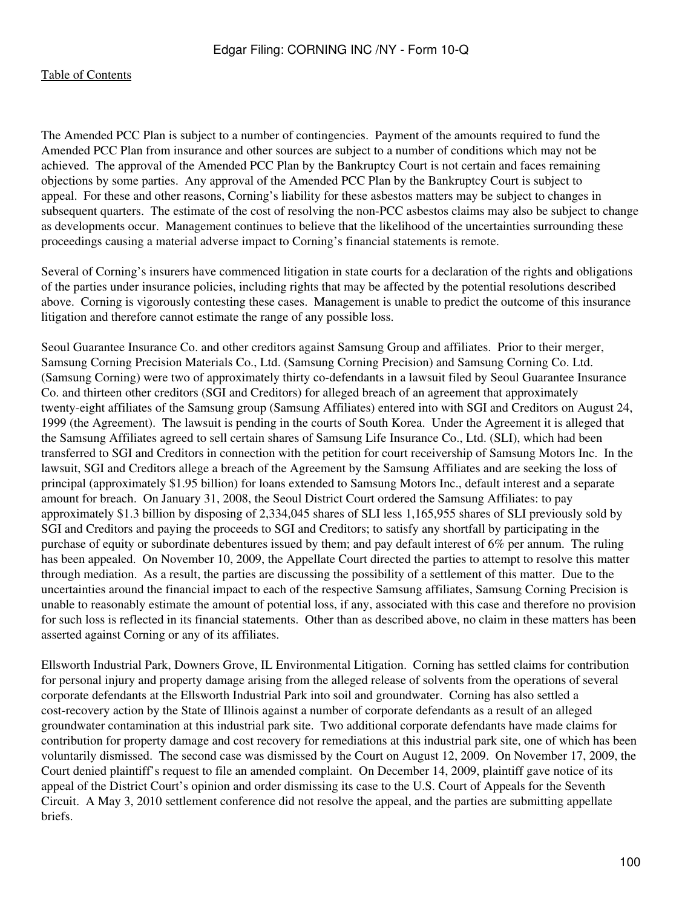The Amended PCC Plan is subject to a number of contingencies. Payment of the amounts required to fund the Amended PCC Plan from insurance and other sources are subject to a number of conditions which may not be achieved. The approval of the Amended PCC Plan by the Bankruptcy Court is not certain and faces remaining objections by some parties. Any approval of the Amended PCC Plan by the Bankruptcy Court is subject to appeal. For these and other reasons, Corning's liability for these asbestos matters may be subject to changes in subsequent quarters. The estimate of the cost of resolving the non-PCC asbestos claims may also be subject to change as developments occur. Management continues to believe that the likelihood of the uncertainties surrounding these proceedings causing a material adverse impact to Corning's financial statements is remote.

Several of Corning's insurers have commenced litigation in state courts for a declaration of the rights and obligations of the parties under insurance policies, including rights that may be affected by the potential resolutions described above. Corning is vigorously contesting these cases. Management is unable to predict the outcome of this insurance litigation and therefore cannot estimate the range of any possible loss.

Seoul Guarantee Insurance Co. and other creditors against Samsung Group and affiliates. Prior to their merger, Samsung Corning Precision Materials Co., Ltd. (Samsung Corning Precision) and Samsung Corning Co. Ltd. (Samsung Corning) were two of approximately thirty co-defendants in a lawsuit filed by Seoul Guarantee Insurance Co. and thirteen other creditors (SGI and Creditors) for alleged breach of an agreement that approximately twenty-eight affiliates of the Samsung group (Samsung Affiliates) entered into with SGI and Creditors on August 24, 1999 (the Agreement). The lawsuit is pending in the courts of South Korea. Under the Agreement it is alleged that the Samsung Affiliates agreed to sell certain shares of Samsung Life Insurance Co., Ltd. (SLI), which had been transferred to SGI and Creditors in connection with the petition for court receivership of Samsung Motors Inc. In the lawsuit, SGI and Creditors allege a breach of the Agreement by the Samsung Affiliates and are seeking the loss of principal (approximately \$1.95 billion) for loans extended to Samsung Motors Inc., default interest and a separate amount for breach. On January 31, 2008, the Seoul District Court ordered the Samsung Affiliates: to pay approximately \$1.3 billion by disposing of 2,334,045 shares of SLI less 1,165,955 shares of SLI previously sold by SGI and Creditors and paying the proceeds to SGI and Creditors; to satisfy any shortfall by participating in the purchase of equity or subordinate debentures issued by them; and pay default interest of 6% per annum. The ruling has been appealed. On November 10, 2009, the Appellate Court directed the parties to attempt to resolve this matter through mediation. As a result, the parties are discussing the possibility of a settlement of this matter. Due to the uncertainties around the financial impact to each of the respective Samsung affiliates, Samsung Corning Precision is unable to reasonably estimate the amount of potential loss, if any, associated with this case and therefore no provision for such loss is reflected in its financial statements. Other than as described above, no claim in these matters has been asserted against Corning or any of its affiliates.

Ellsworth Industrial Park, Downers Grove, IL Environmental Litigation. Corning has settled claims for contribution for personal injury and property damage arising from the alleged release of solvents from the operations of several corporate defendants at the Ellsworth Industrial Park into soil and groundwater. Corning has also settled a cost-recovery action by the State of Illinois against a number of corporate defendants as a result of an alleged groundwater contamination at this industrial park site. Two additional corporate defendants have made claims for contribution for property damage and cost recovery for remediations at this industrial park site, one of which has been voluntarily dismissed. The second case was dismissed by the Court on August 12, 2009. On November 17, 2009, the Court denied plaintiff's request to file an amended complaint. On December 14, 2009, plaintiff gave notice of its appeal of the District Court's opinion and order dismissing its case to the U.S. Court of Appeals for the Seventh Circuit. A May 3, 2010 settlement conference did not resolve the appeal, and the parties are submitting appellate briefs.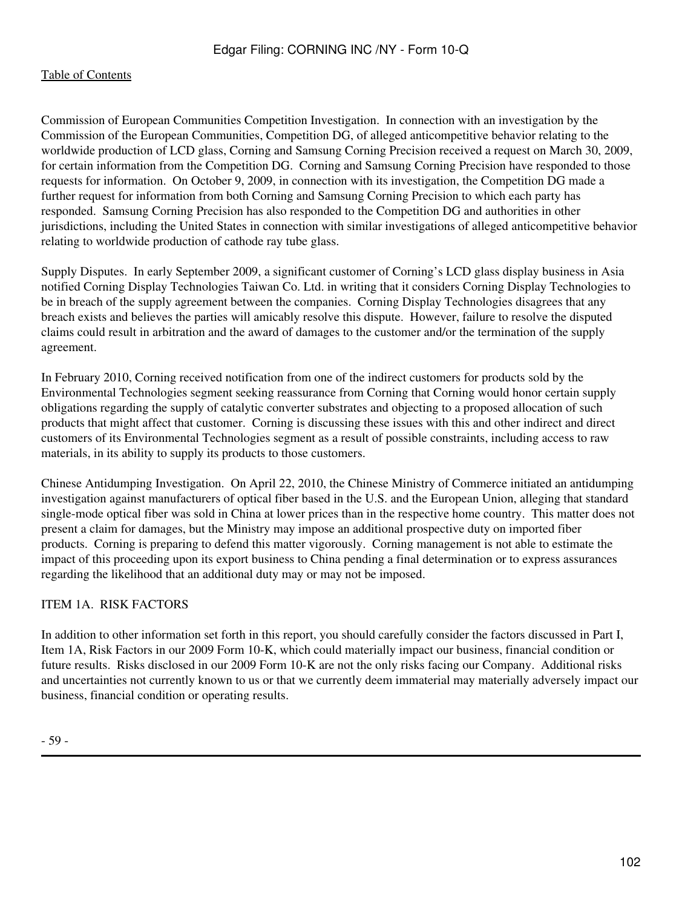Commission of European Communities Competition Investigation. In connection with an investigation by the Commission of the European Communities, Competition DG, of alleged anticompetitive behavior relating to the worldwide production of LCD glass, Corning and Samsung Corning Precision received a request on March 30, 2009, for certain information from the Competition DG. Corning and Samsung Corning Precision have responded to those requests for information. On October 9, 2009, in connection with its investigation, the Competition DG made a further request for information from both Corning and Samsung Corning Precision to which each party has responded. Samsung Corning Precision has also responded to the Competition DG and authorities in other jurisdictions, including the United States in connection with similar investigations of alleged anticompetitive behavior relating to worldwide production of cathode ray tube glass.

Supply Disputes. In early September 2009, a significant customer of Corning's LCD glass display business in Asia notified Corning Display Technologies Taiwan Co. Ltd. in writing that it considers Corning Display Technologies to be in breach of the supply agreement between the companies. Corning Display Technologies disagrees that any breach exists and believes the parties will amicably resolve this dispute. However, failure to resolve the disputed claims could result in arbitration and the award of damages to the customer and/or the termination of the supply agreement.

In February 2010, Corning received notification from one of the indirect customers for products sold by the Environmental Technologies segment seeking reassurance from Corning that Corning would honor certain supply obligations regarding the supply of catalytic converter substrates and objecting to a proposed allocation of such products that might affect that customer. Corning is discussing these issues with this and other indirect and direct customers of its Environmental Technologies segment as a result of possible constraints, including access to raw materials, in its ability to supply its products to those customers.

Chinese Antidumping Investigation. On April 22, 2010, the Chinese Ministry of Commerce initiated an antidumping investigation against manufacturers of optical fiber based in the U.S. and the European Union, alleging that standard single-mode optical fiber was sold in China at lower prices than in the respective home country. This matter does not present a claim for damages, but the Ministry may impose an additional prospective duty on imported fiber products. Corning is preparing to defend this matter vigorously. Corning management is not able to estimate the impact of this proceeding upon its export business to China pending a final determination or to express assurances regarding the likelihood that an additional duty may or may not be imposed.

# ITEM 1A. RISK FACTORS

In addition to other information set forth in this report, you should carefully consider the factors discussed in Part I, Item 1A, Risk Factors in our 2009 Form 10-K, which could materially impact our business, financial condition or future results. Risks disclosed in our 2009 Form 10-K are not the only risks facing our Company. Additional risks and uncertainties not currently known to us or that we currently deem immaterial may materially adversely impact our business, financial condition or operating results.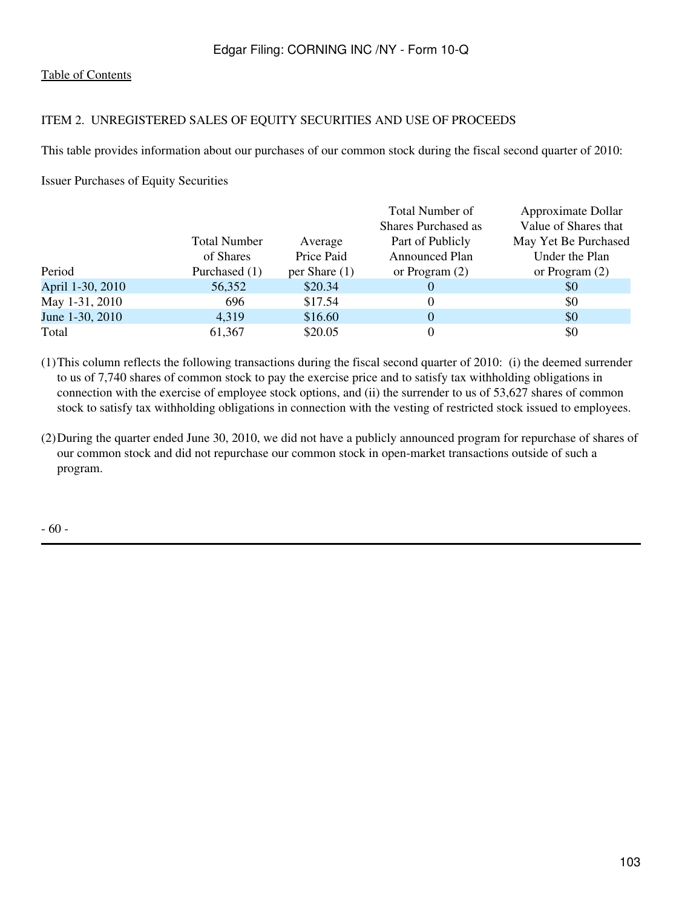### ITEM 2. UNREGISTERED SALES OF EQUITY SECURITIES AND USE OF PROCEEDS

This table provides information about our purchases of our common stock during the fiscal second quarter of 2010:

Issuer Purchases of Equity Securities

|                  |                     |                 | Total Number of            | Approximate Dollar   |
|------------------|---------------------|-----------------|----------------------------|----------------------|
|                  |                     |                 | <b>Shares Purchased as</b> | Value of Shares that |
|                  | <b>Total Number</b> | Average         | Part of Publicly           | May Yet Be Purchased |
|                  | of Shares           | Price Paid      | <b>Announced Plan</b>      | Under the Plan       |
| Period           | Purchased (1)       | per Share $(1)$ | or Program $(2)$           | or Program $(2)$     |
| April 1-30, 2010 | 56,352              | \$20.34         |                            | \$0                  |
| May 1-31, 2010   | 696                 | \$17.54         |                            | \$0                  |
| June 1-30, 2010  | 4,319               | \$16.60         | $\Omega$                   | \$0                  |
| Total            | 61,367              | \$20.05         |                            | \$0                  |

(1)This column reflects the following transactions during the fiscal second quarter of 2010: (i) the deemed surrender to us of 7,740 shares of common stock to pay the exercise price and to satisfy tax withholding obligations in connection with the exercise of employee stock options, and (ii) the surrender to us of 53,627 shares of common stock to satisfy tax withholding obligations in connection with the vesting of restricted stock issued to employees.

(2)During the quarter ended June 30, 2010, we did not have a publicly announced program for repurchase of shares of our common stock and did not repurchase our common stock in open-market transactions outside of such a program.

- 60 -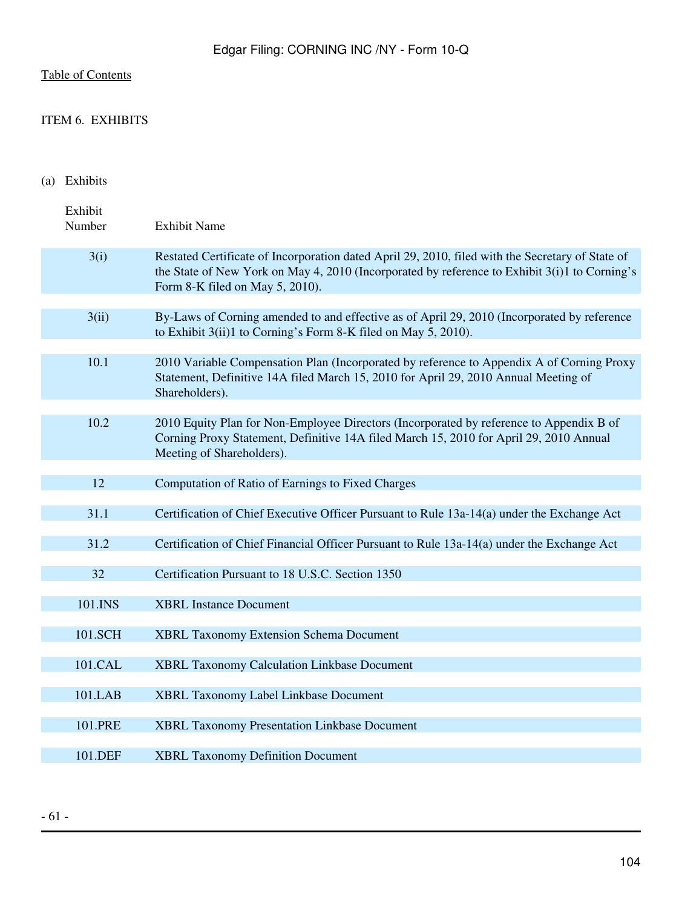# ITEM 6. EXHIBITS

(a) Exhibits

| Exhibit<br>Number | <b>Exhibit Name</b>                                                                                                                                                                                                                  |
|-------------------|--------------------------------------------------------------------------------------------------------------------------------------------------------------------------------------------------------------------------------------|
|                   |                                                                                                                                                                                                                                      |
| 3(i)              | Restated Certificate of Incorporation dated April 29, 2010, filed with the Secretary of State of<br>the State of New York on May 4, 2010 (Incorporated by reference to Exhibit 3(i)1 to Corning's<br>Form 8-K filed on May 5, 2010). |
|                   |                                                                                                                                                                                                                                      |
| 3(ii)             | By-Laws of Corning amended to and effective as of April 29, 2010 (Incorporated by reference<br>to Exhibit 3(ii)1 to Corning's Form 8-K filed on May 5, 2010).                                                                        |
|                   |                                                                                                                                                                                                                                      |
| 10.1              | 2010 Variable Compensation Plan (Incorporated by reference to Appendix A of Corning Proxy<br>Statement, Definitive 14A filed March 15, 2010 for April 29, 2010 Annual Meeting of<br>Shareholders).                                   |
|                   |                                                                                                                                                                                                                                      |
| 10.2              | 2010 Equity Plan for Non-Employee Directors (Incorporated by reference to Appendix B of<br>Corning Proxy Statement, Definitive 14A filed March 15, 2010 for April 29, 2010 Annual<br>Meeting of Shareholders).                       |
|                   |                                                                                                                                                                                                                                      |
| 12                | Computation of Ratio of Earnings to Fixed Charges                                                                                                                                                                                    |
| 31.1              | Certification of Chief Executive Officer Pursuant to Rule 13a-14(a) under the Exchange Act                                                                                                                                           |
| 31.2              | Certification of Chief Financial Officer Pursuant to Rule 13a-14(a) under the Exchange Act                                                                                                                                           |
| 32                | Certification Pursuant to 18 U.S.C. Section 1350                                                                                                                                                                                     |
|                   |                                                                                                                                                                                                                                      |
| 101.INS           | <b>XBRL</b> Instance Document                                                                                                                                                                                                        |
| 101.SCH           | XBRL Taxonomy Extension Schema Document                                                                                                                                                                                              |
|                   |                                                                                                                                                                                                                                      |
| 101.CAL           | <b>XBRL Taxonomy Calculation Linkbase Document</b>                                                                                                                                                                                   |
| 101.LAB           | XBRL Taxonomy Label Linkbase Document                                                                                                                                                                                                |
| 101.PRE           | XBRL Taxonomy Presentation Linkbase Document                                                                                                                                                                                         |
|                   |                                                                                                                                                                                                                                      |
| 101.DEF           | <b>XBRL Taxonomy Definition Document</b>                                                                                                                                                                                             |